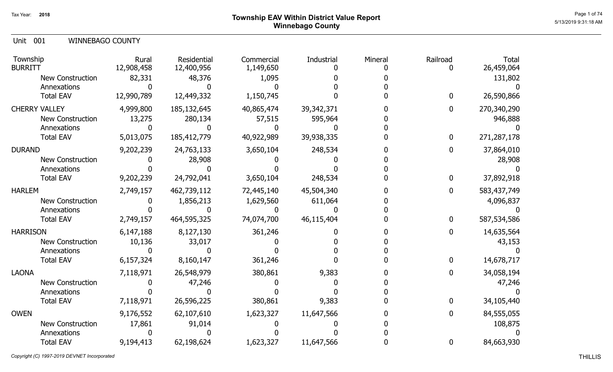Unit 001 WINNEBAGO COUNTY

| Township<br><b>BURRITT</b>      | Rural<br>12,908,458 | Residential<br>12,400,956 | Commercial<br>1,149,650 | Industrial | Mineral | Railroad       | <b>Total</b><br>26,459,064 |
|---------------------------------|---------------------|---------------------------|-------------------------|------------|---------|----------------|----------------------------|
| <b>New Construction</b>         | 82,331              | 48,376                    | 1,095                   |            |         |                | 131,802                    |
| Annexations<br><b>Total EAV</b> | 12,990,789          | 12,449,332                | 1,150,745               |            |         | 0              | 26,590,866                 |
|                                 |                     |                           |                         |            |         |                |                            |
| <b>CHERRY VALLEY</b>            | 4,999,800           | 185,132,645               | 40,865,474              | 39,342,371 |         | $\overline{0}$ | 270,340,290                |
| <b>New Construction</b>         | 13,275              | 280,134                   | 57,515                  | 595,964    |         |                | 946,888                    |
| Annexations                     |                     |                           |                         |            |         |                |                            |
| <b>Total EAV</b>                | 5,013,075           | 185,412,779               | 40,922,989              | 39,938,335 |         | 0              | 271,287,178                |
| <b>DURAND</b>                   | 9,202,239           | 24,763,133                | 3,650,104               | 248,534    |         | 0              | 37,864,010                 |
| <b>New Construction</b>         |                     | 28,908                    |                         |            |         |                | 28,908                     |
| Annexations                     |                     |                           |                         |            |         |                |                            |
| <b>Total EAV</b>                | 9,202,239           | 24,792,041                | 3,650,104               | 248,534    |         | 0              | 37,892,918                 |
| <b>HARLEM</b>                   | 2,749,157           | 462,739,112               | 72,445,140              | 45,504,340 |         | 0              | 583,437,749                |
| <b>New Construction</b>         |                     | 1,856,213                 | 1,629,560               | 611,064    |         |                | 4,096,837                  |
| Annexations                     |                     |                           |                         |            |         |                |                            |
| <b>Total EAV</b>                | 2,749,157           | 464,595,325               | 74,074,700              | 46,115,404 |         | 0              | 587,534,586                |
| <b>HARRISON</b>                 | 6,147,188           | 8,127,130                 | 361,246                 |            |         | 0              | 14,635,564                 |
| New Construction                | 10,136              | 33,017                    |                         |            |         |                | 43,153                     |
| Annexations                     |                     |                           |                         |            |         |                |                            |
| <b>Total EAV</b>                | 6,157,324           | 8,160,147                 | 361,246                 |            |         | 0              | 14,678,717                 |
| <b>LAONA</b>                    | 7,118,971           | 26,548,979                | 380,861                 | 9,383      |         |                | 34,058,194                 |
| <b>New Construction</b>         |                     | 47,246                    |                         |            |         |                | 47,246                     |
| Annexations                     |                     |                           |                         |            |         |                |                            |
| <b>Total EAV</b>                | 7,118,971           | 26,596,225                | 380,861                 | 9,383      |         | 0              | 34,105,440                 |
| <b>OWEN</b>                     | 9,176,552           | 62,107,610                | 1,623,327               | 11,647,566 |         | 0              | 84,555,055                 |
| <b>New Construction</b>         | 17,861              | 91,014                    |                         |            |         |                | 108,875                    |
| Annexations                     |                     |                           |                         |            |         |                |                            |
| <b>Total EAV</b>                | 9,194,413           | 62,198,624                | 1,623,327               | 11,647,566 |         | 0              | 84,663,930                 |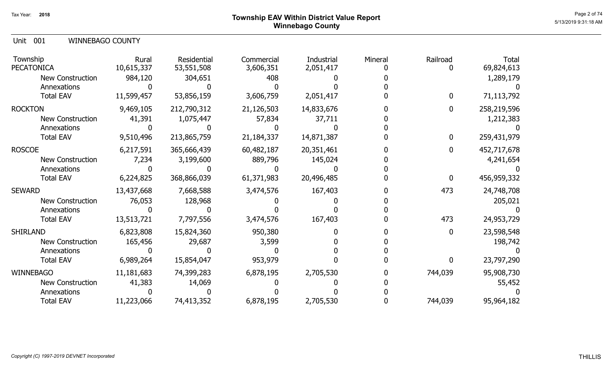# Page 2 of 74  $^{Page\ 2\ of\ 74}$ Winnebago County

Unit 001 WINNEBAGO COUNTY

| Township<br><b>PECATONICA</b>   | Rural<br>10,615,337 | <b>Residential</b><br>53,551,508 | Commercial<br>3,606,351 | Industrial<br>2,051,417 | Mineral | Railroad | Total<br>69,824,613 |
|---------------------------------|---------------------|----------------------------------|-------------------------|-------------------------|---------|----------|---------------------|
| <b>New Construction</b>         | 984,120             | 304,651                          | 408                     |                         |         |          | 1,289,179           |
| Annexations<br><b>Total EAV</b> | 11,599,457          | 53,856,159                       | 3,606,759               | 2,051,417               |         | 0        | 71,113,792          |
| <b>ROCKTON</b>                  | 9,469,105           | 212,790,312                      | 21,126,503              | 14,833,676              |         | 0        | 258,219,596         |
| New Construction                | 41,391              | 1,075,447                        | 57,834                  | 37,711                  |         |          | 1,212,383           |
| Annexations<br><b>Total EAV</b> | 9,510,496           | 213,865,759                      | 21,184,337              | 14,871,387              |         | 0        | 259,431,979         |
| <b>ROSCOE</b>                   | 6,217,591           | 365,666,439                      | 60,482,187              | 20,351,461              |         |          | 452,717,678         |
| New Construction                | 7,234               | 3,199,600                        | 889,796                 | 145,024                 |         |          | 4,241,654           |
| Annexations                     |                     |                                  |                         |                         |         |          |                     |
| <b>Total EAV</b>                | 6,224,825           | 368,866,039                      | 61,371,983              | 20,496,485              |         | 0        | 456,959,332         |
| <b>SEWARD</b>                   | 13,437,668          | 7,668,588                        | 3,474,576               | 167,403                 |         | 473      | 24,748,708          |
| <b>New Construction</b>         | 76,053              | 128,968                          |                         |                         |         |          | 205,021             |
| Annexations                     |                     |                                  |                         |                         |         |          |                     |
| <b>Total EAV</b>                | 13,513,721          | 7,797,556                        | 3,474,576               | 167,403                 |         | 473      | 24,953,729          |
| <b>SHIRLAND</b>                 | 6,823,808           | 15,824,360                       | 950,380                 |                         |         | 0        | 23,598,548          |
| New Construction                | 165,456             | 29,687                           | 3,599                   |                         |         |          | 198,742             |
| Annexations                     |                     |                                  |                         |                         |         |          |                     |
| <b>Total EAV</b>                | 6,989,264           | 15,854,047                       | 953,979                 |                         |         | 0        | 23,797,290          |
| <b>WINNEBAGO</b>                | 11,181,683          | 74,399,283                       | 6,878,195               | 2,705,530               |         | 744,039  | 95,908,730          |
| New Construction                | 41,383              | 14,069                           |                         |                         |         |          | 55,452              |
| Annexations                     |                     |                                  |                         |                         |         |          |                     |
| <b>Total EAV</b>                | 11,223,066          | 74,413,352                       | 6,878,195               | 2,705,530               |         | 744,039  | 95,964,182          |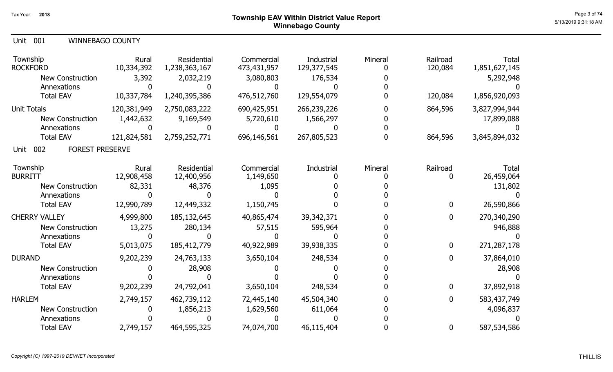| Unit 001 | <b>WINNEBAGO COUNTY</b> |  |
|----------|-------------------------|--|
|----------|-------------------------|--|

| Township<br><b>ROCKFORD</b><br><b>New Construction</b><br>Annexations       | Rural<br>10,334,392<br>3,392  | Residential<br>1,238,363,167<br>2,032,219 | Commercial<br>473,431,957<br>3,080,803 | Industrial<br>129,377,545<br>176,534 | Mineral | Railroad<br>120,084        | <b>Total</b><br>1,851,627,145<br>5,292,948 |
|-----------------------------------------------------------------------------|-------------------------------|-------------------------------------------|----------------------------------------|--------------------------------------|---------|----------------------------|--------------------------------------------|
| <b>Total EAV</b>                                                            | 10,337,784                    | 1,240,395,386                             | 476,512,760                            | 129,554,079                          |         | 120,084                    | 1,856,920,093                              |
| <b>Unit Totals</b><br><b>New Construction</b><br>Annexations                | 120,381,949<br>1,442,632      | 2,750,083,222<br>9,169,549                | 690,425,951<br>5,720,610               | 266,239,226<br>1,566,297             |         | 864,596                    | 3,827,994,944<br>17,899,088                |
| <b>Total EAV</b>                                                            | 121,824,581                   | 2,759,252,771                             | 696,146,561                            | 267,805,523                          |         | 864,596                    | 3,845,894,032                              |
| 002<br><b>FOREST PRESERVE</b><br>Unit                                       |                               |                                           |                                        |                                      |         |                            |                                            |
| Township<br><b>BURRITT</b><br><b>New Construction</b>                       | Rural<br>12,908,458<br>82,331 | Residential<br>12,400,956<br>48,376       | Commercial<br>1,149,650<br>1,095       | Industrial                           | Mineral | Railroad<br>0              | <b>Total</b><br>26,459,064<br>131,802      |
| Annexations                                                                 |                               |                                           |                                        |                                      |         |                            |                                            |
| <b>Total EAV</b>                                                            | 12,990,789                    | 12,449,332                                | 1,150,745                              |                                      |         | $\mathbf 0$                | 26,590,866                                 |
| <b>CHERRY VALLEY</b><br><b>New Construction</b><br>Annexations              | 4,999,800<br>13,275           | 185,132,645<br>280,134                    | 40,865,474<br>57,515                   | 39,342,371<br>595,964                |         | 0                          | 270,340,290<br>946,888                     |
| <b>Total EAV</b>                                                            | 5,013,075                     | 185,412,779                               | 40,922,989                             | 39,938,335                           |         | $\mathbf{0}$               | 271,287,178                                |
| <b>DURAND</b><br><b>New Construction</b><br>Annexations<br><b>Total EAV</b> | 9,202,239<br>9,202,239        | 24,763,133<br>28,908<br>24,792,041        | 3,650,104<br>3,650,104                 | 248,534<br>248,534                   |         | $\mathbf 0$<br>$\mathbf 0$ | 37,864,010<br>28,908<br>37,892,918         |
| <b>HARLEM</b>                                                               | 2,749,157                     | 462,739,112                               | 72,445,140                             | 45,504,340                           |         | 0                          | 583,437,749                                |
| <b>New Construction</b><br>Annexations                                      |                               | 1,856,213                                 | 1,629,560                              | 611,064                              |         |                            | 4,096,837                                  |
| <b>Total EAV</b>                                                            | 2,749,157                     | 464,595,325                               | 74,074,700                             | 46,115,404                           |         | 0                          | 587,534,586                                |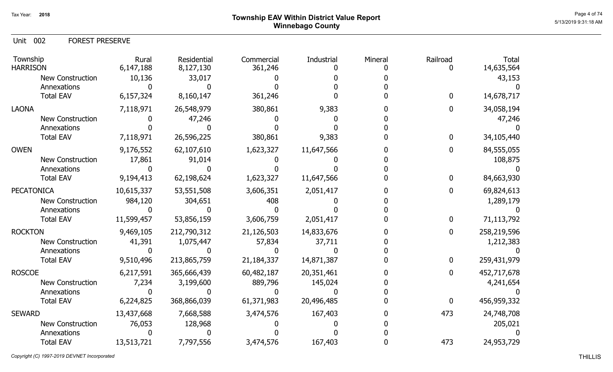# Page 4 of 74  $^{\sf Page\,4\,of\,74}$  Township EAV Within District Value Report Winnebago County

Unit 002 FOREST PRESERVE

| Township<br><b>HARRISON</b> | Rural<br>6,147,188 | Residential<br>8,127,130 | Commercial<br>361,246 | Industrial | Mineral | Railroad | <b>Total</b><br>14,635,564 |
|-----------------------------|--------------------|--------------------------|-----------------------|------------|---------|----------|----------------------------|
| <b>New Construction</b>     | 10,136             | 33,017                   |                       |            |         |          | 43,153                     |
| Annexations                 |                    |                          |                       |            |         |          |                            |
| <b>Total EAV</b>            | 6,157,324          | 8,160,147                | 361,246               |            |         | 0        | 14,678,717                 |
| <b>LAONA</b>                | 7,118,971          | 26,548,979               | 380,861               | 9,383      |         | 0        | 34,058,194                 |
| <b>New Construction</b>     |                    | 47,246                   |                       |            |         |          | 47,246                     |
| Annexations                 |                    |                          |                       |            |         |          |                            |
| <b>Total EAV</b>            | 7,118,971          | 26,596,225               | 380,861               | 9,383      |         | 0        | 34,105,440                 |
| <b>OWEN</b>                 | 9,176,552          | 62,107,610               | 1,623,327             | 11,647,566 |         | 0        | 84,555,055                 |
| New Construction            | 17,861             | 91,014                   |                       |            |         |          | 108,875                    |
| Annexations                 |                    |                          |                       |            |         |          |                            |
| <b>Total EAV</b>            | 9,194,413          | 62,198,624               | 1,623,327             | 11,647,566 |         | 0        | 84,663,930                 |
| <b>PECATONICA</b>           | 10,615,337         | 53,551,508               | 3,606,351             | 2,051,417  |         | 0        | 69,824,613                 |
| <b>New Construction</b>     | 984,120            | 304,651                  | 408                   |            |         |          | 1,289,179                  |
| Annexations                 |                    |                          |                       |            |         |          |                            |
| <b>Total EAV</b>            | 11,599,457         | 53,856,159               | 3,606,759             | 2,051,417  |         | 0        | 71,113,792                 |
| <b>ROCKTON</b>              | 9,469,105          | 212,790,312              | 21,126,503            | 14,833,676 |         | 0        | 258,219,596                |
| New Construction            | 41,391             | 1,075,447                | 57,834                | 37,711     |         |          | 1,212,383                  |
| Annexations                 |                    |                          |                       |            |         |          |                            |
| <b>Total EAV</b>            | 9,510,496          | 213,865,759              | 21,184,337            | 14,871,387 |         | 0        | 259,431,979                |
| <b>ROSCOE</b>               | 6,217,591          | 365,666,439              | 60,482,187            | 20,351,461 |         | 0        | 452,717,678                |
| <b>New Construction</b>     | 7,234              | 3,199,600                | 889,796               | 145,024    |         |          | 4,241,654                  |
| Annexations                 |                    |                          |                       |            |         |          |                            |
| <b>Total EAV</b>            | 6,224,825          | 368,866,039              | 61,371,983            | 20,496,485 |         | 0        | 456,959,332                |
| <b>SEWARD</b>               | 13,437,668         | 7,668,588                | 3,474,576             | 167,403    |         | 473      | 24,748,708                 |
| <b>New Construction</b>     | 76,053             | 128,968                  |                       |            |         |          | 205,021                    |
| Annexations                 |                    |                          |                       |            |         |          |                            |
| <b>Total EAV</b>            | 13,513,721         | 7,797,556                | 3,474,576             | 167,403    |         | 473      | 24,953,729                 |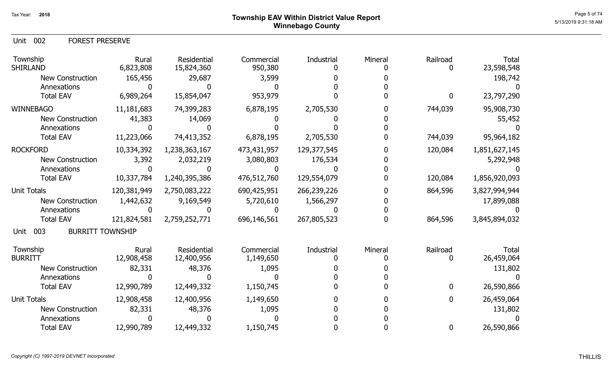Unit 002 FOREST PRESERVE

| Township<br><b>SHIRLAND</b>            | Rural<br>6,823,808 | <b>Residential</b><br>15,824,360 | Commercial<br>950,380 | Industrial  | Mineral | Railroad         | <b>Total</b><br>23,598,548 |
|----------------------------------------|--------------------|----------------------------------|-----------------------|-------------|---------|------------------|----------------------------|
| <b>New Construction</b>                | 165,456            | 29,687                           | 3,599                 |             |         |                  | 198,742                    |
| Annexations                            |                    |                                  |                       |             |         |                  |                            |
| <b>Total EAV</b>                       | 6,989,264          | 15,854,047                       | 953,979               |             |         | $\boldsymbol{0}$ | 23,797,290                 |
| <b>WINNEBAGO</b>                       | 11,181,683         | 74,399,283                       | 6,878,195             | 2,705,530   |         | 744,039          | 95,908,730                 |
| <b>New Construction</b>                | 41,383             | 14,069                           |                       |             |         |                  | 55,452                     |
| Annexations                            |                    |                                  |                       |             |         |                  |                            |
| <b>Total EAV</b>                       | 11,223,066         | 74,413,352                       | 6,878,195             | 2,705,530   |         | 744,039          | 95,964,182                 |
| <b>ROCKFORD</b>                        | 10,334,392         | 1,238,363,167                    | 473,431,957           | 129,377,545 |         | 120,084          | 1,851,627,145              |
| <b>New Construction</b>                | 3,392              | 2,032,219                        | 3,080,803             | 176,534     |         |                  | 5,292,948                  |
| Annexations                            |                    |                                  |                       |             |         |                  |                            |
| <b>Total EAV</b>                       | 10,337,784         | 1,240,395,386                    | 476,512,760           | 129,554,079 |         | 120,084          | 1,856,920,093              |
| <b>Unit Totals</b>                     | 120,381,949        | 2,750,083,222                    | 690,425,951           | 266,239,226 |         | 864,596          | 3,827,994,944              |
| <b>New Construction</b>                | 1,442,632          | 9,169,549                        | 5,720,610             | 1,566,297   |         |                  | 17,899,088                 |
| Annexations                            |                    |                                  |                       |             |         |                  |                            |
| <b>Total EAV</b>                       | 121,824,581        | 2,759,252,771                    | 696,146,561           | 267,805,523 |         | 864,596          | 3,845,894,032              |
| <b>BURRITT TOWNSHIP</b><br>003<br>Unit |                    |                                  |                       |             |         |                  |                            |
| Township                               | Rural              | Residential                      | Commercial            | Industrial  | Mineral | Railroad         | <b>Total</b>               |
| <b>BURRITT</b>                         | 12,908,458         | 12,400,956                       | 1,149,650             |             |         | O                | 26,459,064                 |
| <b>New Construction</b>                | 82,331             | 48,376                           | 1,095                 |             |         |                  | 131,802                    |
| Annexations                            |                    |                                  |                       |             |         |                  |                            |
| <b>Total EAV</b>                       | 12,990,789         | 12,449,332                       | 1,150,745             |             |         | $\mathbf 0$      | 26,590,866                 |
| <b>Unit Totals</b>                     | 12,908,458         | 12,400,956                       | 1,149,650             |             |         | 0                | 26,459,064                 |
| <b>New Construction</b>                | 82,331             | 48,376                           | 1,095                 |             |         |                  | 131,802                    |
| Annexations                            |                    |                                  |                       |             |         |                  |                            |
| <b>Total EAV</b>                       | 12,990,789         | 12,449,332                       | 1,150,745             |             |         | $\mathbf 0$      | 26,590,866                 |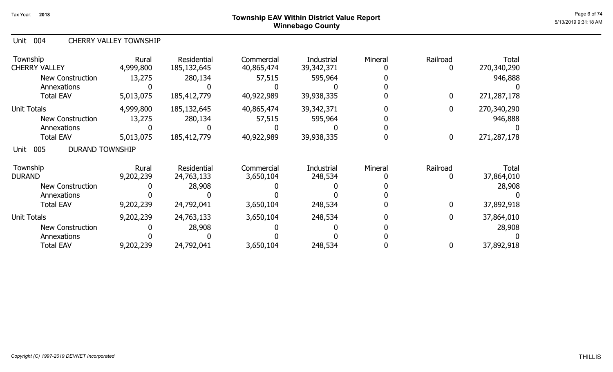# Page 6 of 74  $^{Page\ 6\ 6\ 74}$ Winnebago County

#### Unit 004 CHERRY VALLEY TOWNSHIP

| Township<br><b>CHERRY VALLEY</b>      | Rural<br>4,999,800 | Residential<br>185, 132, 645 | Commercial<br>40,865,474 | Industrial<br>39, 342, 371 | Mineral | Railroad<br>0    | <b>Total</b><br>270,340,290 |
|---------------------------------------|--------------------|------------------------------|--------------------------|----------------------------|---------|------------------|-----------------------------|
| New Construction                      | 13,275             | 280,134                      | 57,515                   | 595,964                    |         |                  | 946,888                     |
| Annexations                           |                    |                              |                          |                            |         |                  |                             |
| <b>Total EAV</b>                      | 5,013,075          | 185,412,779                  | 40,922,989               | 39,938,335                 |         | $\bf{0}$         | 271,287,178                 |
| <b>Unit Totals</b>                    | 4,999,800          | 185, 132, 645                | 40,865,474               | 39,342,371                 |         | 0                | 270,340,290                 |
| <b>New Construction</b>               | 13,275             | 280,134                      | 57,515                   | 595,964                    |         |                  | 946,888                     |
| Annexations                           |                    |                              |                          |                            |         |                  |                             |
| <b>Total EAV</b>                      | 5,013,075          | 185,412,779                  | 40,922,989               | 39,938,335                 |         | $\boldsymbol{0}$ | 271,287,178                 |
| <b>DURAND TOWNSHIP</b><br>005<br>Unit |                    |                              |                          |                            |         |                  |                             |
| Township                              | Rural              | Residential                  | Commercial               | Industrial                 | Mineral | Railroad         | Total                       |
| <b>DURAND</b>                         | 9,202,239          | 24,763,133                   | 3,650,104                | 248,534                    |         | 0                | 37,864,010                  |
| <b>New Construction</b>               |                    | 28,908                       |                          |                            |         |                  | 28,908                      |
| Annexations                           |                    |                              |                          |                            |         |                  |                             |
| <b>Total EAV</b>                      | 9,202,239          | 24,792,041                   | 3,650,104                | 248,534                    |         | $\bf{0}$         | 37,892,918                  |
| Unit Totals                           | 9,202,239          | 24,763,133                   | 3,650,104                | 248,534                    |         | $\mathbf 0$      | 37,864,010                  |
| <b>New Construction</b>               |                    | 28,908                       |                          |                            |         |                  | 28,908                      |
| Annexations                           |                    |                              |                          |                            |         |                  |                             |
| <b>Total EAV</b>                      | 9,202,239          | 24,792,041                   | 3,650,104                | 248,534                    |         | 0                | 37,892,918                  |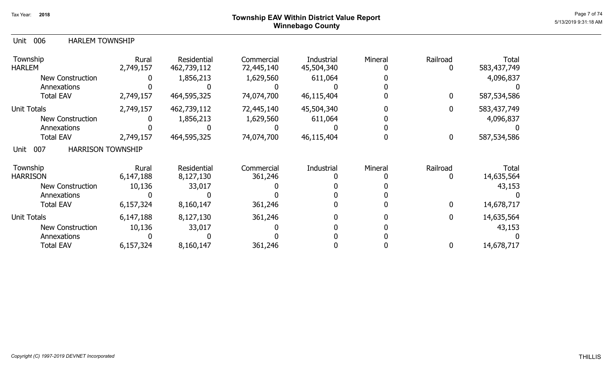## Page 7 of 74  $^{Page\ 7}$  of 74  $^{Page\ 7}$  of 74  $^{Page\ 7}$  of 74  $^{Page\ 7}$  of 74  $^{Page\ 7}$  of 74  $^{Page\ 7}$  of 74  $^{Page\ 7}$  of 74  $^{Page\ 7}$  of 74  $^{Type\ 7}$  of 74  $^{Type\ 7}$  of 74  $^{Type\ 7}$  or 74  $^{Type\ 7}$  or 74  $^{Type\ 7}$  or 74  $^{Type\ 7}$  or 74 Winnebago County

| Unit 006 | <b>HARLEM TOWNSHIP</b> |
|----------|------------------------|
|          |                        |

| Township<br><b>HARLEM</b>               | Rural<br>2,749,157 | Residential<br>462,739,112 | Commercial<br>72,445,140 | Industrial<br>45,504,340 | Mineral | Railroad     | <b>Total</b><br>583,437,749 |
|-----------------------------------------|--------------------|----------------------------|--------------------------|--------------------------|---------|--------------|-----------------------------|
| <b>New Construction</b>                 |                    | 1,856,213                  | 1,629,560                | 611,064                  |         |              | 4,096,837                   |
| Annexations                             |                    |                            |                          |                          |         |              |                             |
| <b>Total EAV</b>                        | 2,749,157          | 464,595,325                | 74,074,700               | 46,115,404               |         | 0            | 587,534,586                 |
| <b>Unit Totals</b>                      | 2,749,157          | 462,739,112                | 72,445,140               | 45,504,340               |         |              | 583,437,749                 |
| <b>New Construction</b>                 |                    | 1,856,213                  | 1,629,560                | 611,064                  |         |              | 4,096,837                   |
| Annexations                             |                    |                            |                          |                          |         |              |                             |
| <b>Total EAV</b>                        | 2,749,157          | 464,595,325                | 74,074,700               | 46,115,404               |         | 0            | 587,534,586                 |
| <b>HARRISON TOWNSHIP</b><br>007<br>Unit |                    |                            |                          |                          |         |              |                             |
| Township                                | Rural              | Residential                | Commercial               | Industrial               | Mineral | Railroad     | Total                       |
| <b>HARRISON</b>                         | 6,147,188          | 8,127,130                  | 361,246                  |                          |         |              | 14,635,564                  |
| <b>New Construction</b>                 | 10,136             | 33,017                     |                          |                          |         |              | 43,153                      |
| Annexations                             |                    |                            |                          |                          |         |              |                             |
| <b>Total EAV</b>                        | 6,157,324          | 8,160,147                  | 361,246                  |                          |         | $\mathbf{0}$ | 14,678,717                  |
| <b>Unit Totals</b>                      | 6,147,188          | 8,127,130                  | 361,246                  |                          |         | 0            | 14,635,564                  |
| <b>New Construction</b>                 | 10,136             | 33,017                     |                          |                          |         |              | 43,153                      |
| Annexations                             |                    |                            |                          |                          |         |              |                             |
| <b>Total EAV</b>                        | 6,157,324          | 8,160,147                  | 361,246                  |                          |         | 0            | 14,678,717                  |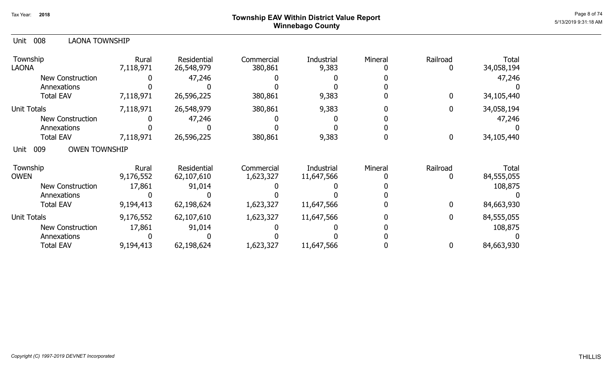# Page 8 of 74  $^{Page\ 8\ of\ 74}$   $^{Page\ 8\ of\ 74}$ Winnebago County

| 008<br><b>LAONA TOWNSHIP</b><br>Unit |                    |                           |                         |                          |         |                  |                     |
|--------------------------------------|--------------------|---------------------------|-------------------------|--------------------------|---------|------------------|---------------------|
| Township<br><b>LAONA</b>             | Rural<br>7,118,971 | Residential<br>26,548,979 | Commercial<br>380,861   | Industrial<br>9,383      | Mineral | Railroad<br>0    | Total<br>34,058,194 |
| <b>New Construction</b>              |                    | 47,246                    |                         |                          |         |                  | 47,246              |
| Annexations                          |                    |                           |                         |                          |         |                  |                     |
| <b>Total EAV</b>                     | 7,118,971          | 26,596,225                | 380,861                 | 9,383                    |         | $\overline{0}$   | 34,105,440          |
| <b>Unit Totals</b>                   | 7,118,971          | 26,548,979                | 380,861                 | 9,383                    |         | $\mathbf{0}$     | 34,058,194          |
| New Construction                     |                    | 47,246                    |                         |                          |         |                  | 47,246              |
| Annexations                          |                    |                           |                         |                          |         |                  |                     |
| <b>Total EAV</b>                     | 7,118,971          | 26,596,225                | 380,861                 | 9,383                    |         | $\boldsymbol{0}$ | 34,105,440          |
| <b>OWEN TOWNSHIP</b><br>009<br>Unit  |                    |                           |                         |                          |         |                  |                     |
| Township<br><b>OWEN</b>              | Rural<br>9,176,552 | Residential<br>62,107,610 | Commercial<br>1,623,327 | Industrial<br>11,647,566 | Mineral | Railroad<br>0    | Total<br>84,555,055 |
| New Construction                     | 17,861             | 91,014                    |                         |                          |         |                  | 108,875             |
| Annexations                          |                    |                           |                         |                          |         |                  |                     |
| <b>Total EAV</b>                     | 9,194,413          | 62,198,624                | 1,623,327               | 11,647,566               |         | $\boldsymbol{0}$ | 84,663,930          |
| <b>Unit Totals</b>                   | 9,176,552          | 62,107,610                | 1,623,327               | 11,647,566               |         | $\mathbf{0}$     | 84,555,055          |
| <b>New Construction</b>              | 17,861             | 91,014                    |                         |                          |         |                  | 108,875             |
| Annexations                          |                    |                           |                         |                          |         |                  |                     |
| <b>Total EAV</b>                     | 9,194,413          | 62,198,624                | 1,623,327               | 11,647,566               |         | 0                | 84,663,930          |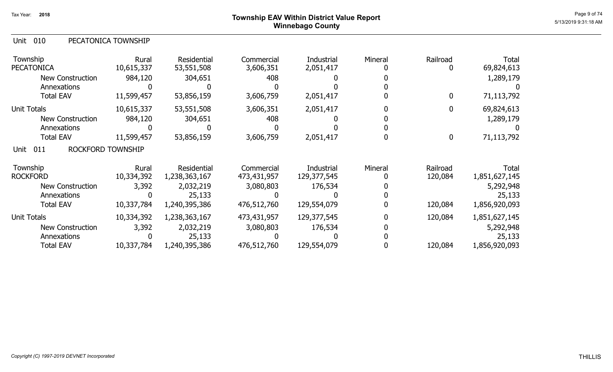010 Unit PECATONICA TOWNSHIP

| Township<br><b>PECATONICA</b>           | Rural<br>10,615,337 | Residential<br>53,551,508 | Commercial<br>3,606,351 | Industrial<br>2,051,417 | Mineral | Railroad<br>$\mathbf 0$ | <b>Total</b><br>69,824,613 |
|-----------------------------------------|---------------------|---------------------------|-------------------------|-------------------------|---------|-------------------------|----------------------------|
| New Construction                        | 984,120             | 304,651                   | 408                     |                         |         |                         | 1,289,179                  |
| Annexations                             |                     |                           |                         |                         |         |                         |                            |
| <b>Total EAV</b>                        | 11,599,457          | 53,856,159                | 3,606,759               | 2,051,417               |         | $\bf{0}$                | 71,113,792                 |
| <b>Unit Totals</b>                      | 10,615,337          | 53,551,508                | 3,606,351               | 2,051,417               |         | $\bf{0}$                | 69,824,613                 |
| New Construction                        | 984,120             | 304,651                   | 408                     |                         |         |                         | 1,289,179                  |
| Annexations                             |                     |                           |                         |                         |         |                         |                            |
| <b>Total EAV</b>                        | 11,599,457          | 53,856,159                | 3,606,759               | 2,051,417               |         | $\boldsymbol{0}$        | 71,113,792                 |
| 011<br><b>ROCKFORD TOWNSHIP</b><br>Unit |                     |                           |                         |                         |         |                         |                            |
| Township                                | Rural               | Residential               | Commercial              | Industrial              | Mineral | Railroad                | <b>Total</b>               |
| <b>ROCKFORD</b>                         | 10,334,392          | 1,238,363,167             | 473,431,957             | 129,377,545             |         | 120,084                 | 1,851,627,145              |
| <b>New Construction</b>                 | 3,392               | 2,032,219                 | 3,080,803               | 176,534                 |         |                         | 5,292,948                  |
| Annexations                             | 0                   | 25,133                    |                         |                         |         |                         | 25,133                     |
| <b>Total EAV</b>                        | 10,337,784          | 1,240,395,386             | 476,512,760             | 129,554,079             |         | 120,084                 | 1,856,920,093              |
| <b>Unit Totals</b>                      | 10,334,392          | 1,238,363,167             | 473,431,957             | 129,377,545             |         | 120,084                 | 1,851,627,145              |
| <b>New Construction</b>                 | 3,392               | 2,032,219                 | 3,080,803               | 176,534                 |         |                         | 5,292,948                  |
| Annexations                             |                     | 25,133                    |                         |                         |         |                         | 25,133                     |
| <b>Total EAV</b>                        | 10,337,784          | 1,240,395,386             | 476,512,760             | 129,554,079             |         | 120,084                 | 1,856,920,093              |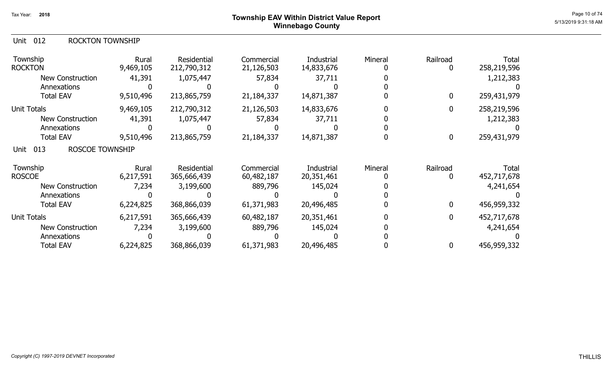# Page 10 of 74  $^{Page\ 10\ of\ 74}$   $^{Page\ 10\ of\ 74}$ Winnebago County

### Unit 012 ROCKTON TOWNSHIP

| Township<br><b>ROCKTON</b>            | Rural<br>9,469,105 | Residential<br>212,790,312 | Commercial<br>21,126,503 | Industrial<br>14,833,676 | Mineral | Railroad<br>0 | <b>Total</b><br>258,219,596 |
|---------------------------------------|--------------------|----------------------------|--------------------------|--------------------------|---------|---------------|-----------------------------|
| <b>New Construction</b>               | 41,391             | 1,075,447                  | 57,834                   | 37,711                   |         |               | 1,212,383                   |
| Annexations                           |                    |                            |                          |                          |         |               |                             |
| <b>Total EAV</b>                      | 9,510,496          | 213,865,759                | 21,184,337               | 14,871,387               |         | 0             | 259,431,979                 |
| <b>Unit Totals</b>                    | 9,469,105          | 212,790,312                | 21,126,503               | 14,833,676               |         | $\mathbf 0$   | 258,219,596                 |
| <b>New Construction</b>               | 41,391             | 1,075,447                  | 57,834                   | 37,711                   |         |               | 1,212,383                   |
| Annexations                           |                    |                            |                          |                          |         |               |                             |
| <b>Total EAV</b>                      | 9,510,496          | 213,865,759                | 21,184,337               | 14,871,387               |         | 0             | 259,431,979                 |
| <b>ROSCOE TOWNSHIP</b><br>013<br>Unit |                    |                            |                          |                          |         |               |                             |
| Township                              | Rural              | <b>Residential</b>         | Commercial               | Industrial               | Mineral | Railroad      | Total                       |
| <b>ROSCOE</b>                         | 6,217,591          | 365,666,439                | 60,482,187               | 20,351,461               |         | $\mathbf{0}$  | 452,717,678                 |
| <b>New Construction</b>               | 7,234              | 3,199,600                  | 889,796                  | 145,024                  |         |               | 4,241,654                   |
| Annexations                           |                    |                            |                          |                          |         |               |                             |
| <b>Total EAV</b>                      | 6,224,825          | 368,866,039                | 61,371,983               | 20,496,485               |         | 0             | 456,959,332                 |
| <b>Unit Totals</b>                    | 6,217,591          | 365,666,439                | 60,482,187               | 20,351,461               |         | $\mathbf 0$   | 452,717,678                 |
| <b>New Construction</b>               | 7,234              | 3,199,600                  | 889,796                  | 145,024                  |         |               | 4,241,654                   |
| Annexations                           |                    |                            |                          |                          |         |               |                             |
| <b>Total EAV</b>                      | 6,224,825          | 368,866,039                | 61,371,983               | 20,496,485               |         | 0             | 456,959,332                 |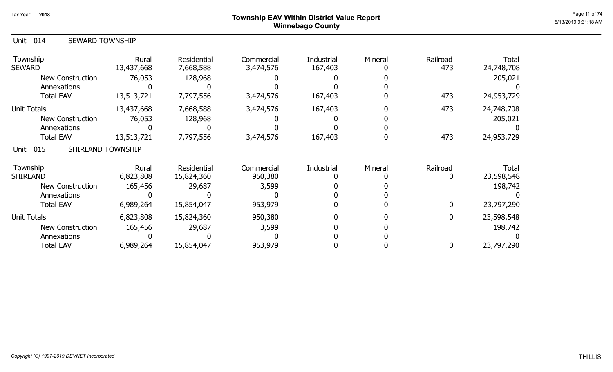## Page 11 of 74  $^{\sf Page\ 11\ of\ 74}$   $^{\sf Page\ 11\ of\ 74}$ Winnebago County

| Unit<br>014<br><b>SEWARD TOWNSHIP</b> |                     |                                 |                         |                       |         |                 |                     |
|---------------------------------------|---------------------|---------------------------------|-------------------------|-----------------------|---------|-----------------|---------------------|
| Township<br><b>SEWARD</b>             | Rural<br>13,437,668 | <b>Residential</b><br>7,668,588 | Commercial<br>3,474,576 | Industrial<br>167,403 | Mineral | Railroad<br>473 | Total<br>24,748,708 |
| <b>New Construction</b>               | 76,053              | 128,968                         |                         |                       |         |                 | 205,021             |
| Annexations                           |                     |                                 |                         |                       |         |                 |                     |
| <b>Total EAV</b>                      | 13,513,721          | 7,797,556                       | 3,474,576               | 167,403               |         | 473             | 24,953,729          |
| Unit Totals                           | 13,437,668          | 7,668,588                       | 3,474,576               | 167,403               |         | 473             | 24,748,708          |
| <b>New Construction</b>               | 76,053              | 128,968                         |                         |                       |         |                 | 205,021             |
| Annexations                           |                     |                                 |                         |                       |         |                 |                     |
| <b>Total EAV</b>                      | 13,513,721          | 7,797,556                       | 3,474,576               | 167,403               |         | 473             | 24,953,729          |
| SHIRLAND TOWNSHIP<br>Unit 015         |                     |                                 |                         |                       |         |                 |                     |
| Township                              | Rural               | <b>Residential</b>              | Commercial              | Industrial            | Mineral | Railroad        | Total               |
| <b>SHIRLAND</b>                       | 6,823,808           | 15,824,360                      | 950,380                 |                       |         |                 | 23,598,548          |
| <b>New Construction</b>               | 165,456             | 29,687                          | 3,599                   |                       |         |                 | 198,742             |
| Annexations                           |                     |                                 |                         |                       |         |                 |                     |
| <b>Total EAV</b>                      | 6,989,264           | 15,854,047                      | 953,979                 |                       |         | $\Omega$        | 23,797,290          |
| Unit Totals                           | 6,823,808           | 15,824,360                      | 950,380                 |                       |         | $\mathbf{0}$    | 23,598,548          |
| <b>New Construction</b>               | 165,456             | 29,687                          | 3,599                   |                       |         |                 | 198,742             |
| Annexations                           |                     |                                 |                         |                       |         |                 |                     |
| <b>Total EAV</b>                      | 6,989,264           | 15,854,047                      | 953,979                 |                       |         | 0               | 23,797,290          |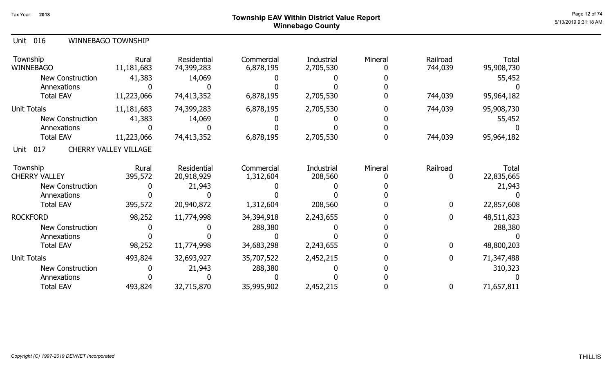## Page 12 of 74  $^{P_1}$ Page 12 of 74  $^{P_2}$ Winnebago County

|--|

| Township<br><b>WINNEBAGO</b> | Rural<br>11,181,683          | Residential<br>74,399,283 | Commercial<br>6,878,195 | Industrial<br>2,705,530 | Mineral | Railroad<br>744,039 | <b>Total</b><br>95,908,730 |
|------------------------------|------------------------------|---------------------------|-------------------------|-------------------------|---------|---------------------|----------------------------|
| <b>New Construction</b>      | 41,383                       | 14,069                    |                         |                         |         |                     | 55,452                     |
| Annexations                  |                              |                           |                         |                         |         |                     |                            |
| <b>Total EAV</b>             | 11,223,066                   | 74,413,352                | 6,878,195               | 2,705,530               |         | 744,039             | 95,964,182                 |
| Unit Totals                  | 11,181,683                   | 74,399,283                | 6,878,195               | 2,705,530               |         | 744,039             | 95,908,730                 |
| <b>New Construction</b>      | 41,383                       | 14,069                    |                         |                         |         |                     | 55,452                     |
| Annexations                  |                              |                           |                         |                         |         |                     |                            |
| <b>Total EAV</b>             | 11,223,066                   | 74,413,352                | 6,878,195               | 2,705,530               |         | 744,039             | 95,964,182                 |
| 017<br>Unit                  | <b>CHERRY VALLEY VILLAGE</b> |                           |                         |                         |         |                     |                            |
| Township                     | Rural                        | Residential               | Commercial              | Industrial              | Mineral | Railroad            | Total                      |
| <b>CHERRY VALLEY</b>         | 395,572                      | 20,918,929                | 1,312,604               | 208,560                 |         | 0                   | 22,835,665                 |
| <b>New Construction</b>      |                              | 21,943                    |                         |                         |         |                     | 21,943                     |
| Annexations                  |                              |                           |                         |                         |         |                     |                            |
| <b>Total EAV</b>             | 395,572                      | 20,940,872                | 1,312,604               | 208,560                 |         | $\mathbf 0$         | 22,857,608                 |
| <b>ROCKFORD</b>              | 98,252                       | 11,774,998                | 34,394,918              | 2,243,655               |         | $\mathbf 0$         | 48,511,823                 |
| New Construction             |                              |                           | 288,380                 |                         |         |                     | 288,380                    |
| Annexations                  |                              |                           |                         |                         |         |                     |                            |
| <b>Total EAV</b>             | 98,252                       | 11,774,998                | 34,683,298              | 2,243,655               |         | $\mathbf 0$         | 48,800,203                 |
| Unit Totals                  | 493,824                      | 32,693,927                | 35,707,522              | 2,452,215               |         | $\mathbf{0}$        | 71,347,488                 |
| <b>New Construction</b>      |                              | 21,943                    | 288,380                 |                         |         |                     | 310,323                    |
| Annexations                  |                              |                           |                         |                         |         |                     |                            |
| <b>Total EAV</b>             | 493,824                      | 32,715,870                | 35,995,902              | 2,452,215               |         | $\mathbf 0$         | 71,657,811                 |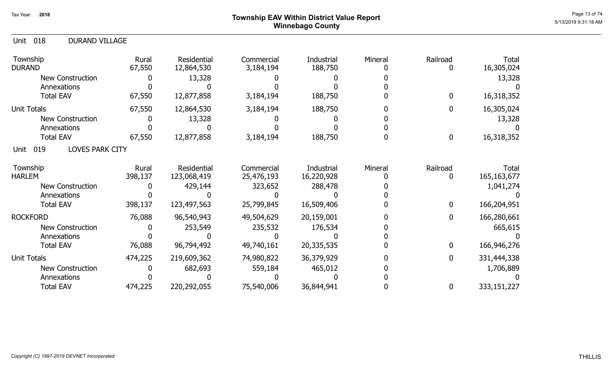# Page 13 of 74 Township EAV Within District Value Report Winnebago County

| 018<br><b>DURAND VILLAGE</b><br><b>Unit</b> |                  |                            |                          |                          |         |                      |                               |
|---------------------------------------------|------------------|----------------------------|--------------------------|--------------------------|---------|----------------------|-------------------------------|
| Township<br><b>DURAND</b>                   | Rural<br>67,550  | Residential<br>12,864,530  | Commercial<br>3,184,194  | Industrial<br>188,750    | Mineral | Railroad<br>0        | Total<br>16,305,024           |
| <b>New Construction</b>                     |                  | 13,328                     |                          |                          |         |                      | 13,328                        |
| Annexations                                 |                  |                            |                          |                          |         |                      |                               |
| <b>Total EAV</b>                            | 67,550           | 12,877,858                 | 3,184,194                | 188,750                  |         | $\bf{0}$             | 16,318,352                    |
| <b>Unit Totals</b>                          | 67,550           | 12,864,530                 | 3,184,194                | 188,750                  |         | 0                    | 16,305,024                    |
| <b>New Construction</b>                     |                  | 13,328                     |                          |                          |         |                      | 13,328                        |
| Annexations                                 |                  |                            |                          |                          |         |                      |                               |
| <b>Total EAV</b>                            | 67,550           | 12,877,858                 | 3,184,194                | 188,750                  |         | $\boldsymbol{0}$     | 16,318,352                    |
| <b>LOVES PARK CITY</b><br>019<br>Unit       |                  |                            |                          |                          |         |                      |                               |
| Township<br><b>HARLEM</b>                   | Rural<br>398,137 | Residential<br>123,068,419 | Commercial<br>25,476,193 | Industrial<br>16,220,928 | Mineral | Railroad<br>$\bf{0}$ | <b>Total</b><br>165, 163, 677 |
| <b>New Construction</b>                     |                  | 429,144                    | 323,652                  | 288,478                  |         |                      | 1,041,274                     |
| Annexations                                 |                  |                            |                          |                          |         |                      |                               |
| <b>Total EAV</b>                            | 398,137          | 123,497,563                | 25,799,845               | 16,509,406               |         | $\bf{0}$             | 166,204,951                   |
| <b>ROCKFORD</b>                             | 76,088           | 96,540,943                 | 49,504,629               | 20,159,001               |         | $\bf{0}$             | 166,280,661                   |
| New Construction                            |                  | 253,549                    | 235,532                  | 176,534                  |         |                      | 665,615                       |
| Annexations                                 |                  |                            |                          |                          |         |                      |                               |
| <b>Total EAV</b>                            | 76,088           | 96,794,492                 | 49,740,161               | 20,335,535               |         | $\bf{0}$             | 166,946,276                   |
| <b>Unit Totals</b>                          | 474,225          | 219,609,362                | 74,980,822               | 36,379,929               |         | $\bf{0}$             | 331,444,338                   |
| New Construction                            |                  | 682,693                    | 559,184                  | 465,012                  |         |                      | 1,706,889                     |
| Annexations                                 |                  |                            |                          |                          |         |                      |                               |
| <b>Total EAV</b>                            | 474,225          | 220,292,055                | 75,540,006               | 36,844,941               |         | $\mathbf 0$          | 333,151,227                   |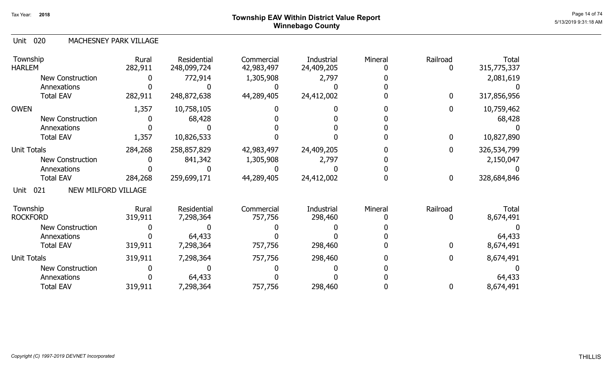# Page 14 of 74  $^{\sf Page\ 14\ of\ 74}$   $^{\sf Page\ 14\ of\ 74}$ Winnebago County

### 020 Unit MACHESNEY PARK VILLAGE

| Township<br><b>HARLEM</b>          | Rural<br>282,911 | Residential<br>248,099,724 | Commercial<br>42,983,497 | <b>Industrial</b><br>24,409,205 | Mineral | Railroad         | Total<br>315,775,337 |
|------------------------------------|------------------|----------------------------|--------------------------|---------------------------------|---------|------------------|----------------------|
| <b>New Construction</b>            |                  | 772,914                    | 1,305,908                | 2,797                           |         |                  | 2,081,619            |
| Annexations                        |                  |                            |                          |                                 |         |                  |                      |
| <b>Total EAV</b>                   | 282,911          | 248,872,638                | 44,289,405               | 24,412,002                      |         | $\bf{0}$         | 317,856,956          |
| <b>OWEN</b>                        | 1,357            | 10,758,105                 |                          |                                 |         | $\mathbf 0$      | 10,759,462           |
| New Construction                   |                  | 68,428                     |                          |                                 |         |                  | 68,428               |
| Annexations                        |                  |                            |                          |                                 |         |                  |                      |
| <b>Total EAV</b>                   | 1,357            | 10,826,533                 |                          |                                 |         | $\mathbf 0$      | 10,827,890           |
| <b>Unit Totals</b>                 | 284,268          | 258,857,829                | 42,983,497               | 24,409,205                      |         | $\mathbf 0$      | 326,534,799          |
| <b>New Construction</b>            |                  | 841,342                    | 1,305,908                | 2,797                           |         |                  | 2,150,047            |
| Annexations                        |                  |                            |                          |                                 |         |                  |                      |
| <b>Total EAV</b>                   | 284,268          | 259,699,171                | 44,289,405               | 24,412,002                      |         | $\boldsymbol{0}$ | 328,684,846          |
| NEW MILFORD VILLAGE<br>021<br>Unit |                  |                            |                          |                                 |         |                  |                      |
| Township<br><b>ROCKFORD</b>        | Rural            | Residential                | Commercial               | Industrial                      | Mineral | Railroad         | Total                |
|                                    | 319,911          | 7,298,364                  | 757,756                  | 298,460                         |         |                  | 8,674,491            |
| <b>New Construction</b>            |                  |                            |                          |                                 |         |                  |                      |
| Annexations<br><b>Total EAV</b>    |                  | 64,433                     |                          |                                 |         | 0                | 64,433               |
|                                    | 319,911          | 7,298,364                  | 757,756                  | 298,460                         |         |                  | 8,674,491            |
| <b>Unit Totals</b>                 | 319,911          | 7,298,364                  | 757,756                  | 298,460                         |         | 0                | 8,674,491            |
| <b>New Construction</b>            |                  |                            |                          |                                 |         |                  |                      |
| Annexations                        |                  | 64,433                     |                          |                                 |         |                  | 64,433               |
| <b>Total EAV</b>                   | 319,911          | 7,298,364                  | 757,756                  | 298,460                         |         | $\bf{0}$         | 8,674,491            |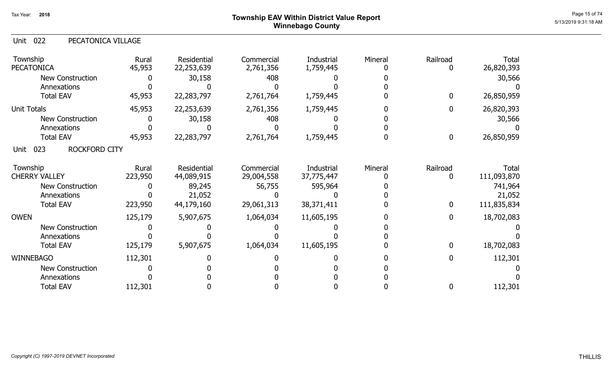# Page 15 of 74  $^{P_1}$ Page 15 of 74  $^{P_2}$ Winnebago County

| 022<br>Unit<br>PECATONICA VILLAGE |                  |                           |                          |                          |         |                  |                      |
|-----------------------------------|------------------|---------------------------|--------------------------|--------------------------|---------|------------------|----------------------|
| Township<br><b>PECATONICA</b>     | Rural<br>45,953  | Residential<br>22,253,639 | Commercial<br>2,761,356  | Industrial<br>1,759,445  | Mineral | Railroad<br>0    | Total<br>26,820,393  |
| <b>New Construction</b>           |                  | 30,158                    | 408                      |                          |         |                  | 30,566               |
| Annexations                       |                  |                           |                          |                          |         |                  |                      |
| <b>Total EAV</b>                  | 45,953           | 22,283,797                | 2,761,764                | 1,759,445                |         | $\bf{0}$         | 26,850,959           |
| <b>Unit Totals</b>                | 45,953           | 22,253,639                | 2,761,356                | 1,759,445                |         | $\mathbf 0$      | 26,820,393           |
| <b>New Construction</b>           |                  | 30,158                    | 408                      |                          |         |                  | 30,566               |
| Annexations                       |                  |                           |                          |                          |         |                  |                      |
| <b>Total EAV</b>                  | 45,953           | 22,283,797                | 2,761,764                | 1,759,445                |         | $\boldsymbol{0}$ | 26,850,959           |
| 023<br>ROCKFORD CITY<br>Unit      |                  |                           |                          |                          |         |                  |                      |
| Township<br><b>CHERRY VALLEY</b>  | Rural<br>223,950 | Residential<br>44,089,915 | Commercial<br>29,004,558 | Industrial<br>37,775,447 | Mineral | Railroad<br>0    | Total<br>111,093,870 |
| <b>New Construction</b>           |                  | 89,245                    | 56,755                   | 595,964                  |         |                  | 741,964              |
| Annexations                       |                  | 21,052                    |                          |                          |         |                  | 21,052               |
| <b>Total EAV</b>                  | 223,950          | 44,179,160                | 29,061,313               | 38,371,411               |         | $\mathbf 0$      | 111,835,834          |
| <b>OWEN</b>                       | 125,179          | 5,907,675                 | 1,064,034                | 11,605,195               |         | $\bf{0}$         | 18,702,083           |
| <b>New Construction</b>           |                  |                           |                          |                          |         |                  |                      |
| Annexations                       |                  |                           |                          |                          |         |                  |                      |
| <b>Total EAV</b>                  | 125,179          | 5,907,675                 | 1,064,034                | 11,605,195               |         | $\boldsymbol{0}$ | 18,702,083           |
| <b>WINNEBAGO</b>                  | 112,301          |                           |                          |                          |         | $\boldsymbol{0}$ | 112,301              |
| New Construction                  |                  |                           |                          |                          |         |                  |                      |
| Annexations                       |                  |                           |                          |                          |         |                  |                      |
| <b>Total EAV</b>                  | 112,301          |                           |                          |                          |         | 0                | 112,301              |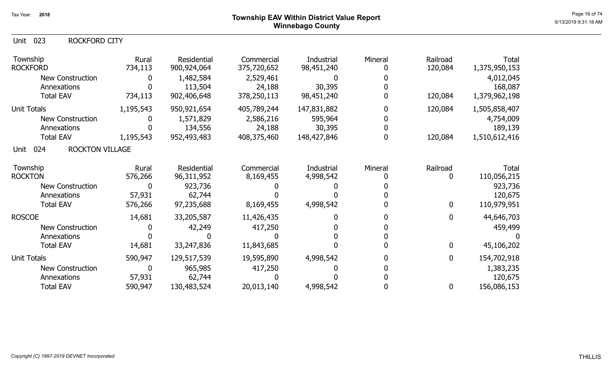### Unit 023 ROCKFORD CITY

| Township<br><b>ROCKFORD</b>           | Rural<br>734,113 | Residential<br>900,924,064 | Commercial<br>375,720,652 | Industrial<br>98,451,240 | Mineral | Railroad<br>120,084 | <b>Total</b><br>1,375,950,153 |
|---------------------------------------|------------------|----------------------------|---------------------------|--------------------------|---------|---------------------|-------------------------------|
| New Construction                      |                  | 1,482,584                  | 2,529,461                 |                          |         |                     | 4,012,045                     |
| Annexations                           |                  | 113,504                    | 24,188                    | 30,395                   |         |                     | 168,087                       |
| <b>Total EAV</b>                      | 734,113          | 902,406,648                | 378,250,113               | 98,451,240               |         | 120,084             | 1,379,962,198                 |
| Unit Totals                           | 1,195,543        | 950,921,654                | 405,789,244               | 147,831,882              |         | 120,084             | 1,505,858,407                 |
| <b>New Construction</b>               |                  | 1,571,829                  | 2,586,216                 | 595,964                  |         |                     | 4,754,009                     |
| Annexations                           |                  | 134,556                    | 24,188                    | 30,395                   |         |                     | 189,139                       |
| <b>Total EAV</b>                      | 1,195,543        | 952,493,483                | 408,375,460               | 148,427,846              |         | 120,084             | 1,510,612,416                 |
| 024<br><b>ROCKTON VILLAGE</b><br>Unit |                  |                            |                           |                          |         |                     |                               |
| Township                              | Rural            | Residential                | Commercial                | Industrial               | Mineral | Railroad            | Total                         |
| <b>ROCKTON</b>                        | 576,266          | 96,311,952                 | 8,169,455                 | 4,998,542                |         |                     | 110,056,215                   |
| <b>New Construction</b>               | 0                | 923,736                    |                           |                          |         |                     | 923,736                       |
| Annexations                           | 57,931           | 62,744                     |                           |                          |         |                     | 120,675                       |
| <b>Total EAV</b>                      | 576,266          | 97,235,688                 | 8,169,455                 | 4,998,542                |         | 0                   | 110,979,951                   |
| <b>ROSCOE</b>                         | 14,681           | 33,205,587                 | 11,426,435                |                          |         | 0                   | 44,646,703                    |
| <b>New Construction</b>               |                  | 42,249                     | 417,250                   |                          |         |                     | 459,499                       |
| Annexations                           |                  |                            |                           |                          |         |                     |                               |
| <b>Total EAV</b>                      | 14,681           | 33,247,836                 | 11,843,685                |                          |         | $\mathbf 0$         | 45,106,202                    |
| <b>Unit Totals</b>                    | 590,947          | 129,517,539                | 19,595,890                | 4,998,542                |         | $\mathbf 0$         | 154,702,918                   |
| New Construction                      | 0                | 965,985                    | 417,250                   |                          |         |                     | 1,383,235                     |
| Annexations                           | 57,931           | 62,744                     |                           |                          |         |                     | 120,675                       |
| <b>Total EAV</b>                      | 590,947          | 130,483,524                | 20,013,140                | 4,998,542                |         | 0                   | 156,086,153                   |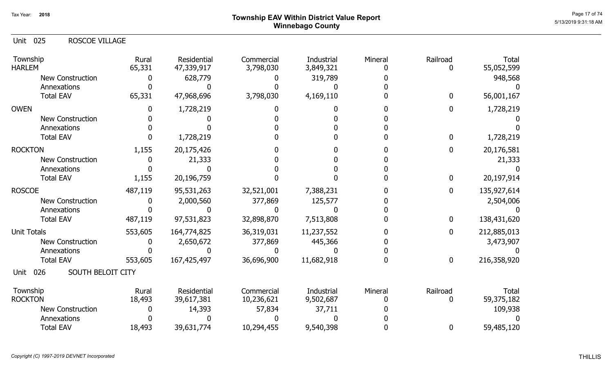# Page 17 of 74  $^{Page~17~of~74}$   $^{Page~17~of~74}$ Winnebago County

| <b>Unit 025</b><br><b>ROSCOE VILLAGE</b> |                 |                           |                         |                                |         |                  |                            |
|------------------------------------------|-----------------|---------------------------|-------------------------|--------------------------------|---------|------------------|----------------------------|
| Township<br><b>HARLEM</b>                | Rural<br>65,331 | Residential<br>47,339,917 | Commercial<br>3,798,030 | <b>Industrial</b><br>3,849,321 | Mineral | Railroad<br>0    | <b>Total</b><br>55,052,599 |
| <b>New Construction</b>                  |                 | 628,779                   |                         | 319,789                        |         |                  | 948,568                    |
| Annexations                              |                 |                           |                         |                                |         |                  |                            |
| <b>Total EAV</b>                         | 65,331          | 47,968,696                | 3,798,030               | 4,169,110                      |         | $\mathbf{0}$     | 56,001,167                 |
| <b>OWEN</b>                              |                 | 1,728,219                 | 0                       |                                |         | $\bf{0}$         | 1,728,219                  |
| <b>New Construction</b>                  |                 |                           |                         |                                |         |                  |                            |
| Annexations                              |                 |                           |                         |                                |         |                  |                            |
| <b>Total EAV</b>                         |                 | 1,728,219                 |                         |                                |         | $\mathbf 0$      | 1,728,219                  |
| <b>ROCKTON</b>                           | 1,155           | 20,175,426                |                         |                                |         | 0                | 20,176,581                 |
| <b>New Construction</b>                  |                 | 21,333                    |                         |                                |         |                  | 21,333                     |
| Annexations                              |                 |                           |                         |                                |         |                  |                            |
| <b>Total EAV</b>                         | 1,155           | 20,196,759                |                         |                                |         | $\mathbf 0$      | 20,197,914                 |
| <b>ROSCOE</b>                            | 487,119         | 95,531,263                | 32,521,001              | 7,388,231                      |         | $\mathbf 0$      | 135,927,614                |
| <b>New Construction</b>                  |                 | 2,000,560                 | 377,869                 | 125,577                        |         |                  | 2,504,006                  |
| Annexations                              |                 |                           |                         |                                |         |                  |                            |
| <b>Total EAV</b>                         | 487,119         | 97,531,823                | 32,898,870              | 7,513,808                      |         | $\mathbf 0$      | 138,431,620                |
| <b>Unit Totals</b>                       | 553,605         | 164,774,825               | 36,319,031              | 11,237,552                     |         | $\mathbf 0$      | 212,885,013                |
| <b>New Construction</b>                  |                 | 2,650,672                 | 377,869                 | 445,366                        |         |                  | 3,473,907                  |
| Annexations                              |                 |                           | <sup>0</sup>            |                                |         |                  |                            |
| <b>Total EAV</b>                         | 553,605         | 167,425,497               | 36,696,900              | 11,682,918                     | n       | $\boldsymbol{0}$ | 216,358,920                |
| 026<br>SOUTH BELOIT CITY<br>Unit         |                 |                           |                         |                                |         |                  |                            |
| Township                                 | Rural           | Residential               | Commercial              | Industrial                     | Mineral | Railroad         | <b>Total</b>               |
| <b>ROCKTON</b>                           | 18,493          | 39,617,381                | 10,236,621              | 9,502,687                      |         | 0                | 59,375,182                 |
| <b>New Construction</b>                  |                 | 14,393                    | 57,834                  | 37,711                         |         |                  | 109,938                    |
| Annexations                              |                 |                           |                         |                                |         |                  |                            |
| <b>Total EAV</b>                         | 18,493          | 39,631,774                | 10,294,455              | 9,540,398                      |         | 0                | 59,485,120                 |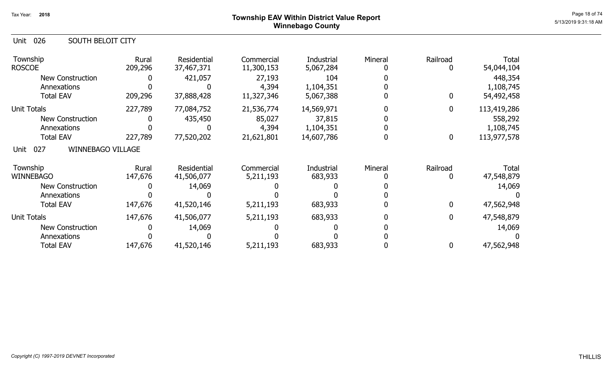## ${\sf Township~EAV~Within~District~Value~ Report}$   ${\sf Poport}$ Winnebago County

| 026<br>Unit<br><b>SOUTH BELOIT CITY</b> |                  |                           |                          |                         |         |               |                     |
|-----------------------------------------|------------------|---------------------------|--------------------------|-------------------------|---------|---------------|---------------------|
| Township<br><b>ROSCOE</b>               | Rural<br>209,296 | Residential<br>37,467,371 | Commercial<br>11,300,153 | Industrial<br>5,067,284 | Mineral | Railroad      | Total<br>54,044,104 |
| New Construction                        |                  | 421,057                   | 27,193                   | 104                     |         |               | 448,354             |
| Annexations                             |                  |                           | 4,394                    | 1,104,351               |         |               | 1,108,745           |
| <b>Total EAV</b>                        | 209,296          | 37,888,428                | 11,327,346               | 5,067,388               |         | $\bf{0}$      | 54,492,458          |
| <b>Unit Totals</b>                      | 227,789          | 77,084,752                | 21,536,774               | 14,569,971              |         | $\mathbf{0}$  | 113,419,286         |
| New Construction                        |                  | 435,450                   | 85,027                   | 37,815                  |         |               | 558,292             |
| Annexations                             |                  |                           | 4,394                    | 1,104,351               |         |               | 1,108,745           |
| <b>Total EAV</b>                        | 227,789          | 77,520,202                | 21,621,801               | 14,607,786              |         | $\mathbf 0$   | 113,977,578         |
| <b>WINNEBAGO VILLAGE</b><br>027<br>Unit |                  |                           |                          |                         |         |               |                     |
| Township<br><b>WINNEBAGO</b>            | Rural<br>147,676 | Residential<br>41,506,077 | Commercial<br>5,211,193  | Industrial<br>683,933   | Mineral | Railroad<br>0 | Total<br>47,548,879 |
| <b>New Construction</b>                 |                  | 14,069                    |                          |                         |         |               | 14,069              |
| Annexations                             |                  |                           |                          |                         |         |               |                     |
| <b>Total EAV</b>                        | 147,676          | 41,520,146                | 5,211,193                | 683,933                 |         | $\Omega$      | 47,562,948          |
| <b>Unit Totals</b>                      | 147,676          | 41,506,077                | 5,211,193                | 683,933                 |         | $\mathbf{0}$  | 47,548,879          |
| <b>New Construction</b>                 |                  | 14,069                    |                          |                         |         |               | 14,069              |
| Annexations                             |                  |                           |                          |                         |         |               |                     |
| <b>Total EAV</b>                        | 147,676          | 41,520,146                | 5,211,193                | 683,933                 |         | 0             | 47,562,948          |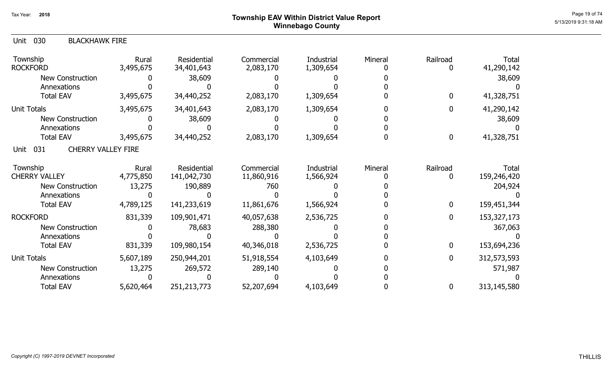# Page 19 of 74  $^{Page\ 19\ of\ 74}$   $^{Page\ 19\ of\ 74}$ Winnebago County

| Unit<br>030<br><b>BLACKHAWK FIRE</b>     |                    |                           |                         |                         |         |               |                            |
|------------------------------------------|--------------------|---------------------------|-------------------------|-------------------------|---------|---------------|----------------------------|
| Township<br><b>ROCKFORD</b>              | Rural<br>3,495,675 | Residential<br>34,401,643 | Commercial<br>2,083,170 | Industrial<br>1,309,654 | Mineral | Railroad<br>0 | <b>Total</b><br>41,290,142 |
| <b>New Construction</b>                  |                    | 38,609                    |                         |                         |         |               | 38,609                     |
| Annexations                              |                    |                           |                         |                         |         |               |                            |
| <b>Total EAV</b>                         | 3,495,675          | 34,440,252                | 2,083,170               | 1,309,654               |         | 0             | 41,328,751                 |
| <b>Unit Totals</b>                       | 3,495,675          | 34,401,643                | 2,083,170               | 1,309,654               |         | 0             | 41,290,142                 |
| <b>New Construction</b>                  |                    | 38,609                    |                         |                         |         |               | 38,609                     |
| Annexations                              |                    |                           |                         |                         |         |               |                            |
| <b>Total EAV</b>                         | 3,495,675          | 34,440,252                | 2,083,170               | 1,309,654               |         | 0             | 41,328,751                 |
| 031<br><b>CHERRY VALLEY FIRE</b><br>Unit |                    |                           |                         |                         |         |               |                            |
| Township                                 | Rural              | Residential               | Commercial              | <b>Industrial</b>       | Mineral | Railroad      | <b>Total</b>               |
| <b>CHERRY VALLEY</b>                     | 4,775,850          | 141,042,730               | 11,860,916              | 1,566,924               |         | 0             | 159,246,420                |
| <b>New Construction</b>                  | 13,275             | 190,889                   | 760                     |                         |         |               | 204,924                    |
| Annexations                              |                    |                           |                         |                         |         |               |                            |
| <b>Total EAV</b>                         | 4,789,125          | 141,233,619               | 11,861,676              | 1,566,924               |         | 0             | 159,451,344                |
| <b>ROCKFORD</b>                          | 831,339            | 109,901,471               | 40,057,638              | 2,536,725               |         | 0             | 153, 327, 173              |
| <b>New Construction</b>                  |                    | 78,683                    | 288,380                 |                         |         |               | 367,063                    |
| Annexations                              |                    |                           |                         |                         |         |               |                            |
| <b>Total EAV</b>                         | 831,339            | 109,980,154               | 40,346,018              | 2,536,725               |         | 0             | 153,694,236                |
| <b>Unit Totals</b>                       | 5,607,189          | 250,944,201               | 51,918,554              | 4,103,649               |         | 0             | 312,573,593                |
| <b>New Construction</b>                  | 13,275             | 269,572                   | 289,140                 |                         |         |               | 571,987                    |
| Annexations                              |                    |                           |                         |                         |         |               |                            |
| <b>Total EAV</b>                         | 5,620,464          | 251,213,773               | 52,207,694              | 4,103,649               |         | 0             | 313,145,580                |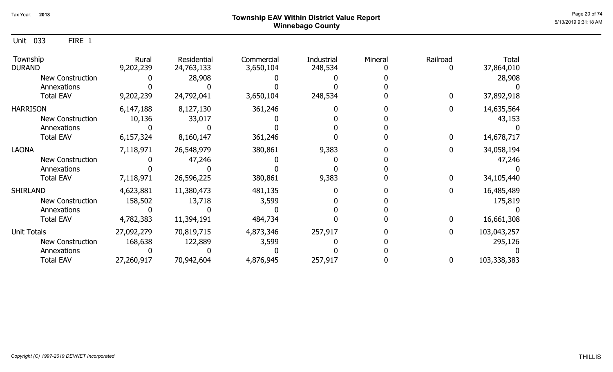Unit 033 FIRE 1

| Township<br><b>DURAND</b> | Rural<br>9,202,239 | Residential<br>24,763,133 | Commercial<br>3,650,104 | Industrial<br>248,534 | Mineral | Railroad | Total<br>37,864,010 |
|---------------------------|--------------------|---------------------------|-------------------------|-----------------------|---------|----------|---------------------|
| <b>New Construction</b>   |                    | 28,908                    |                         |                       |         |          | 28,908              |
| Annexations               |                    |                           |                         |                       |         |          |                     |
| <b>Total EAV</b>          | 9,202,239          | 24,792,041                | 3,650,104               | 248,534               |         |          | 37,892,918          |
| <b>HARRISON</b>           | 6,147,188          | 8,127,130                 | 361,246                 |                       |         |          | 14,635,564          |
| <b>New Construction</b>   | 10,136             | 33,017                    |                         |                       |         |          | 43,153              |
| Annexations               |                    |                           |                         |                       |         |          |                     |
| <b>Total EAV</b>          | 6,157,324          | 8,160,147                 | 361,246                 |                       |         |          | 14,678,717          |
| <b>LAONA</b>              | 7,118,971          | 26,548,979                | 380,861                 | 9,383                 |         |          | 34,058,194          |
| <b>New Construction</b>   |                    | 47,246                    |                         |                       |         |          | 47,246              |
| Annexations               |                    |                           |                         |                       |         |          |                     |
| <b>Total EAV</b>          | 7,118,971          | 26,596,225                | 380,861                 | 9,383                 |         |          | 34,105,440          |
| <b>SHIRLAND</b>           | 4,623,881          | 11,380,473                | 481,135                 |                       |         |          | 16,485,489          |
| <b>New Construction</b>   | 158,502            | 13,718                    | 3,599                   |                       |         |          | 175,819             |
| Annexations               |                    |                           |                         |                       |         |          |                     |
| <b>Total EAV</b>          | 4,782,383          | 11,394,191                | 484,734                 |                       |         |          | 16,661,308          |
| <b>Unit Totals</b>        | 27,092,279         | 70,819,715                | 4,873,346               | 257,917               |         | 0        | 103,043,257         |
| <b>New Construction</b>   | 168,638            | 122,889                   | 3,599                   |                       |         |          | 295,126             |
| Annexations               |                    |                           |                         |                       |         |          |                     |
| <b>Total EAV</b>          | 27,260,917         | 70,942,604                | 4,876,945               | 257,917               |         | 0        | 103,338,383         |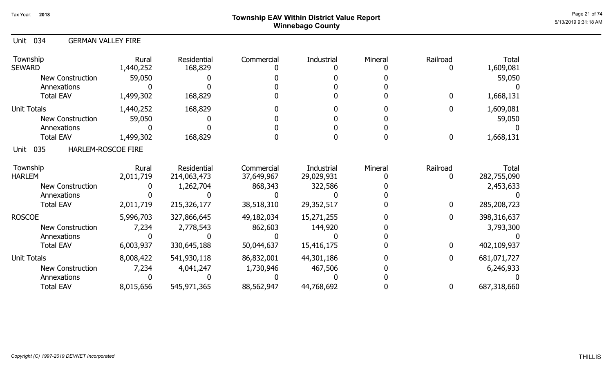# Page 21 of 74  $^{Page\ 21\ of\ 74}$   $^{Page\ 21\ of\ 74}$ Winnebago County

### Unit 034 GERMAN VALLEY FIRE

| Township<br><b>SEWARD</b>         | Rural<br>1,440,252 | Residential<br>168,829 | Commercial | Industrial | Mineral | Railroad         | <b>Total</b><br>1,609,081 |
|-----------------------------------|--------------------|------------------------|------------|------------|---------|------------------|---------------------------|
| <b>New Construction</b>           | 59,050             |                        |            |            |         |                  | 59,050                    |
| Annexations                       |                    |                        |            |            |         |                  |                           |
| <b>Total EAV</b>                  | 1,499,302          | 168,829                |            |            |         | $\Omega$         | 1,668,131                 |
| <b>Unit Totals</b>                | 1,440,252          | 168,829                |            |            |         | $\mathbf 0$      | 1,609,081                 |
| <b>New Construction</b>           | 59,050             |                        |            |            |         |                  | 59,050                    |
| Annexations                       |                    |                        |            |            |         |                  |                           |
| <b>Total EAV</b>                  | 1,499,302          | 168,829                |            |            |         | $\boldsymbol{0}$ | 1,668,131                 |
| 035<br>HARLEM-ROSCOE FIRE<br>Unit |                    |                        |            |            |         |                  |                           |
| Township                          | Rural              | Residential            | Commercial | Industrial | Mineral | Railroad         | Total                     |
| <b>HARLEM</b>                     | 2,011,719          | 214,063,473            | 37,649,967 | 29,029,931 |         |                  | 282,755,090               |
| New Construction                  |                    | 1,262,704              | 868,343    | 322,586    |         |                  | 2,453,633                 |
| Annexations                       |                    |                        |            |            |         |                  |                           |
| <b>Total EAV</b>                  | 2,011,719          | 215,326,177            | 38,518,310 | 29,352,517 |         | $\mathbf 0$      | 285,208,723               |
| <b>ROSCOE</b>                     | 5,996,703          | 327,866,645            | 49,182,034 | 15,271,255 |         | $\mathbf 0$      | 398,316,637               |
| <b>New Construction</b>           | 7,234              | 2,778,543              | 862,603    | 144,920    |         |                  | 3,793,300                 |
| Annexations                       |                    |                        |            |            |         |                  |                           |
| <b>Total EAV</b>                  | 6,003,937          | 330,645,188            | 50,044,637 | 15,416,175 |         | $\bf{0}$         | 402,109,937               |
| <b>Unit Totals</b>                | 8,008,422          | 541,930,118            | 86,832,001 | 44,301,186 |         | $\bf{0}$         | 681,071,727               |
| <b>New Construction</b>           | 7,234              | 4,041,247              | 1,730,946  | 467,506    |         |                  | 6,246,933                 |
| Annexations                       |                    |                        |            |            |         |                  |                           |
| <b>Total EAV</b>                  | 8,015,656          | 545,971,365            | 88,562,947 | 44,768,692 |         | $\bf{0}$         | 687,318,660               |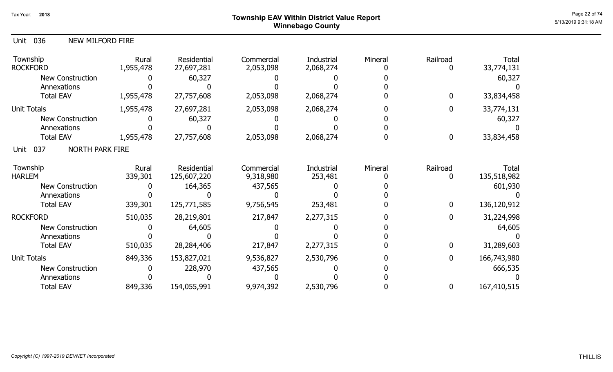# Page 22 of 74  $^{P_1}$ Page 22 of 74  $^{P_2}$  of 74  $^{P_3}$ Winnebago County

| Unit<br>036<br>NEW MILFORD FIRE       |                    |                            |                         |                         |         |                  |                      |
|---------------------------------------|--------------------|----------------------------|-------------------------|-------------------------|---------|------------------|----------------------|
| Township<br><b>ROCKFORD</b>           | Rural<br>1,955,478 | Residential<br>27,697,281  | Commercial<br>2,053,098 | Industrial<br>2,068,274 | Mineral | Railroad<br>0    | Total<br>33,774,131  |
| <b>New Construction</b>               |                    | 60,327                     |                         |                         |         |                  | 60,327               |
| Annexations                           |                    |                            |                         |                         |         |                  |                      |
| <b>Total EAV</b>                      | 1,955,478          | 27,757,608                 | 2,053,098               | 2,068,274               |         | $\mathbf 0$      | 33,834,458           |
| <b>Unit Totals</b>                    | 1,955,478          | 27,697,281                 | 2,053,098               | 2,068,274               |         | $\mathbf{0}$     | 33,774,131           |
| <b>New Construction</b>               |                    | 60,327                     |                         |                         |         |                  | 60,327               |
| Annexations                           |                    |                            |                         |                         |         |                  |                      |
| <b>Total EAV</b>                      | 1,955,478          | 27,757,608                 | 2,053,098               | 2,068,274               |         | $\boldsymbol{0}$ | 33,834,458           |
| 037<br><b>NORTH PARK FIRE</b><br>Unit |                    |                            |                         |                         |         |                  |                      |
| Township<br><b>HARLEM</b>             | Rural<br>339,301   | Residential<br>125,607,220 | Commercial<br>9,318,980 | Industrial<br>253,481   | Mineral | Railroad<br>0    | Total<br>135,518,982 |
| <b>New Construction</b>               |                    | 164,365                    | 437,565                 |                         |         |                  | 601,930              |
| Annexations                           |                    |                            |                         |                         |         |                  |                      |
| <b>Total EAV</b>                      | 339,301            | 125,771,585                | 9,756,545               | 253,481                 |         | $\mathbf 0$      | 136,120,912          |
| <b>ROCKFORD</b>                       | 510,035            | 28,219,801                 | 217,847                 | 2,277,315               |         | $\mathbf{0}$     | 31,224,998           |
| <b>New Construction</b>               |                    | 64,605                     |                         |                         |         |                  | 64,605               |
| Annexations                           |                    |                            |                         |                         |         |                  |                      |
| <b>Total EAV</b>                      | 510,035            | 28,284,406                 | 217,847                 | 2,277,315               |         | $\mathbf 0$      | 31,289,603           |
| <b>Unit Totals</b>                    | 849,336            | 153,827,021                | 9,536,827               | 2,530,796               |         | $\mathbf{0}$     | 166,743,980          |
| New Construction                      |                    | 228,970                    | 437,565                 |                         |         |                  | 666,535              |
| Annexations                           |                    |                            |                         |                         |         |                  |                      |
| <b>Total EAV</b>                      | 849,336            | 154,055,991                | 9,974,392               | 2,530,796               |         | 0                | 167,410,515          |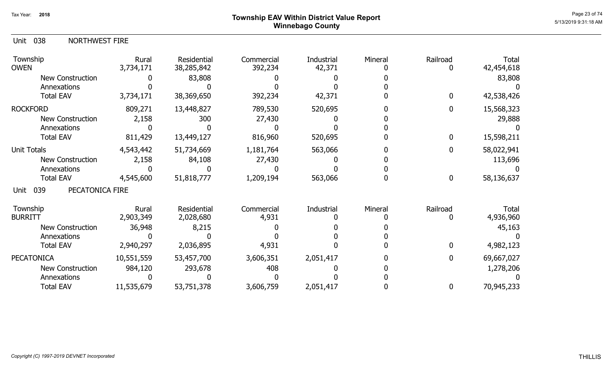# ${\sf Township~EAV~Within~District~Value~Report} \nonumber \hspace{5.5cm} \begin{array}{c} {\sf Page~23~of~74} \ {\small \textbf{23.} \end{array}$ Winnebago County

### 038 Unit NORTHWEST FIRE

| Township<br><b>OWEN</b>        | Rural<br>3,734,171 | Residential<br>38,285,842 | Commercial<br>392,234 | Industrial<br>42,371 | Mineral | Railroad | Total<br>42,454,618 |
|--------------------------------|--------------------|---------------------------|-----------------------|----------------------|---------|----------|---------------------|
| <b>New Construction</b>        |                    | 83,808                    |                       |                      |         |          | 83,808              |
| Annexations                    |                    |                           |                       |                      |         |          |                     |
| <b>Total EAV</b>               | 3,734,171          | 38,369,650                | 392,234               | 42,371               |         | 0        | 42,538,426          |
| <b>ROCKFORD</b>                | 809,271            | 13,448,827                | 789,530               | 520,695              |         | 0        | 15,568,323          |
| New Construction               | 2,158              | 300                       | 27,430                |                      |         |          | 29,888              |
| Annexations                    |                    |                           |                       |                      |         |          |                     |
| <b>Total EAV</b>               | 811,429            | 13,449,127                | 816,960               | 520,695              |         | 0        | 15,598,211          |
| <b>Unit Totals</b>             | 4,543,442          | 51,734,669                | 1,181,764             | 563,066              |         | 0        | 58,022,941          |
| New Construction               | 2,158              | 84,108                    | 27,430                |                      |         |          | 113,696             |
| Annexations                    |                    |                           |                       |                      |         |          |                     |
| <b>Total EAV</b>               | 4,545,600          | 51,818,777                | 1,209,194             | 563,066              |         | 0        | 58,136,637          |
| PECATONICA FIRE<br>039<br>Unit |                    |                           |                       |                      |         |          |                     |
| Township                       | Rural              | <b>Residential</b>        | Commercial            | Industrial           | Mineral | Railroad | Total               |
| <b>BURRITT</b>                 | 2,903,349          | 2,028,680                 | 4,931                 |                      |         |          | 4,936,960           |
| New Construction               | 36,948             | 8,215                     |                       |                      |         |          | 45,163              |
| Annexations                    |                    |                           |                       |                      |         |          |                     |
| <b>Total EAV</b>               | 2,940,297          | 2,036,895                 | 4,931                 |                      |         | 0        | 4,982,123           |
| <b>PECATONICA</b>              | 10,551,559         | 53,457,700                | 3,606,351             | 2,051,417            |         | 0        | 69,667,027          |
| <b>New Construction</b>        | 984,120            | 293,678                   | 408                   |                      |         |          | 1,278,206           |
| Annexations                    |                    |                           |                       |                      |         |          |                     |
| <b>Total EAV</b>               | 11,535,679         | 53,751,378                | 3,606,759             | 2,051,417            |         | 0        | 70,945,233          |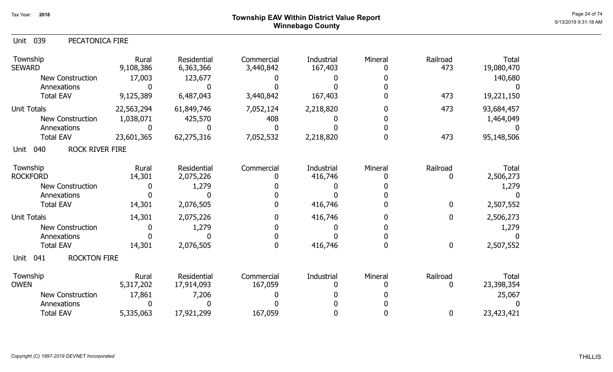| 039<br>PECATONICA FIRE<br>Unit        |                    |                          |                         |                       |              |                 |                     |
|---------------------------------------|--------------------|--------------------------|-------------------------|-----------------------|--------------|-----------------|---------------------|
| Township<br><b>SEWARD</b>             | Rural<br>9,108,386 | Residential<br>6,363,366 | Commercial<br>3,440,842 | Industrial<br>167,403 | Mineral<br>0 | Railroad<br>473 | Total<br>19,080,470 |
| <b>New Construction</b>               | 17,003             | 123,677                  |                         |                       |              |                 | 140,680             |
| Annexations                           |                    | Ŋ                        |                         |                       | O            |                 |                     |
| <b>Total EAV</b>                      | 9,125,389          | 6,487,043                | 3,440,842               | 167,403               |              | 473             | 19,221,150          |
| <b>Unit Totals</b>                    | 22,563,294         | 61,849,746               | 7,052,124               | 2,218,820             | O            | 473             | 93,684,457          |
| <b>New Construction</b>               | 1,038,071          | 425,570                  | 408                     |                       |              |                 | 1,464,049           |
| Annexations                           | 0                  |                          | N                       |                       | O            |                 |                     |
| <b>Total EAV</b>                      | 23,601,365         | 62,275,316               | 7,052,532               | 2,218,820             | N            | 473             | 95,148,506          |
| <b>ROCK RIVER FIRE</b><br>040<br>Unit |                    |                          |                         |                       |              |                 |                     |
| Township                              | Rural              | Residential              | Commercial              | Industrial            | Mineral      | Railroad        | Total               |
| <b>ROCKFORD</b>                       | 14,301             | 2,075,226                | O                       | 416,746               | O            | 0               | 2,506,273           |
| <b>New Construction</b>               | 0                  | 1,279                    |                         |                       |              |                 | 1,279               |
| Annexations                           |                    | O                        |                         |                       |              |                 |                     |
| <b>Total EAV</b>                      | 14,301             | 2,076,505                |                         | 416,746               |              | 0               | 2,507,552           |
| <b>Unit Totals</b>                    | 14,301             | 2,075,226                | 0                       | 416,746               |              | 0               | 2,506,273           |
| <b>New Construction</b>               | 0                  | 1,279                    |                         |                       |              |                 | 1,279               |
| Annexations                           |                    |                          | 0                       |                       | 0            |                 |                     |
| <b>Total EAV</b>                      | 14,301             | 2,076,505                | 0                       | 416,746               | 0            | 0               | 2,507,552           |
| <b>ROCKTON FIRE</b><br>Unit<br>041    |                    |                          |                         |                       |              |                 |                     |
| Township                              | Rural              | Residential              | Commercial              | Industrial            | Mineral      | Railroad        | Total               |
| <b>OWEN</b>                           | 5,317,202          | 17,914,093               | 167,059                 | 0                     |              | 0               | 23,398,354          |
| <b>New Construction</b>               | 17,861             | 7,206                    |                         |                       |              |                 | 25,067              |
| Annexations                           |                    |                          |                         |                       |              |                 |                     |
| <b>Total EAV</b>                      | 5,335,063          | 17,921,299               | 167,059                 |                       |              | 0               | 23,423,421          |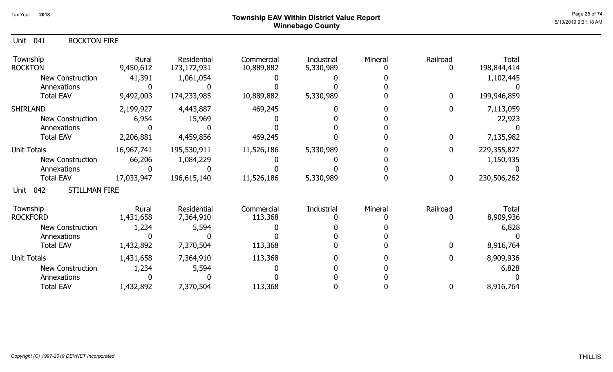# ${\sf Township~EAV~Within~District~Value~Report} \nonumber \hspace{5.5cm} \textcolor{red}{\sf Page~25~of~74} \nonumber$ Winnebago County

### Unit 041 ROCKTON FIRE

| Township<br><b>ROCKTON</b>          | Rural<br>9,450,612 | <b>Residential</b><br>173, 172, 931 | Commercial<br>10,889,882 | Industrial<br>5,330,989 | Mineral | Railroad         | Total<br>198,844,414 |
|-------------------------------------|--------------------|-------------------------------------|--------------------------|-------------------------|---------|------------------|----------------------|
| <b>New Construction</b>             | 41,391             | 1,061,054                           |                          |                         |         |                  | 1,102,445            |
| Annexations                         |                    |                                     |                          |                         |         |                  |                      |
| <b>Total EAV</b>                    | 9,492,003          | 174,233,985                         | 10,889,882               | 5,330,989               |         | $\mathbf{0}$     | 199,946,859          |
| <b>SHIRLAND</b>                     | 2,199,927          | 4,443,887                           | 469,245                  |                         |         | 0                | 7,113,059            |
| <b>New Construction</b>             | 6,954              | 15,969                              |                          |                         |         |                  | 22,923               |
| Annexations                         |                    |                                     |                          |                         |         |                  |                      |
| <b>Total EAV</b>                    | 2,206,881          | 4,459,856                           | 469,245                  |                         |         | 0                | 7,135,982            |
| <b>Unit Totals</b>                  | 16,967,741         | 195,530,911                         | 11,526,186               | 5,330,989               |         | $\mathbf{0}$     | 229,355,827          |
| New Construction                    | 66,206             | 1,084,229                           |                          |                         |         |                  | 1,150,435            |
| Annexations                         |                    |                                     |                          |                         |         |                  |                      |
| <b>Total EAV</b>                    | 17,033,947         | 196,615,140                         | 11,526,186               | 5,330,989               |         | $\boldsymbol{0}$ | 230,506,262          |
| <b>STILLMAN FIRE</b><br>042<br>Unit |                    |                                     |                          |                         |         |                  |                      |
| Township                            | Rural              | Residential                         | Commercial               | Industrial              | Mineral | Railroad         | Total                |
| <b>ROCKFORD</b>                     | 1,431,658          | 7,364,910                           | 113,368                  |                         |         |                  | 8,909,936            |
| <b>New Construction</b>             | 1,234              | 5,594                               |                          |                         |         |                  | 6,828                |
| Annexations                         |                    |                                     |                          |                         |         |                  |                      |
| <b>Total EAV</b>                    | 1,432,892          | 7,370,504                           | 113,368                  |                         |         | 0                | 8,916,764            |
| <b>Unit Totals</b>                  | 1,431,658          | 7,364,910                           | 113,368                  |                         |         | 0                | 8,909,936            |
| <b>New Construction</b>             | 1,234              | 5,594                               |                          |                         |         |                  | 6,828                |
| Annexations                         |                    |                                     |                          |                         |         |                  |                      |
| <b>Total EAV</b>                    | 1,432,892          | 7,370,504                           | 113,368                  |                         |         | 0                | 8,916,764            |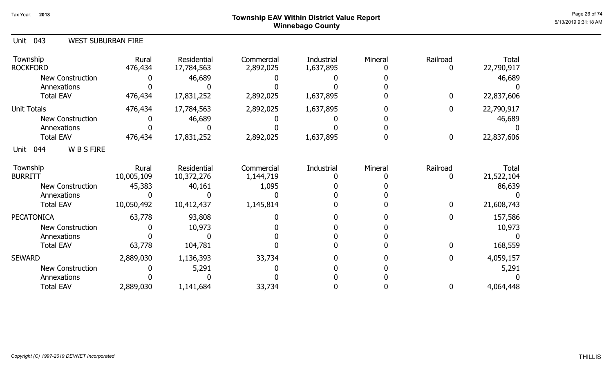# ${\sf Township~EAV~Within~District~Value~Report} \nonumber \hspace{5.5cm} \textcolor{red}{\sf Page~26~of~74} \nonumber$ Winnebago County

| 043<br><b>WEST SUBURBAN FIRE</b><br>Unit |                     |                           |                         |                         |         |              |                     |
|------------------------------------------|---------------------|---------------------------|-------------------------|-------------------------|---------|--------------|---------------------|
| Township<br><b>ROCKFORD</b>              | Rural<br>476,434    | Residential<br>17,784,563 | Commercial<br>2,892,025 | Industrial<br>1,637,895 | Mineral | Railroad     | Total<br>22,790,917 |
| <b>New Construction</b>                  |                     | 46,689                    |                         |                         |         |              | 46,689              |
| Annexations                              |                     |                           |                         |                         |         |              |                     |
| <b>Total EAV</b>                         | 476,434             | 17,831,252                | 2,892,025               | 1,637,895               |         | $\mathbf{0}$ | 22,837,606          |
| <b>Unit Totals</b>                       | 476,434             | 17,784,563                | 2,892,025               | 1,637,895               |         | 0            | 22,790,917          |
| <b>New Construction</b>                  |                     | 46,689                    |                         |                         |         |              | 46,689              |
| Annexations                              |                     |                           |                         |                         |         |              |                     |
| <b>Total EAV</b>                         | 476,434             | 17,831,252                | 2,892,025               | 1,637,895               |         | 0            | 22,837,606          |
| W B S FIRE<br>Unit<br>044                |                     |                           |                         |                         |         |              |                     |
| Township<br><b>BURRITT</b>               | Rural<br>10,005,109 | Residential<br>10,372,276 | Commercial<br>1,144,719 | Industrial              | Mineral | Railroad     | Total<br>21,522,104 |
| <b>New Construction</b>                  | 45,383              | 40,161                    | 1,095                   |                         |         |              | 86,639              |
| Annexations                              |                     |                           |                         |                         |         |              |                     |
| <b>Total EAV</b>                         | 10,050,492          | 10,412,437                | 1,145,814               |                         |         | 0            | 21,608,743          |
| <b>PECATONICA</b>                        | 63,778              | 93,808                    |                         |                         |         | O            | 157,586             |
| <b>New Construction</b>                  |                     | 10,973                    |                         |                         |         |              | 10,973              |
| Annexations                              |                     |                           |                         |                         |         |              |                     |
| <b>Total EAV</b>                         | 63,778              | 104,781                   |                         |                         |         | <sup>0</sup> | 168,559             |
| <b>SEWARD</b>                            | 2,889,030           | 1,136,393                 | 33,734                  |                         |         | 0            | 4,059,157           |
| <b>New Construction</b>                  |                     | 5,291                     |                         |                         |         |              | 5,291               |
| Annexations                              |                     |                           |                         |                         |         |              |                     |
| <b>Total EAV</b>                         | 2,889,030           | 1,141,684                 | 33,734                  |                         |         | 0            | 4,064,448           |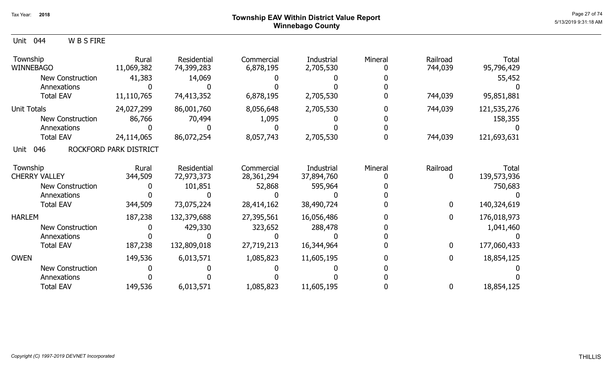### Page 27 of 74  $^{Page\ 27\ of\ 74}$   $^{Page\ 27\ of\ 74}$ Winnebago County

| Township<br><b>WINNEBAGO</b> | Rural<br>11,069,382    | Residential<br>74,399,283 | Commercial<br>6,878,195 | Industrial<br>2,705,530 | Mineral | Railroad<br>744,039 | <b>Total</b><br>95,796,429 |
|------------------------------|------------------------|---------------------------|-------------------------|-------------------------|---------|---------------------|----------------------------|
| <b>New Construction</b>      | 41,383                 | 14,069                    |                         |                         |         |                     | 55,452                     |
| Annexations                  |                        |                           |                         |                         |         |                     |                            |
| <b>Total EAV</b>             | 11,110,765             | 74,413,352                | 6,878,195               | 2,705,530               |         | 744,039             | 95,851,881                 |
| <b>Unit Totals</b>           | 24,027,299             | 86,001,760                | 8,056,648               | 2,705,530               |         | 744,039             | 121,535,276                |
| <b>New Construction</b>      | 86,766                 | 70,494                    | 1,095                   |                         |         |                     | 158,355                    |
| Annexations                  |                        |                           |                         |                         |         |                     |                            |
| <b>Total EAV</b>             | 24,114,065             | 86,072,254                | 8,057,743               | 2,705,530               |         | 744,039             | 121,693,631                |
| 046<br>Unit                  | ROCKFORD PARK DISTRICT |                           |                         |                         |         |                     |                            |
| Township                     | Rural                  | Residential               | Commercial              | Industrial              | Mineral | Railroad            | Total                      |
| <b>CHERRY VALLEY</b>         | 344,509                | 72,973,373                | 28,361,294              | 37,894,760              |         | 0                   | 139,573,936                |
| New Construction             |                        | 101,851                   | 52,868                  | 595,964                 |         |                     | 750,683                    |
| Annexations                  |                        |                           |                         |                         |         |                     |                            |
| <b>Total EAV</b>             | 344,509                | 73,075,224                | 28,414,162              | 38,490,724              |         | $\bf{0}$            | 140,324,619                |
| <b>HARLEM</b>                | 187,238                | 132,379,688               | 27,395,561              | 16,056,486              |         | $\bf{0}$            | 176,018,973                |
| New Construction             |                        | 429,330                   | 323,652                 | 288,478                 |         |                     | 1,041,460                  |
| Annexations                  |                        |                           |                         |                         |         |                     |                            |
| <b>Total EAV</b>             | 187,238                | 132,809,018               | 27,719,213              | 16,344,964              |         | $\bf{0}$            | 177,060,433                |
| <b>OWEN</b>                  | 149,536                | 6,013,571                 | 1,085,823               | 11,605,195              |         | $\mathbf{0}$        | 18,854,125                 |
| <b>New Construction</b>      |                        |                           |                         |                         |         |                     |                            |
| Annexations                  |                        |                           |                         |                         |         |                     |                            |
| <b>Total EAV</b>             | 149,536                | 6,013,571                 | 1,085,823               | 11,605,195              |         | $\bf{0}$            | 18,854,125                 |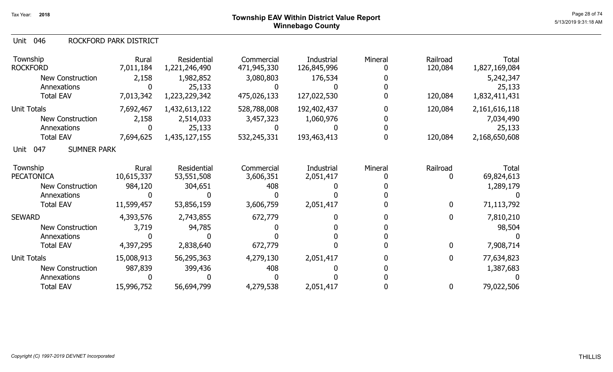#### 046 Unit ROCKFORD PARK DISTRICT

| Township<br><b>ROCKFORD</b>            | Rural<br>7,011,184  | Residential<br>1,221,246,490 | Commercial<br>471,945,330 | Industrial<br>126,845,996 | Mineral | Railroad<br>120,084 | Total<br>1,827,169,084 |
|----------------------------------------|---------------------|------------------------------|---------------------------|---------------------------|---------|---------------------|------------------------|
| <b>New Construction</b><br>Annexations | 2,158               | 1,982,852<br>25,133          | 3,080,803                 | 176,534                   |         |                     | 5,242,347<br>25,133    |
| <b>Total EAV</b>                       | 7,013,342           | 1,223,229,342                | 475,026,133               | 127,022,530               |         | 120,084             | 1,832,411,431          |
| <b>Unit Totals</b>                     | 7,692,467           | 1,432,613,122                | 528,788,008               | 192,402,437               |         | 120,084             | 2,161,616,118          |
| <b>New Construction</b><br>Annexations | 2,158               | 2,514,033<br>25,133          | 3,457,323                 | 1,060,976                 |         |                     | 7,034,490<br>25,133    |
| <b>Total EAV</b>                       | 7,694,625           | 1,435,127,155                | 532,245,331               | 193,463,413               |         | 120,084             | 2,168,650,608          |
| <b>SUMNER PARK</b><br>047<br>Unit      |                     |                              |                           |                           |         |                     |                        |
| Township<br><b>PECATONICA</b>          | Rural<br>10,615,337 | Residential<br>53,551,508    | Commercial<br>3,606,351   | Industrial<br>2,051,417   | Mineral | Railroad<br>0       | Total<br>69,824,613    |
| <b>New Construction</b>                | 984,120             | 304,651                      | 408                       |                           |         |                     | 1,289,179              |
| Annexations                            |                     |                              |                           |                           |         |                     |                        |
| <b>Total EAV</b>                       | 11,599,457          | 53,856,159                   | 3,606,759                 | 2,051,417                 |         | 0                   | 71,113,792             |
| <b>SEWARD</b>                          | 4,393,576           | 2,743,855                    | 672,779                   |                           |         | $\mathbf 0$         | 7,810,210              |
| New Construction                       | 3,719               | 94,785                       |                           |                           |         |                     | 98,504                 |
| Annexations                            |                     |                              |                           |                           |         |                     |                        |
| <b>Total EAV</b>                       | 4,397,295           | 2,838,640                    | 672,779                   |                           |         | $\mathbf 0$         | 7,908,714              |
| Unit Totals                            | 15,008,913          | 56,295,363                   | 4,279,130                 | 2,051,417                 |         | $\mathbf 0$         | 77,634,823             |
| New Construction                       | 987,839             | 399,436                      | 408                       |                           |         |                     | 1,387,683              |
| Annexations                            |                     |                              |                           |                           |         |                     |                        |
| <b>Total EAV</b>                       | 15,996,752          | 56,694,799                   | 4,279,538                 | 2,051,417                 |         | 0                   | 79,022,506             |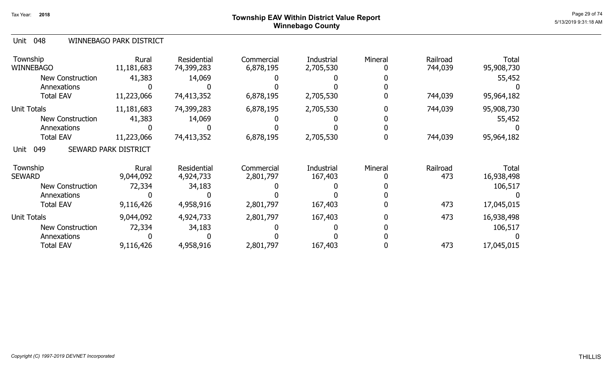# Page 29 of 74  $^{P_1}$ Page 29 of 74  $^{P_2}$ Winnebago County

### 048 Unit WINNEBAGO PARK DISTRICT

| Township<br><b>WINNEBAGO</b> | Rural<br>11,181,683  | Residential<br>74,399,283 | Commercial<br>6,878,195 | Industrial<br>2,705,530 | Mineral | Railroad<br>744,039 | <b>Total</b><br>95,908,730 |
|------------------------------|----------------------|---------------------------|-------------------------|-------------------------|---------|---------------------|----------------------------|
| <b>New Construction</b>      | 41,383               | 14,069                    |                         |                         |         |                     | 55,452                     |
| Annexations                  |                      |                           |                         |                         |         |                     |                            |
| <b>Total EAV</b>             | 11,223,066           | 74,413,352                | 6,878,195               | 2,705,530               |         | 744,039             | 95,964,182                 |
| Unit Totals                  | 11,181,683           | 74,399,283                | 6,878,195               | 2,705,530               |         | 744,039             | 95,908,730                 |
| <b>New Construction</b>      | 41,383               | 14,069                    |                         |                         |         |                     | 55,452                     |
| Annexations                  |                      |                           |                         |                         |         |                     |                            |
| <b>Total EAV</b>             | 11,223,066           | 74,413,352                | 6,878,195               | 2,705,530               |         | 744,039             | 95,964,182                 |
| 049<br>Unit                  | SEWARD PARK DISTRICT |                           |                         |                         |         |                     |                            |
| Township<br><b>SEWARD</b>    | Rural<br>9,044,092   | Residential<br>4,924,733  | Commercial<br>2,801,797 | Industrial<br>167,403   | Mineral | Railroad<br>473     | <b>Total</b><br>16,938,498 |
| <b>New Construction</b>      | 72,334               | 34,183                    |                         |                         |         |                     | 106,517                    |
| Annexations                  |                      |                           |                         |                         |         |                     |                            |
| <b>Total EAV</b>             | 9,116,426            | 4,958,916                 | 2,801,797               | 167,403                 |         | 473                 | 17,045,015                 |
| <b>Unit Totals</b>           | 9,044,092            | 4,924,733                 | 2,801,797               | 167,403                 |         | 473                 | 16,938,498                 |
| New Construction             | 72,334               | 34,183                    |                         |                         |         |                     | 106,517                    |
| Annexations                  |                      |                           |                         |                         |         |                     |                            |
| <b>Total EAV</b>             | 9,116,426            | 4,958,916                 | 2,801,797               | 167,403                 |         | 473                 | 17,045,015                 |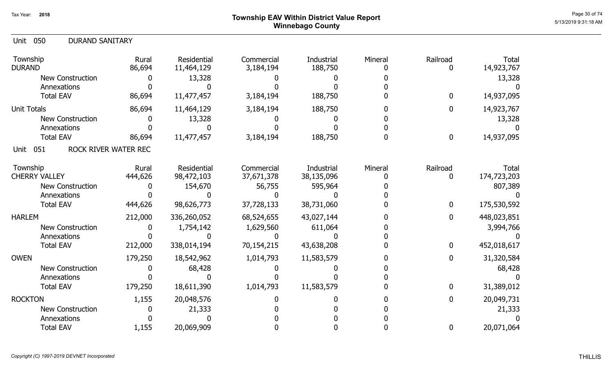# Page 30 of 74  $^{P_1}$ Page 30 of 74  $^{P_2}$   $\blacksquare$   $P_3$   $\blacksquare$   $P_4$   $\blacksquare$   $P_5$   $\blacksquare$   $P_6$   $\blacksquare$   $P_7$   $\blacksquare$   $P_8$   $\blacksquare$   $P_9$   $\blacksquare$   $P_8$   $\blacksquare$   $P_9$   $\blacksquare$   $P_8$   $\blacksquare$   $P_9$   $\blacksquare$   $P_9$   $\blacksquare$   $P_8$   $\blacksquare$   $P_$ Winnebago County

| 050<br><b>DURAND SANITARY</b><br>Unit |                 |                           |                         |                       |         |             |                            |
|---------------------------------------|-----------------|---------------------------|-------------------------|-----------------------|---------|-------------|----------------------------|
| Township<br><b>DURAND</b>             | Rural<br>86,694 | Residential<br>11,464,129 | Commercial<br>3,184,194 | Industrial<br>188,750 | Mineral | Railroad    | <b>Total</b><br>14,923,767 |
| <b>New Construction</b>               |                 | 13,328                    |                         |                       |         |             | 13,328                     |
| Annexations                           |                 |                           |                         |                       |         |             |                            |
| <b>Total EAV</b>                      | 86,694          | 11,477,457                | 3,184,194               | 188,750               |         | $\mathbf 0$ | 14,937,095                 |
| <b>Unit Totals</b>                    | 86,694          | 11,464,129                | 3,184,194               | 188,750               |         | 0           | 14,923,767                 |
| <b>New Construction</b>               |                 | 13,328                    |                         |                       |         |             | 13,328                     |
| Annexations                           |                 |                           |                         |                       |         |             |                            |
| <b>Total EAV</b>                      | 86,694          | 11,477,457                | 3,184,194               | 188,750               | 0       | $\mathbf 0$ | 14,937,095                 |
| ROCK RIVER WATER REC<br>051<br>Unit   |                 |                           |                         |                       |         |             |                            |
| Township                              | Rural           | Residential               | Commercial              | Industrial            | Mineral | Railroad    | <b>Total</b>               |
| <b>CHERRY VALLEY</b>                  | 444,626         | 98,472,103                | 37,671,378              | 38,135,096            |         | 0           | 174,723,203                |
| New Construction                      |                 | 154,670                   | 56,755                  | 595,964               |         |             | 807,389                    |
| Annexations                           |                 |                           |                         |                       |         |             |                            |
| <b>Total EAV</b>                      | 444,626         | 98,626,773                | 37,728,133              | 38,731,060            |         | 0           | 175,530,592                |
| <b>HARLEM</b>                         | 212,000         | 336,260,052               | 68,524,655              | 43,027,144            |         | $\mathbf 0$ | 448,023,851                |
| <b>New Construction</b>               |                 | 1,754,142                 | 1,629,560               | 611,064               |         |             | 3,994,766                  |
| Annexations                           |                 |                           |                         |                       |         |             |                            |
| <b>Total EAV</b>                      | 212,000         | 338,014,194               | 70,154,215              | 43,638,208            |         | $\mathbf 0$ | 452,018,617                |
| <b>OWEN</b>                           | 179,250         | 18,542,962                | 1,014,793               | 11,583,579            |         | $\bf{0}$    | 31,320,584                 |
| <b>New Construction</b>               |                 | 68,428                    |                         |                       |         |             | 68,428                     |
| Annexations                           |                 |                           |                         |                       |         |             |                            |
| <b>Total EAV</b>                      | 179,250         | 18,611,390                | 1,014,793               | 11,583,579            |         | $\mathbf 0$ | 31,389,012                 |
| <b>ROCKTON</b>                        | 1,155           | 20,048,576                |                         |                       |         | 0           | 20,049,731                 |
| <b>New Construction</b>               |                 | 21,333                    |                         |                       |         |             | 21,333                     |
| Annexations                           |                 |                           |                         |                       |         |             |                            |
| <b>Total EAV</b>                      | 1,155           | 20,069,909                |                         |                       |         | $\mathbf 0$ | 20,071,064                 |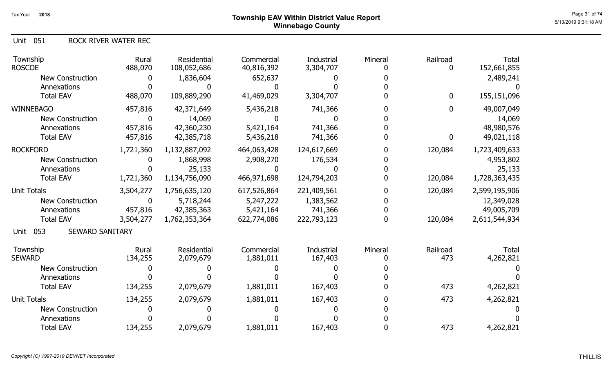Unit 051 ROCK RIVER WATER REC

| Township<br><b>ROSCOE</b>             | Rural<br>488,070 | Residential<br>108,052,686 | Commercial<br>40,816,392 | <b>Industrial</b><br>3,304,707 | Mineral  | Railroad<br>0   | <b>Total</b><br>152,661,855 |
|---------------------------------------|------------------|----------------------------|--------------------------|--------------------------------|----------|-----------------|-----------------------------|
| <b>New Construction</b>               |                  | 1,836,604                  | 652,637                  |                                |          |                 | 2,489,241                   |
| Annexations                           |                  |                            |                          |                                |          |                 |                             |
| <b>Total EAV</b>                      | 488,070          | 109,889,290                | 41,469,029               | 3,304,707                      |          | $\mathbf 0$     | 155,151,096                 |
| <b>WINNEBAGO</b>                      | 457,816          | 42,371,649                 | 5,436,218                | 741,366                        |          | 0               | 49,007,049                  |
| New Construction                      | 0                | 14,069                     |                          |                                |          |                 | 14,069                      |
| Annexations                           | 457,816          | 42,360,230                 | 5,421,164                | 741,366                        |          |                 | 48,980,576                  |
| <b>Total EAV</b>                      | 457,816          | 42,385,718                 | 5,436,218                | 741,366                        |          | 0               | 49,021,118                  |
| <b>ROCKFORD</b>                       | 1,721,360        | 1,132,887,092              | 464,063,428              | 124,617,669                    |          | 120,084         | 1,723,409,633               |
| <b>New Construction</b>               |                  | 1,868,998                  | 2,908,270                | 176,534                        |          |                 | 4,953,802                   |
| Annexations                           |                  | 25,133                     | 0                        |                                |          |                 | 25,133                      |
| <b>Total EAV</b>                      | 1,721,360        | 1,134,756,090              | 466,971,698              | 124,794,203                    |          | 120,084         | 1,728,363,435               |
| <b>Unit Totals</b>                    | 3,504,277        | 1,756,635,120              | 617,526,864              | 221,409,561                    |          | 120,084         | 2,599,195,906               |
| <b>New Construction</b>               | 0                | 5,718,244                  | 5,247,222                | 1,383,562                      |          |                 | 12,349,028                  |
| Annexations                           | 457,816          | 42,385,363                 | 5,421,164                | 741,366                        |          |                 | 49,005,709                  |
| <b>Total EAV</b>                      | 3,504,277        | 1,762,353,364              | 622,774,086              | 222,793,123                    | $\Omega$ | 120,084         | 2,611,544,934               |
| 053<br><b>SEWARD SANITARY</b><br>Unit |                  |                            |                          |                                |          |                 |                             |
| Township<br><b>SEWARD</b>             | Rural<br>134,255 | Residential<br>2,079,679   | Commercial<br>1,881,011  | Industrial<br>167,403          | Mineral  | Railroad<br>473 | <b>Total</b>                |
|                                       |                  |                            |                          |                                |          |                 | 4,262,821                   |
| <b>New Construction</b>               |                  |                            |                          |                                |          |                 |                             |
| Annexations                           |                  |                            |                          |                                |          |                 |                             |
| <b>Total EAV</b>                      | 134,255          | 2,079,679                  | 1,881,011                | 167,403                        |          | 473             | 4,262,821                   |
| <b>Unit Totals</b>                    | 134,255          | 2,079,679                  | 1,881,011                | 167,403                        |          | 473             | 4,262,821                   |
| <b>New Construction</b>               |                  |                            |                          |                                |          |                 |                             |
| Annexations                           |                  |                            |                          |                                |          |                 |                             |
| <b>Total EAV</b>                      | 134,255          | 2,079,679                  | 1,881,011                | 167,403                        |          | 473             | 4,262,821                   |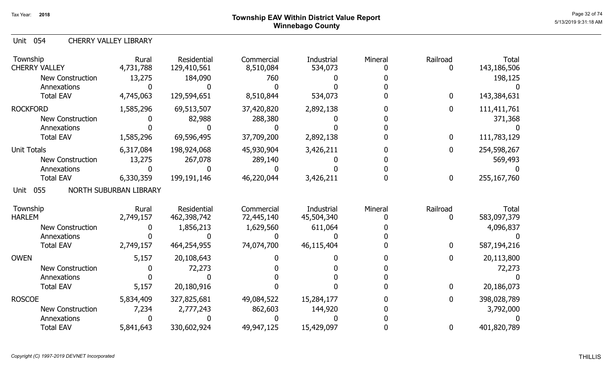Unit 054 CHERRY VALLEY LIBRARY

| Township<br><b>CHERRY VALLEY</b>       | Rural<br>4,731,788     | <b>Residential</b><br>129,410,561 | Commercial<br>8,510,084 | Industrial<br>534,073 | Mineral | Railroad | <b>Total</b><br>143,186,506 |
|----------------------------------------|------------------------|-----------------------------------|-------------------------|-----------------------|---------|----------|-----------------------------|
| <b>New Construction</b><br>Annexations | 13,275                 | 184,090                           | 760                     |                       |         |          | 198,125                     |
| <b>Total EAV</b>                       | 4,745,063              | 129,594,651                       | 8,510,844               | 534,073               |         | 0        | 143,384,631                 |
| <b>ROCKFORD</b>                        | 1,585,296              | 69,513,507                        | 37,420,820              | 2,892,138             |         | 0        | 111,411,761                 |
| <b>New Construction</b>                |                        | 82,988                            | 288,380                 |                       |         |          | 371,368                     |
| Annexations                            |                        |                                   |                         |                       |         |          |                             |
| <b>Total EAV</b>                       | 1,585,296              | 69,596,495                        | 37,709,200              | 2,892,138             |         | 0        | 111,783,129                 |
| <b>Unit Totals</b>                     | 6,317,084              | 198,924,068                       | 45,930,904              | 3,426,211             |         | 0        | 254,598,267                 |
| <b>New Construction</b>                | 13,275                 | 267,078                           | 289,140                 |                       |         |          | 569,493                     |
| Annexations                            |                        |                                   |                         |                       |         |          |                             |
| <b>Total EAV</b>                       | 6,330,359              | 199,191,146                       | 46,220,044              | 3,426,211             |         | 0        | 255,167,760                 |
| 055<br>Unit                            | NORTH SUBURBAN LIBRARY |                                   |                         |                       |         |          |                             |
| Township                               | Rural                  | <b>Residential</b>                | Commercial              | Industrial            | Mineral | Railroad | <b>Total</b>                |
| <b>HARLEM</b>                          | 2,749,157              | 462,398,742                       | 72,445,140              | 45,504,340            |         | 0        | 583,097,379                 |
| <b>New Construction</b>                |                        | 1,856,213                         | 1,629,560               | 611,064               |         |          | 4,096,837                   |
| Annexations                            |                        |                                   |                         |                       |         |          |                             |
| <b>Total EAV</b>                       | 2,749,157              | 464,254,955                       | 74,074,700              | 46,115,404            |         | 0        | 587,194,216                 |
| <b>OWEN</b>                            | 5,157                  | 20,108,643                        |                         |                       |         | 0        | 20,113,800                  |
| <b>New Construction</b>                |                        | 72,273                            |                         |                       |         |          | 72,273                      |
| Annexations                            |                        |                                   |                         |                       |         |          |                             |
| <b>Total EAV</b>                       | 5,157                  | 20,180,916                        |                         |                       |         | 0        | 20,186,073                  |
| <b>ROSCOE</b>                          | 5,834,409              | 327,825,681                       | 49,084,522              | 15,284,177            |         | 0        | 398,028,789                 |
| <b>New Construction</b>                | 7,234                  | 2,777,243                         | 862,603                 | 144,920               |         |          | 3,792,000                   |
| Annexations                            |                        |                                   |                         |                       |         |          |                             |
| <b>Total EAV</b>                       | 5,841,643              | 330,602,924                       | 49,947,125              | 15,429,097            |         | 0        | 401,820,789                 |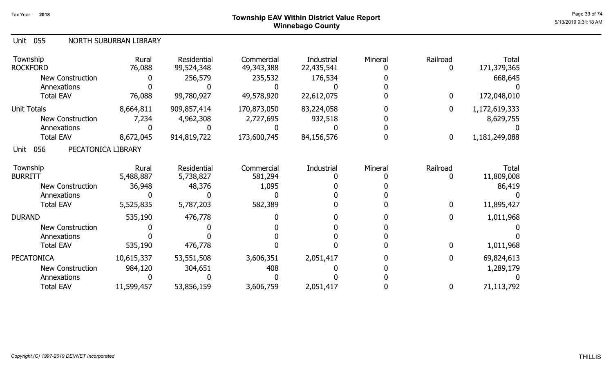# ${\sf Township~EAV~Within~District~Value~Report} \nonumber \hspace{5.5cm} \overset{\text{Page 33 of 74}}{\sim} \nonumber$ Winnebago County

#### Unit 055 NORTH SUBURBAN LIBRARY

| Township<br><b>ROCKFORD</b>       | Rural<br>76,088 | Residential<br>99,524,348 | Commercial<br>49,343,388 | Industrial<br>22,435,541 | Mineral | Railroad | Total<br>171,379,365 |
|-----------------------------------|-----------------|---------------------------|--------------------------|--------------------------|---------|----------|----------------------|
| <b>New Construction</b>           |                 | 256,579                   | 235,532                  | 176,534                  |         |          | 668,645              |
| Annexations                       |                 |                           |                          |                          |         |          |                      |
| <b>Total EAV</b>                  | 76,088          | 99,780,927                | 49,578,920               | 22,612,075               |         | 0        | 172,048,010          |
| <b>Unit Totals</b>                | 8,664,811       | 909,857,414               | 170,873,050              | 83,224,058               |         | 0        | 1,172,619,333        |
| <b>New Construction</b>           | 7,234           | 4,962,308                 | 2,727,695                | 932,518                  |         |          | 8,629,755            |
| Annexations                       |                 |                           |                          |                          |         |          |                      |
| <b>Total EAV</b>                  | 8,672,045       | 914,819,722               | 173,600,745              | 84,156,576               |         | 0        | 1,181,249,088        |
| 056<br>PECATONICA LIBRARY<br>Unit |                 |                           |                          |                          |         |          |                      |
| Township                          | Rural           | Residential               | Commercial               | Industrial               | Mineral | Railroad | Total                |
| <b>BURRITT</b>                    | 5,488,887       | 5,738,827                 | 581,294                  |                          |         |          | 11,809,008           |
| <b>New Construction</b>           | 36,948          | 48,376                    | 1,095                    |                          |         |          | 86,419               |
| Annexations                       |                 |                           |                          |                          |         |          |                      |
| <b>Total EAV</b>                  | 5,525,835       | 5,787,203                 | 582,389                  |                          |         | 0        | 11,895,427           |
| <b>DURAND</b>                     | 535,190         | 476,778                   |                          |                          |         | 0        | 1,011,968            |
| <b>New Construction</b>           |                 |                           |                          |                          |         |          |                      |
| Annexations                       |                 |                           |                          |                          |         |          |                      |
| <b>Total EAV</b>                  | 535,190         | 476,778                   |                          |                          |         | 0        | 1,011,968            |
| <b>PECATONICA</b>                 | 10,615,337      | 53,551,508                | 3,606,351                | 2,051,417                |         | 0        | 69,824,613           |
| <b>New Construction</b>           | 984,120         | 304,651                   | 408                      |                          |         |          | 1,289,179            |
| Annexations                       |                 |                           |                          |                          |         |          |                      |
| <b>Total EAV</b>                  | 11,599,457      | 53,856,159                | 3,606,759                | 2,051,417                |         | 0        | 71,113,792           |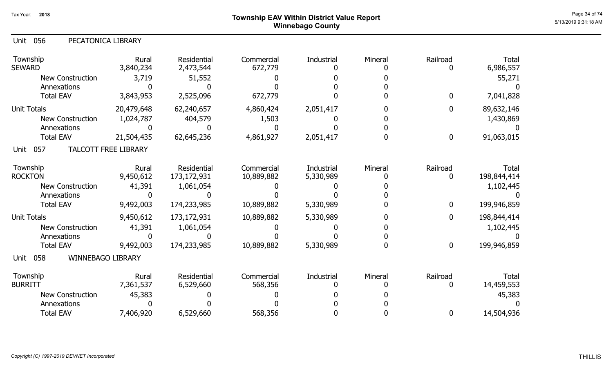9,492,003 174,233,985 10,889,882 5,330,989 0 0 0 199,946,859

5,330,989

0

| Unit<br>056<br>PECATONICA LIBRARY |                             |                                 |                       |            |         |              |                    |
|-----------------------------------|-----------------------------|---------------------------------|-----------------------|------------|---------|--------------|--------------------|
| Township<br><b>SEWARD</b>         | Rural<br>3,840,234          | <b>Residential</b><br>2,473,544 | Commercial<br>672,779 | Industrial | Mineral | Railroad     | Total<br>6,986,557 |
| <b>New Construction</b>           | 3,719                       | 51,552                          |                       |            |         |              | 55,271             |
| Annexations                       |                             |                                 |                       |            |         |              |                    |
| <b>Total EAV</b>                  | 3,843,953                   | 2,525,096                       | 672,779               |            |         | $\mathbf 0$  | 7,041,828          |
| <b>Unit Totals</b>                | 20,479,648                  | 62,240,657                      | 4,860,424             | 2,051,417  |         | $\mathbf{0}$ | 89,632,146         |
| <b>New Construction</b>           | 1,024,787                   | 404,579                         | 1,503                 |            |         |              | 1,430,869          |
| Annexations                       |                             |                                 |                       |            |         |              |                    |
| <b>Total EAV</b>                  | 21,504,435                  | 62,645,236                      | 4,861,927             | 2,051,417  |         | $\mathbf 0$  | 91,063,015         |
| 057<br>Unit                       | <b>TALCOTT FREE LIBRARY</b> |                                 |                       |            |         |              |                    |
| Township                          | Rural                       | <b>Residential</b>              | Commercial            | Industrial | Mineral | Railroad     | Total              |
| <b>ROCKTON</b>                    | 9,450,612                   | 173, 172, 931                   | 10,889,882            | 5,330,989  |         | 0            | 198,844,414        |
| <b>New Construction</b>           | 41,391                      | 1,061,054                       |                       |            |         |              | 1,102,445          |
| Annexations                       |                             |                                 |                       |            |         |              |                    |
| <b>Total EAV</b>                  | 9,492,003                   | 174,233,985                     | 10,889,882            | 5,330,989  |         | $\mathbf 0$  | 199,946,859        |
| <b>Unit Totals</b>                | 9,450,612                   | 173,172,931                     | 10,889,882            | 5,330,989  |         | $\Omega$     | 198,844,414        |
| <b>New Construction</b>           | 41,391                      | 1,061,054                       |                       |            |         |              | 1,102,445          |
| Annexations                       |                             |                                 |                       |            |         |              |                    |

058 Unit WINNEBAGO LIBRARY

Total EAV

| Township |                    | Rural     | Residential | Commercial | Industrial | Mineral | Railroad | Total      |
|----------|--------------------|-----------|-------------|------------|------------|---------|----------|------------|
| BURRITT  |                    | 7,361,537 | 6,529,660   | 568,356    |            |         |          | 14,459,553 |
|          | New Construction   | 45,383    |             |            |            |         |          | 45,383     |
|          | <b>Annexations</b> |           |             |            |            |         |          |            |
|          | <b>Total EAV</b>   | ,406,920  | 6,529,660   | 568,356    |            |         |          | 14,504,936 |

10,889,882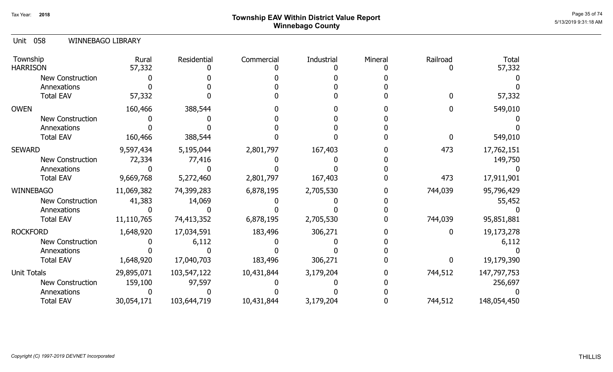# ${\sf Township~EAV~Within~District~Value~Report} \nonumber \hspace{5.5cm} \overset{\text{Page 35 of 74}}{\sim} \hspace{5.5cm} \overset{\text{Page 35 of 74}}{\sim} \hspace{5.5cm} \overset{\text{Page 35 of 74}}{\sim} \hspace{5.5cm} \overset{\text{Page 35 of 74}}{\sim} \hspace{5.5cm} \overset{\text{Page 35 of 74}}{\sim} \hspace{5.5cm} \overset{\text{Page 35 of 74}}{\sim} \hspace{5.5cm} \overset{\text{Page 35 of 74}}{\sim} \hspace{5.5cm} \$ Winnebago County

### 058 Unit WINNEBAGO LIBRARY

| Township<br><b>HARRISON</b> | Rural<br>57,332 | Residential | Commercial | Industrial | Mineral | Railroad | <b>Total</b><br>57,332 |
|-----------------------------|-----------------|-------------|------------|------------|---------|----------|------------------------|
| New Construction            |                 |             |            |            |         |          |                        |
| Annexations                 |                 |             |            |            |         |          |                        |
| <b>Total EAV</b>            | 57,332          |             |            |            |         |          | 57,332                 |
| <b>OWEN</b>                 | 160,466         | 388,544     |            |            |         |          | 549,010                |
| <b>New Construction</b>     |                 |             |            |            |         |          |                        |
| Annexations                 |                 |             |            |            |         |          |                        |
| <b>Total EAV</b>            | 160,466         | 388,544     |            |            |         |          | 549,010                |
| <b>SEWARD</b>               | 9,597,434       | 5,195,044   | 2,801,797  | 167,403    |         | 473      | 17,762,151             |
| New Construction            | 72,334          | 77,416      |            |            |         |          | 149,750                |
| Annexations                 |                 |             |            |            |         |          |                        |
| <b>Total EAV</b>            | 9,669,768       | 5,272,460   | 2,801,797  | 167,403    |         | 473      | 17,911,901             |
| WINNEBAGO                   | 11,069,382      | 74,399,283  | 6,878,195  | 2,705,530  |         | 744,039  | 95,796,429             |
| New Construction            | 41,383          | 14,069      |            |            |         |          | 55,452                 |
| Annexations                 |                 |             |            |            |         |          |                        |
| <b>Total EAV</b>            | 11,110,765      | 74,413,352  | 6,878,195  | 2,705,530  |         | 744,039  | 95,851,881             |
| <b>ROCKFORD</b>             | 1,648,920       | 17,034,591  | 183,496    | 306,271    |         |          | 19,173,278             |
| <b>New Construction</b>     |                 | 6,112       |            |            |         |          | 6,112                  |
| Annexations                 |                 |             |            |            |         |          |                        |
| <b>Total EAV</b>            | 1,648,920       | 17,040,703  | 183,496    | 306,271    |         |          | 19,179,390             |
| <b>Unit Totals</b>          | 29,895,071      | 103,547,122 | 10,431,844 | 3,179,204  |         | 744,512  | 147,797,753            |
| New Construction            | 159,100         | 97,597      |            |            |         |          | 256,697                |
| Annexations                 |                 |             |            |            |         |          |                        |
| <b>Total EAV</b>            | 30,054,171      | 103,644,719 | 10,431,844 | 3,179,204  |         | 744,512  | 148,054,450            |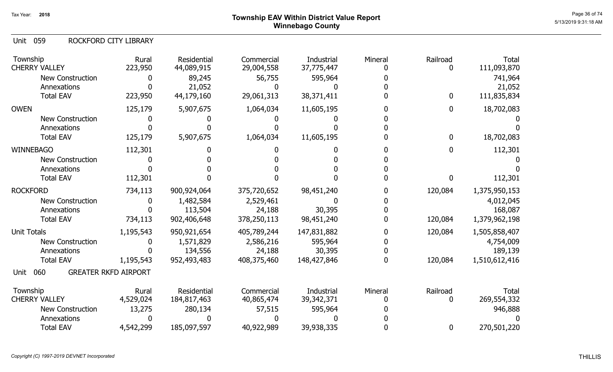059 Unit ROCKFORD CITY LIBRARY

| Township<br><b>CHERRY VALLEY</b> | Rural<br>223,950            | Residential<br>44,089,915 | Commercial<br>29,004,558 | Industrial<br>37,775,447 | Mineral | Railroad<br>0 | <b>Total</b><br>111,093,870 |
|----------------------------------|-----------------------------|---------------------------|--------------------------|--------------------------|---------|---------------|-----------------------------|
| <b>New Construction</b>          | 0                           | 89,245                    | 56,755                   | 595,964                  |         |               | 741,964                     |
| Annexations                      |                             | 21,052                    | 0                        |                          |         |               | 21,052                      |
| <b>Total EAV</b>                 | 223,950                     | 44,179,160                | 29,061,313               | 38, 371, 411             |         | $\bf{0}$      | 111,835,834                 |
| <b>OWEN</b>                      | 125,179                     | 5,907,675                 | 1,064,034                | 11,605,195               |         | $\bf{0}$      | 18,702,083                  |
| <b>New Construction</b>          | O                           |                           |                          |                          |         |               |                             |
| Annexations                      |                             |                           |                          |                          |         |               |                             |
| <b>Total EAV</b>                 | 125,179                     | 5,907,675                 | 1,064,034                | 11,605,195               |         | $\bf{0}$      | 18,702,083                  |
| <b>WINNEBAGO</b>                 | 112,301                     |                           |                          |                          |         | $\mathbf 0$   | 112,301                     |
| <b>New Construction</b>          |                             |                           |                          |                          |         |               |                             |
| Annexations                      |                             |                           |                          |                          |         |               |                             |
| <b>Total EAV</b>                 | 112,301                     |                           |                          |                          |         | 0             | 112,301                     |
| <b>ROCKFORD</b>                  | 734,113                     | 900,924,064               | 375,720,652              | 98,451,240               |         | 120,084       | 1,375,950,153               |
| <b>New Construction</b>          | 0                           | 1,482,584                 | 2,529,461                |                          |         |               | 4,012,045                   |
| Annexations                      |                             | 113,504                   | 24,188                   | 30,395                   |         |               | 168,087                     |
| <b>Total EAV</b>                 | 734,113                     | 902,406,648               | 378,250,113              | 98,451,240               |         | 120,084       | 1,379,962,198               |
| <b>Unit Totals</b>               | 1,195,543                   | 950,921,654               | 405,789,244              | 147,831,882              |         | 120,084       | 1,505,858,407               |
| <b>New Construction</b>          | 0                           | 1,571,829                 | 2,586,216                | 595,964                  |         |               | 4,754,009                   |
| Annexations                      |                             | 134,556                   | 24,188                   | 30,395                   |         |               | 189,139                     |
| <b>Total EAV</b>                 | 1,195,543                   | 952,493,483               | 408,375,460              | 148,427,846              | 0       | 120,084       | 1,510,612,416               |
| 060<br>Unit                      | <b>GREATER RKFD AIRPORT</b> |                           |                          |                          |         |               |                             |
| Township                         | Rural                       | <b>Residential</b>        | Commercial               | Industrial               | Mineral | Railroad      | <b>Total</b>                |
| <b>CHERRY VALLEY</b>             | 4,529,024                   | 184,817,463               | 40,865,474               | 39,342,371               |         | $\mathbf{0}$  | 269,554,332                 |
| <b>New Construction</b>          | 13,275                      | 280,134                   | 57,515                   | 595,964                  |         |               | 946,888                     |
| Annexations                      |                             |                           |                          |                          |         |               |                             |
| <b>Total EAV</b>                 | 4,542,299                   | 185,097,597               | 40,922,989               | 39,938,335               |         | $\bf{0}$      | 270,501,220                 |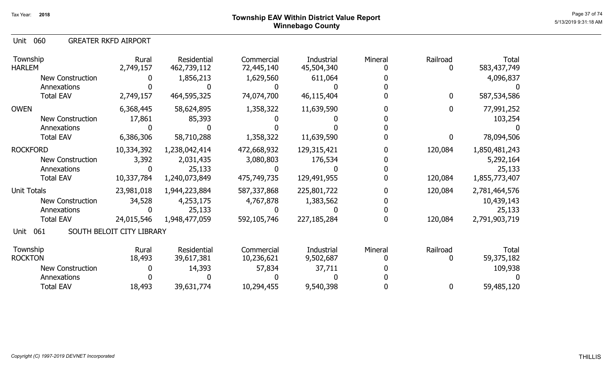## Page 37 of 74  $^{Page\ 37\ of\ 74}$   $^{Page\ 37\ of\ 74}$ Winnebago County

060 Unit GREATER RKFD AIRPORT

| Township<br><b>HARLEM</b> | Rural<br>2,749,157        | Residential<br>462,739,112 | Commercial<br>72,445,140 | Industrial<br>45,504,340 | Mineral | Railroad<br>0 | Total<br>583,437,749 |
|---------------------------|---------------------------|----------------------------|--------------------------|--------------------------|---------|---------------|----------------------|
| <b>New Construction</b>   |                           | 1,856,213                  | 1,629,560                | 611,064                  |         |               | 4,096,837            |
| Annexations               |                           |                            |                          |                          |         |               |                      |
| <b>Total EAV</b>          | 2,749,157                 | 464,595,325                | 74,074,700               | 46,115,404               |         | $\mathbf{0}$  | 587,534,586          |
| <b>OWEN</b>               | 6,368,445                 | 58,624,895                 | 1,358,322                | 11,639,590               |         | 0             | 77,991,252           |
| <b>New Construction</b>   | 17,861                    | 85,393                     |                          |                          |         |               | 103,254              |
| Annexations               |                           |                            |                          |                          |         |               |                      |
| <b>Total EAV</b>          | 6,386,306                 | 58,710,288                 | 1,358,322                | 11,639,590               |         | 0             | 78,094,506           |
| <b>ROCKFORD</b>           | 10,334,392                | 1,238,042,414              | 472,668,932              | 129,315,421              |         | 120,084       | 1,850,481,243        |
| New Construction          | 3,392                     | 2,031,435                  | 3,080,803                | 176,534                  |         |               | 5,292,164            |
| Annexations               |                           | 25,133                     |                          |                          |         |               | 25,133               |
| <b>Total EAV</b>          | 10,337,784                | 1,240,073,849              | 475,749,735              | 129,491,955              |         | 120,084       | 1,855,773,407        |
| Unit Totals               | 23,981,018                | 1,944,223,884              | 587,337,868              | 225,801,722              |         | 120,084       | 2,781,464,576        |
| <b>New Construction</b>   | 34,528                    | 4,253,175                  | 4,767,878                | 1,383,562                |         |               | 10,439,143           |
| Annexations               |                           | 25,133                     |                          |                          |         |               | 25,133               |
| <b>Total EAV</b>          | 24,015,546                | 1,948,477,059              | 592,105,746              | 227, 185, 284            |         | 120,084       | 2,791,903,719        |
| 061<br>Unit               | SOUTH BELOIT CITY LIBRARY |                            |                          |                          |         |               |                      |
| Township                  |                           | Residential                |                          |                          |         |               |                      |
| <b>ROCKTON</b>            | Rural<br>18,493           | 39,617,381                 | Commercial<br>10,236,621 | Industrial<br>9,502,687  | Mineral | Railroad<br>0 | Total<br>59,375,182  |
| <b>New Construction</b>   |                           | 14,393                     | 57,834                   | 37,711                   |         |               | 109,938              |
| Annexations               |                           |                            |                          |                          |         |               |                      |
| <b>Total EAV</b>          | 18,493                    | 39,631,774                 | 10,294,455               | 9,540,398                |         | 0             | 59,485,120           |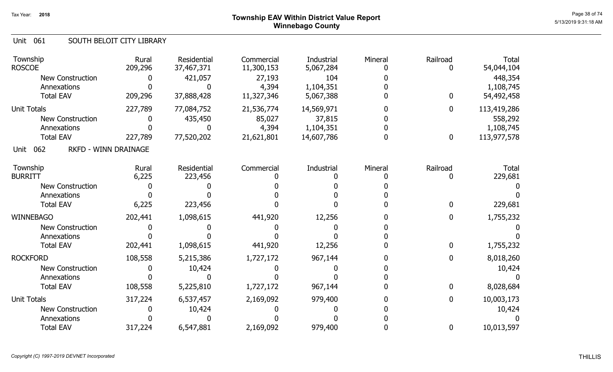## Page 38 of 74 Township EAV Within District Value Report Winnebago County

### Unit 061 SOUTH BELOIT CITY LIBRARY

| Township<br><b>ROSCOE</b>                  | Rural<br>209,296 | <b>Residential</b><br>37,467,371 | Commercial<br>11,300,153 | Industrial<br>5,067,284 | Mineral | Railroad         | <b>Total</b><br>54,044,104 |
|--------------------------------------------|------------------|----------------------------------|--------------------------|-------------------------|---------|------------------|----------------------------|
| <b>New Construction</b><br>Annexations     |                  | 421,057                          | 27,193<br>4,394          | 104<br>1,104,351        |         |                  | 448,354<br>1,108,745       |
| <b>Total EAV</b>                           | 209,296          | 37,888,428                       | 11,327,346               | 5,067,388               |         | $\boldsymbol{0}$ | 54,492,458                 |
| <b>Unit Totals</b>                         | 227,789          | 77,084,752                       | 21,536,774               | 14,569,971              |         | $\boldsymbol{0}$ | 113,419,286                |
| <b>New Construction</b>                    |                  | 435,450                          | 85,027                   | 37,815                  |         |                  | 558,292                    |
| Annexations                                |                  |                                  | 4,394                    | 1,104,351               |         |                  | 1,108,745                  |
| <b>Total EAV</b>                           | 227,789          | 77,520,202                       | 21,621,801               | 14,607,786              |         | $\boldsymbol{0}$ | 113,977,578                |
| 062<br><b>RKFD - WINN DRAINAGE</b><br>Unit |                  |                                  |                          |                         |         |                  |                            |
| Township                                   | Rural            | Residential                      | Commercial               | Industrial              | Mineral | Railroad         | <b>Total</b>               |
| <b>BURRITT</b>                             | 6,225            | 223,456                          |                          |                         |         | $\mathbf{0}$     | 229,681                    |
| New Construction                           |                  |                                  |                          |                         |         |                  |                            |
| Annexations                                |                  |                                  |                          |                         |         |                  |                            |
| <b>Total EAV</b>                           | 6,225            | 223,456                          |                          |                         |         | $\mathbf 0$      | 229,681                    |
| <b>WINNEBAGO</b>                           | 202,441          | 1,098,615                        | 441,920                  | 12,256                  |         | $\bf{0}$         | 1,755,232                  |
| <b>New Construction</b>                    |                  |                                  |                          |                         |         |                  |                            |
| Annexations                                |                  |                                  |                          |                         |         |                  |                            |
| <b>Total EAV</b>                           | 202,441          | 1,098,615                        | 441,920                  | 12,256                  |         | $\mathbf 0$      | 1,755,232                  |
| <b>ROCKFORD</b>                            | 108,558          | 5,215,386                        | 1,727,172                | 967,144                 |         | 0                | 8,018,260                  |
| <b>New Construction</b>                    |                  | 10,424                           |                          |                         |         |                  | 10,424                     |
| Annexations                                |                  |                                  |                          |                         |         |                  |                            |
| <b>Total EAV</b>                           | 108,558          | 5,225,810                        | 1,727,172                | 967,144                 |         | $\mathbf{0}$     | 8,028,684                  |
| <b>Unit Totals</b>                         | 317,224          | 6,537,457                        | 2,169,092                | 979,400                 |         | $\boldsymbol{0}$ | 10,003,173                 |
| <b>New Construction</b>                    |                  | 10,424                           |                          |                         |         |                  | 10,424                     |
| Annexations                                |                  |                                  |                          |                         |         |                  |                            |
| <b>Total EAV</b>                           | 317,224          | 6,547,881                        | 2,169,092                | 979,400                 |         | 0                | 10,013,597                 |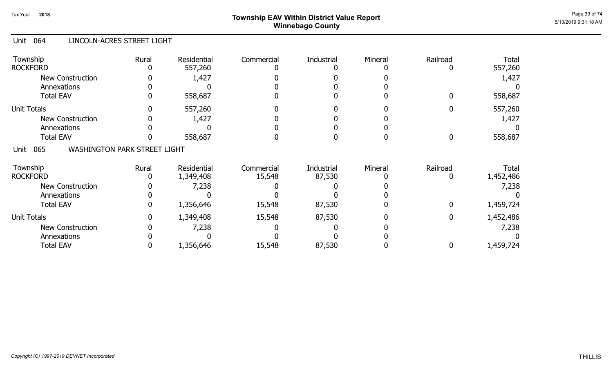## Page 39 of 74  $^{P_1}$ Page 39 of 74  $^{P_2}$   $\blacksquare$   $\blacksquare$   $\blacksquare$   $\blacksquare$   $\blacksquare$   $\blacksquare$   $\blacksquare$   $\blacksquare$   $\blacksquare$   $\blacksquare$   $\blacksquare$   $\blacksquare$   $\blacksquare$   $\blacksquare$   $\blacksquare$   $\blacksquare$   $\blacksquare$   $\blacksquare$   $\blacksquare$   $\blacksquare$   $\blacksquare$   $\blacksquare$   $\blacksquare$   $\blacksquare$   $\blacksquare$   $\blacks$ Winnebago County

### Unit 064 LINCOLN-ACRES STREET LIGHT

| Township<br><b>ROCKFORD</b>     | Rural                               | <b>Residential</b><br>557,260 | Commercial | Industrial | Mineral | Railroad    | <b>Total</b><br>557,260 |
|---------------------------------|-------------------------------------|-------------------------------|------------|------------|---------|-------------|-------------------------|
| <b>New Construction</b>         |                                     | 1,427                         |            |            |         |             | 1,427                   |
| Annexations<br><b>Total EAV</b> | $\Omega$                            | 558,687                       |            |            |         | 0           | 558,687                 |
|                                 |                                     |                               |            |            |         |             |                         |
| <b>Unit Totals</b>              |                                     | 557,260                       |            |            |         |             | 557,260                 |
| <b>New Construction</b>         |                                     | 1,427                         |            |            |         |             | 1,427                   |
| Annexations                     |                                     |                               |            |            |         |             |                         |
| <b>Total EAV</b>                |                                     | 558,687                       |            |            |         | 0           | 558,687                 |
| 065<br>Unit                     | <b>WASHINGTON PARK STREET LIGHT</b> |                               |            |            |         |             |                         |
| Township                        | Rural                               | Residential                   | Commercial | Industrial | Mineral | Railroad    | Total                   |
| <b>ROCKFORD</b>                 |                                     | 1,349,408                     | 15,548     | 87,530     |         |             | 1,452,486               |
| New Construction                |                                     | 7,238                         |            |            |         |             | 7,238                   |
| Annexations                     |                                     |                               |            |            |         |             |                         |
| <b>Total EAV</b>                | 0                                   | 1,356,646                     | 15,548     | 87,530     |         | 0           | 1,459,724               |
| <b>Unit Totals</b>              | $\mathbf{0}$                        | 1,349,408                     | 15,548     | 87,530     |         | $\mathbf 0$ | 1,452,486               |
| <b>New Construction</b>         |                                     | 7,238                         |            |            |         |             | 7,238                   |
| Annexations                     |                                     |                               |            |            |         |             |                         |
| <b>Total EAV</b>                |                                     | 1,356,646                     | 15,548     | 87,530     |         | 0           | 1,459,724               |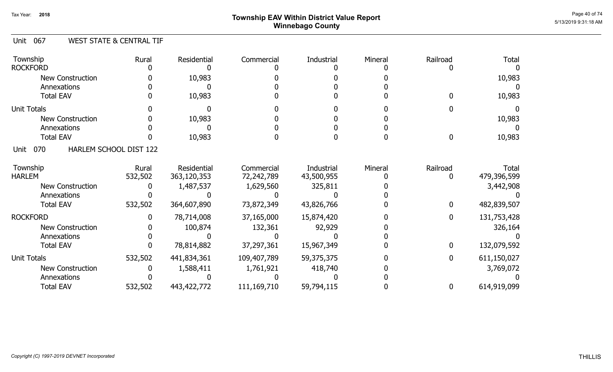## Page 40 of 74  $^{Page\ 40\ of\ 74}$   $^{Page\ 40\ of\ 74}$ Winnebago County

### Unit 067 WEST STATE & CENTRAL TIF

| Township                | Rural                  | Residential | Commercial  | Industrial | Mineral | Railroad | <b>Total</b> |
|-------------------------|------------------------|-------------|-------------|------------|---------|----------|--------------|
| <b>ROCKFORD</b>         |                        |             |             |            |         |          |              |
| <b>New Construction</b> |                        | 10,983      |             |            |         |          | 10,983       |
| Annexations             |                        |             |             |            |         |          |              |
| <b>Total EAV</b>        |                        | 10,983      |             |            |         |          | 10,983       |
| <b>Unit Totals</b>      |                        |             |             |            |         |          |              |
| <b>New Construction</b> |                        | 10,983      |             |            |         |          | 10,983       |
| Annexations             |                        |             |             |            |         |          |              |
| <b>Total EAV</b>        |                        | 10,983      |             |            |         | O        | 10,983       |
| 070<br>Unit             | HARLEM SCHOOL DIST 122 |             |             |            |         |          |              |
| Township                | Rural                  | Residential | Commercial  | Industrial | Mineral | Railroad | Total        |
| <b>HARLEM</b>           | 532,502                | 363,120,353 | 72,242,789  | 43,500,955 |         |          | 479,396,599  |
| <b>New Construction</b> |                        | 1,487,537   | 1,629,560   | 325,811    |         |          | 3,442,908    |
| Annexations             |                        |             |             |            |         |          |              |
| <b>Total EAV</b>        | 532,502                | 364,607,890 | 73,872,349  | 43,826,766 |         | 0        | 482,839,507  |
| <b>ROCKFORD</b>         |                        | 78,714,008  | 37,165,000  | 15,874,420 |         | 0        | 131,753,428  |
| <b>New Construction</b> |                        | 100,874     | 132,361     | 92,929     |         |          | 326,164      |
| Annexations             |                        |             |             |            |         |          |              |
| <b>Total EAV</b>        |                        | 78,814,882  | 37,297,361  | 15,967,349 |         | 0        | 132,079,592  |
| <b>Unit Totals</b>      | 532,502                | 441,834,361 | 109,407,789 | 59,375,375 |         | 0        | 611,150,027  |
| <b>New Construction</b> |                        | 1,588,411   | 1,761,921   | 418,740    |         |          | 3,769,072    |
| Annexations             |                        |             |             |            |         |          |              |
| <b>Total EAV</b>        | 532,502                | 443,422,772 | 111,169,710 | 59,794,115 |         | 0        | 614,919,099  |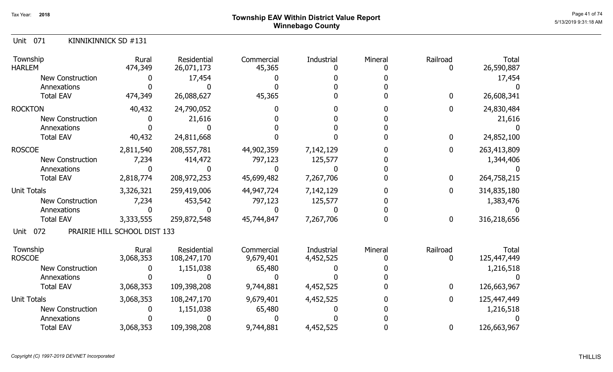## Page 41 of 74  $^{Page\ 41\ of\ 74}$   $^{Page\ 41\ of\ 74}$ Winnebago County

|  | Unit 071 | KINNIKINNICK SD #131 |
|--|----------|----------------------|
|--|----------|----------------------|

| Township<br><b>HARLEM</b> | Rural<br>474,349             | <b>Residential</b><br>26,071,173 | Commercial<br>45,365 | Industrial<br>n   | Mineral | Railroad     | <b>Total</b><br>26,590,887 |
|---------------------------|------------------------------|----------------------------------|----------------------|-------------------|---------|--------------|----------------------------|
| <b>New Construction</b>   |                              | 17,454                           |                      |                   |         |              | 17,454                     |
| Annexations               |                              |                                  |                      |                   |         |              |                            |
| <b>Total EAV</b>          | 474,349                      | 26,088,627                       | 45,365               |                   |         | 0            | 26,608,341                 |
| <b>ROCKTON</b>            | 40,432                       | 24,790,052                       |                      |                   |         | 0            | 24,830,484                 |
| <b>New Construction</b>   |                              | 21,616                           |                      |                   |         |              | 21,616                     |
| Annexations               |                              |                                  |                      |                   |         |              |                            |
| <b>Total EAV</b>          | 40,432                       | 24,811,668                       |                      |                   |         | $\mathbf 0$  | 24,852,100                 |
| <b>ROSCOE</b>             | 2,811,540                    | 208, 557, 781                    | 44,902,359           | 7,142,129         |         | $\mathbf 0$  | 263,413,809                |
| <b>New Construction</b>   | 7,234                        | 414,472                          | 797,123              | 125,577           |         |              | 1,344,406                  |
| Annexations               |                              |                                  |                      |                   |         |              |                            |
| <b>Total EAV</b>          | 2,818,774                    | 208,972,253                      | 45,699,482           | 7,267,706         |         | 0            | 264,758,215                |
| <b>Unit Totals</b>        | 3,326,321                    | 259,419,006                      | 44,947,724           | 7,142,129         |         | $\mathbf{0}$ | 314,835,180                |
| <b>New Construction</b>   | 7,234                        | 453,542                          | 797,123              | 125,577           |         |              | 1,383,476                  |
| Annexations               |                              |                                  |                      |                   |         |              |                            |
| <b>Total EAV</b>          | 3,333,555                    | 259,872,548                      | 45,744,847           | 7,267,706         |         | 0            | 316,218,656                |
| 072<br>Unit               | PRAIRIE HILL SCHOOL DIST 133 |                                  |                      |                   |         |              |                            |
| Township                  | Rural                        | <b>Residential</b>               | Commercial           | <b>Industrial</b> | Mineral | Railroad     | Total                      |
| <b>ROSCOE</b>             | 3,068,353                    | 108,247,170                      | 9,679,401            | 4,452,525         |         |              | 125,447,449                |
| <b>New Construction</b>   |                              | 1,151,038                        | 65,480               |                   |         |              | 1,216,518                  |
| Annexations               |                              |                                  |                      |                   |         |              |                            |
| <b>Total EAV</b>          | 3,068,353                    | 109,398,208                      | 9,744,881            | 4,452,525         |         | $\mathbf 0$  | 126,663,967                |
| <b>Unit Totals</b>        | 3,068,353                    | 108,247,170                      | 9,679,401            | 4,452,525         |         | 0            | 125,447,449                |
| <b>New Construction</b>   |                              | 1,151,038                        | 65,480               |                   |         |              | 1,216,518                  |
| Annexations               |                              |                                  |                      |                   |         |              |                            |
| <b>Total EAV</b>          | 3,068,353                    | 109,398,208                      | 9,744,881            | 4,452,525         |         | 0            | 126,663,967                |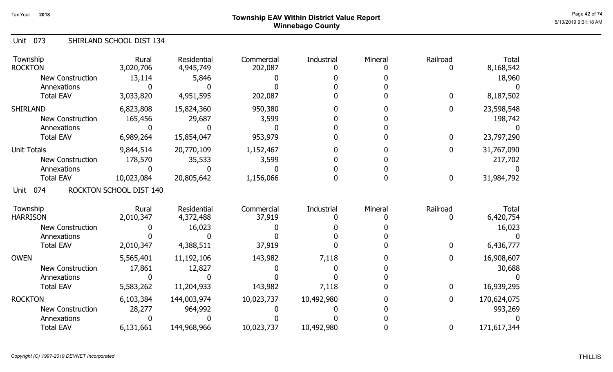## Page 42 of 74  $^{P_1}$ Page 42 of 74  $^{P_2}$  of 74  $^{P_3}$ Winnebago County

#### Unit 073 SHIRLAND SCHOOL DIST 134

| Township<br><b>ROCKTON</b>  | Rural<br>3,020,706      | Residential<br>4,945,749 | Commercial<br>202,087 | Industrial | Mineral | Railroad         | <b>Total</b><br>8,168,542 |
|-----------------------------|-------------------------|--------------------------|-----------------------|------------|---------|------------------|---------------------------|
| <b>New Construction</b>     | 13,114                  | 5,846                    |                       |            |         |                  | 18,960                    |
| Annexations                 |                         |                          |                       |            |         |                  |                           |
| <b>Total EAV</b>            | 3,033,820               | 4,951,595                | 202,087               |            |         | $\bf{0}$         | 8,187,502                 |
| <b>SHIRLAND</b>             | 6,823,808               | 15,824,360               | 950,380               |            |         | $\boldsymbol{0}$ | 23,598,548                |
| <b>New Construction</b>     | 165,456                 | 29,687                   | 3,599                 |            |         |                  | 198,742                   |
| Annexations                 |                         |                          |                       |            |         |                  |                           |
| <b>Total EAV</b>            | 6,989,264               | 15,854,047               | 953,979               |            |         | $\bf{0}$         | 23,797,290                |
| <b>Unit Totals</b>          | 9,844,514               | 20,770,109               | 1,152,467             |            |         | $\boldsymbol{0}$ | 31,767,090                |
| New Construction            | 178,570                 | 35,533                   | 3,599                 |            |         |                  | 217,702                   |
| Annexations                 |                         |                          |                       |            |         |                  |                           |
| <b>Total EAV</b>            | 10,023,084              | 20,805,642               | 1,156,066             |            |         | $\boldsymbol{0}$ | 31,984,792                |
| 074<br>Unit                 | ROCKTON SCHOOL DIST 140 |                          |                       |            |         |                  |                           |
| Township<br><b>HARRISON</b> | Rural<br>2,010,347      | Residential<br>4,372,488 | Commercial<br>37,919  | Industrial | Mineral | Railroad<br>0    | Total<br>6,420,754        |
| <b>New Construction</b>     |                         | 16,023                   |                       |            |         |                  | 16,023                    |
| Annexations                 |                         |                          |                       |            |         |                  |                           |
| <b>Total EAV</b>            | 2,010,347               | 4,388,511                | 37,919                |            |         | $\bf{0}$         | 6,436,777                 |
| <b>OWEN</b>                 | 5,565,401               | 11,192,106               | 143,982               | 7,118      |         | $\bf{0}$         | 16,908,607                |
| <b>New Construction</b>     | 17,861                  | 12,827                   |                       |            |         |                  | 30,688                    |
| Annexations                 |                         |                          |                       |            |         |                  |                           |
| <b>Total EAV</b>            | 5,583,262               | 11,204,933               | 143,982               | 7,118      |         | $\mathbf 0$      | 16,939,295                |
| <b>ROCKTON</b>              | 6,103,384               | 144,003,974              | 10,023,737            | 10,492,980 |         | $\mathbf 0$      | 170,624,075               |
| <b>New Construction</b>     | 28,277                  | 964,992                  |                       |            |         |                  | 993,269                   |
| Annexations                 |                         |                          |                       |            |         |                  |                           |
| <b>Total EAV</b>            | 6,131,661               | 144,968,966              | 10,023,737            | 10,492,980 |         | $\bf{0}$         | 171,617,344               |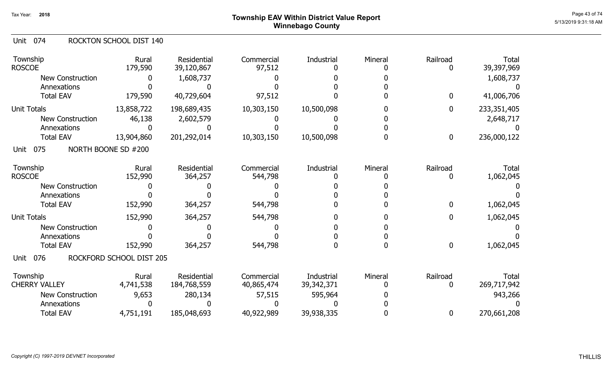## Page 43 of 74 Township EAV Within District Value Report Winnebago County

### Unit 074 ROCKTON SCHOOL DIST 140

| Township<br><b>ROSCOE</b>        | Rural<br>179,590         | <b>Residential</b><br>39,120,867 | Commercial<br>97,512     | Industrial                 | Mineral | Railroad      | <b>Total</b><br>39,397,969  |
|----------------------------------|--------------------------|----------------------------------|--------------------------|----------------------------|---------|---------------|-----------------------------|
| <b>New Construction</b>          |                          | 1,608,737                        |                          |                            |         |               | 1,608,737                   |
| Annexations                      |                          |                                  |                          |                            |         |               |                             |
| <b>Total EAV</b>                 | 179,590                  | 40,729,604                       | 97,512                   |                            |         | 0             | 41,006,706                  |
| <b>Unit Totals</b>               | 13,858,722               | 198,689,435                      | 10,303,150               | 10,500,098                 |         | 0             | 233, 351, 405               |
| <b>New Construction</b>          | 46,138                   | 2,602,579                        |                          |                            |         |               | 2,648,717                   |
| Annexations                      |                          |                                  |                          |                            |         |               |                             |
| <b>Total EAV</b>                 | 13,904,860               | 201,292,014                      | 10,303,150               | 10,500,098                 |         | 0             | 236,000,122                 |
| 075<br>Unit                      | NORTH BOONE SD #200      |                                  |                          |                            |         |               |                             |
| Township<br><b>ROSCOE</b>        | Rural<br>152,990         | Residential<br>364,257           | Commercial<br>544,798    | Industrial                 | Mineral | Railroad      | <b>Total</b><br>1,062,045   |
| <b>New Construction</b>          |                          |                                  |                          |                            |         |               |                             |
| Annexations                      |                          |                                  |                          |                            |         |               |                             |
| <b>Total EAV</b>                 | 152,990                  | 364,257                          | 544,798                  |                            |         | 0             | 1,062,045                   |
| <b>Unit Totals</b>               | 152,990                  |                                  |                          |                            |         | 0             | 1,062,045                   |
|                                  |                          | 364,257                          | 544,798                  |                            |         |               |                             |
| <b>New Construction</b>          |                          |                                  |                          |                            |         |               |                             |
| Annexations<br><b>Total EAV</b>  | 152,990                  | 364,257                          | 544,798                  |                            |         | 0             | 1,062,045                   |
| 076<br>Unit                      | ROCKFORD SCHOOL DIST 205 |                                  |                          |                            |         |               |                             |
| Township<br><b>CHERRY VALLEY</b> | Rural<br>4,741,538       | Residential<br>184,768,559       | Commercial<br>40,865,474 | Industrial<br>39, 342, 371 | Mineral | Railroad<br>0 | <b>Total</b><br>269,717,942 |
| <b>New Construction</b>          | 9,653                    | 280,134                          | 57,515                   | 595,964                    |         |               | 943,266                     |
| Annexations                      |                          |                                  |                          |                            |         |               |                             |
| <b>Total EAV</b>                 | 4,751,191                | 185,048,693                      | 40,922,989               | 39,938,335                 |         | 0             | 270,661,208                 |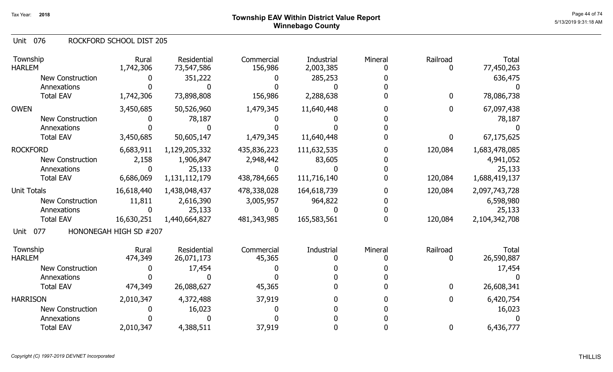076 Unit ROCKFORD SCHOOL DIST 205

| Township<br><b>HARLEM</b> | Rural<br>1,742,306     | <b>Residential</b><br>73,547,586 | Commercial<br>156,986 | <b>Industrial</b><br>2,003,385 | Mineral | Railroad    | <b>Total</b><br>77,450,263 |
|---------------------------|------------------------|----------------------------------|-----------------------|--------------------------------|---------|-------------|----------------------------|
| <b>New Construction</b>   |                        | 351,222                          |                       | 285,253                        |         |             | 636,475                    |
| Annexations               |                        |                                  |                       |                                |         |             |                            |
| <b>Total EAV</b>          | 1,742,306              | 73,898,808                       | 156,986               | 2,288,638                      |         | $\mathbf 0$ | 78,086,738                 |
| <b>OWEN</b>               | 3,450,685              | 50,526,960                       | 1,479,345             | 11,640,448                     |         | $\mathbf 0$ | 67,097,438                 |
| <b>New Construction</b>   |                        | 78,187                           |                       |                                |         |             | 78,187                     |
| Annexations               |                        |                                  |                       |                                |         |             |                            |
| <b>Total EAV</b>          | 3,450,685              | 50,605,147                       | 1,479,345             | 11,640,448                     |         | 0           | 67,175,625                 |
| <b>ROCKFORD</b>           | 6,683,911              | 1,129,205,332                    | 435,836,223           | 111,632,535                    |         | 120,084     | 1,683,478,085              |
| New Construction          | 2,158                  | 1,906,847                        | 2,948,442             | 83,605                         |         |             | 4,941,052                  |
| Annexations               | 0                      | 25,133                           | n                     |                                |         |             | 25,133                     |
| <b>Total EAV</b>          | 6,686,069              | 1,131,112,179                    | 438,784,665           | 111,716,140                    |         | 120,084     | 1,688,419,137              |
| <b>Unit Totals</b>        | 16,618,440             | 1,438,048,437                    | 478,338,028           | 164,618,739                    |         | 120,084     | 2,097,743,728              |
| <b>New Construction</b>   | 11,811                 | 2,616,390                        | 3,005,957             | 964,822                        |         |             | 6,598,980                  |
| Annexations               | 0                      | 25,133                           |                       |                                |         |             | 25,133                     |
| <b>Total EAV</b>          | 16,630,251             | 1,440,664,827                    | 481,343,985           | 165,583,561                    |         | 120,084     | 2,104,342,708              |
| 077<br>Unit               | HONONEGAH HIGH SD #207 |                                  |                       |                                |         |             |                            |
| Township                  | Rural                  | Residential                      | Commercial            | Industrial                     | Mineral | Railroad    | <b>Total</b>               |
| <b>HARLEM</b>             | 474,349                | 26,071,173                       | 45,365                |                                |         | 0           | 26,590,887                 |
| <b>New Construction</b>   |                        | 17,454                           |                       |                                |         |             | 17,454                     |
| Annexations               |                        |                                  |                       |                                |         |             |                            |
| <b>Total EAV</b>          | 474,349                | 26,088,627                       | 45,365                |                                |         | $\mathbf 0$ | 26,608,341                 |
| <b>HARRISON</b>           | 2,010,347              | 4,372,488                        | 37,919                |                                |         | 0           | 6,420,754                  |
| <b>New Construction</b>   |                        | 16,023                           |                       |                                |         |             | 16,023                     |
| Annexations               |                        |                                  |                       |                                |         |             |                            |
| <b>Total EAV</b>          | 2,010,347              | 4,388,511                        | 37,919                |                                |         | $\mathbf 0$ | 6,436,777                  |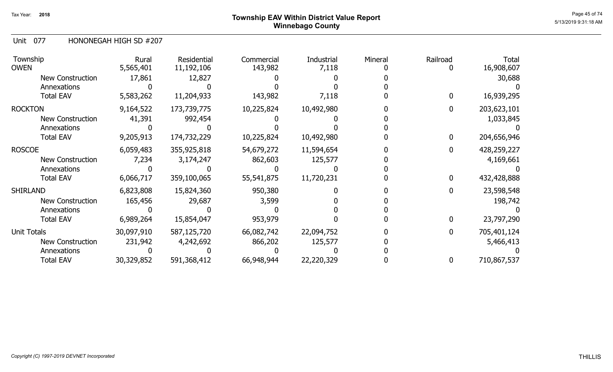## Page 45 of 74  $^{Page\ 45\ of\ 74}$   $^{Page\ 45\ of\ 74}$ Winnebago County

Unit 077 HONONEGAH HIGH SD #207

| Township<br><b>OWEN</b> | Rural<br>5,565,401 | Residential<br>11,192,106 | Commercial<br>143,982 | Industrial<br>7,118 | Mineral | Railroad | <b>Total</b><br>16,908,607 |
|-------------------------|--------------------|---------------------------|-----------------------|---------------------|---------|----------|----------------------------|
| New Construction        | 17,861             | 12,827                    |                       |                     |         |          | 30,688                     |
| Annexations             |                    |                           |                       |                     |         |          |                            |
| <b>Total EAV</b>        | 5,583,262          | 11,204,933                | 143,982               | 7,118               |         | 0        | 16,939,295                 |
| <b>ROCKTON</b>          | 9,164,522          | 173,739,775               | 10,225,824            | 10,492,980          |         | 0        | 203,623,101                |
| <b>New Construction</b> | 41,391             | 992,454                   |                       |                     |         |          | 1,033,845                  |
| Annexations             |                    |                           |                       |                     |         |          |                            |
| <b>Total EAV</b>        | 9,205,913          | 174,732,229               | 10,225,824            | 10,492,980          |         | 0        | 204,656,946                |
| <b>ROSCOE</b>           | 6,059,483          | 355,925,818               | 54,679,272            | 11,594,654          |         |          | 428,259,227                |
| <b>New Construction</b> | 7,234              | 3,174,247                 | 862,603               | 125,577             |         |          | 4,169,661                  |
| Annexations             |                    |                           |                       |                     |         |          |                            |
| <b>Total EAV</b>        | 6,066,717          | 359,100,065               | 55,541,875            | 11,720,231          |         |          | 432,428,888                |
| SHIRLAND                | 6,823,808          | 15,824,360                | 950,380               |                     |         |          | 23,598,548                 |
| New Construction        | 165,456            | 29,687                    | 3,599                 |                     |         |          | 198,742                    |
| Annexations             |                    |                           |                       |                     |         |          |                            |
| <b>Total EAV</b>        | 6,989,264          | 15,854,047                | 953,979               |                     |         | 0        | 23,797,290                 |
| Unit Totals             | 30,097,910         | 587,125,720               | 66,082,742            | 22,094,752          |         | 0        | 705,401,124                |
| New Construction        | 231,942            | 4,242,692                 | 866,202               | 125,577             |         |          | 5,466,413                  |
| Annexations             |                    |                           |                       |                     |         |          |                            |
| <b>Total EAV</b>        | 30,329,852         | 591,368,412               | 66,948,944            | 22,220,329          |         | 0        | 710,867,537                |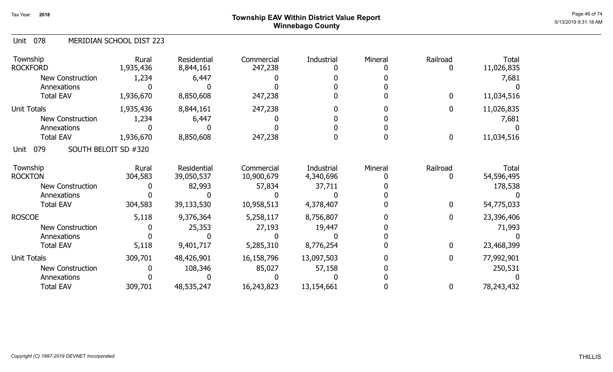## Page 46 of 74  $^{P_1}$ Page 46 of 74  $^{P_2}$ Winnebago County

#### 078 Unit MERIDIAN SCHOOL DIST 223

| Township<br><b>ROCKFORD</b>         | Rural<br>1,935,436 | Residential<br>8,844,161 | Commercial<br>247,238 | Industrial | Mineral | Railroad<br>0    | <b>Total</b><br>11,026,835 |
|-------------------------------------|--------------------|--------------------------|-----------------------|------------|---------|------------------|----------------------------|
| <b>New Construction</b>             | 1,234              | 6,447                    |                       |            |         |                  | 7,681                      |
| Annexations                         |                    |                          |                       |            |         |                  |                            |
| <b>Total EAV</b>                    | 1,936,670          | 8,850,608                | 247,238               |            |         | $\bf{0}$         | 11,034,516                 |
| <b>Unit Totals</b>                  | 1,935,436          | 8,844,161                | 247,238               |            |         | $\bf{0}$         | 11,026,835                 |
| <b>New Construction</b>             | 1,234              | 6,447                    |                       |            |         |                  | 7,681                      |
| Annexations                         |                    |                          |                       |            |         |                  |                            |
| <b>Total EAV</b>                    | 1,936,670          | 8,850,608                | 247,238               |            |         | $\boldsymbol{0}$ | 11,034,516                 |
| 079<br>SOUTH BELOIT SD #320<br>Unit |                    |                          |                       |            |         |                  |                            |
| Township                            | Rural              | Residential              | Commercial            | Industrial | Mineral | Railroad         | Total                      |
| <b>ROCKTON</b>                      | 304,583            | 39,050,537               | 10,900,679            | 4,340,696  |         | 0                | 54,596,495                 |
| New Construction                    |                    | 82,993                   | 57,834                | 37,711     |         |                  | 178,538                    |
| Annexations                         |                    |                          |                       |            |         |                  |                            |
| <b>Total EAV</b>                    | 304,583            | 39,133,530               | 10,958,513            | 4,378,407  |         | $\mathbf 0$      | 54,775,033                 |
| <b>ROSCOE</b>                       | 5,118              | 9,376,364                | 5,258,117             | 8,756,807  |         | $\bf{0}$         | 23,396,406                 |
| New Construction                    |                    | 25,353                   | 27,193                | 19,447     |         |                  | 71,993                     |
| Annexations                         |                    |                          |                       |            |         |                  |                            |
| <b>Total EAV</b>                    | 5,118              | 9,401,717                | 5,285,310             | 8,776,254  |         | $\bf{0}$         | 23,468,399                 |
| Unit Totals                         | 309,701            | 48,426,901               | 16,158,796            | 13,097,503 |         | $\bf{0}$         | 77,992,901                 |
| <b>New Construction</b>             |                    | 108,346                  | 85,027                | 57,158     |         |                  | 250,531                    |
| Annexations                         |                    |                          |                       |            |         |                  |                            |
| <b>Total EAV</b>                    | 309,701            | 48,535,247               | 16,243,823            | 13,154,661 |         | $\bf{0}$         | 78,243,432                 |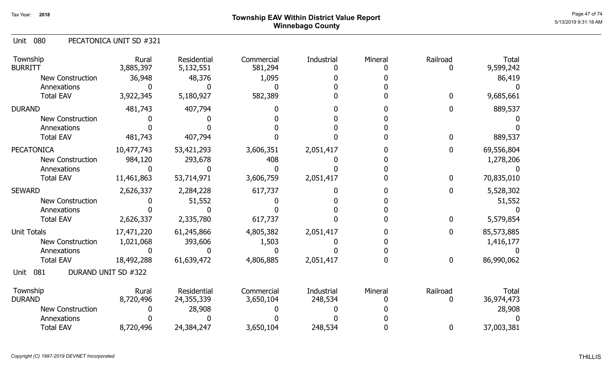## Page 47 of 74  $^{Page\ 47\ of\ 74}$   $^{Page\ 47\ of\ 74}$ Winnebago County

### 080 Unit PECATONICA UNIT SD #321

| Township<br><b>BURRITT</b> | Rural<br>3,885,397  | Residential<br>5,132,551 | Commercial<br>581,294 | Industrial | Mineral | Railroad         | Total<br>9,599,242 |
|----------------------------|---------------------|--------------------------|-----------------------|------------|---------|------------------|--------------------|
| <b>New Construction</b>    | 36,948              | 48,376                   | 1,095                 |            |         |                  | 86,419             |
| Annexations                |                     |                          |                       |            |         |                  |                    |
| <b>Total EAV</b>           | 3,922,345           | 5,180,927                | 582,389               |            |         | $\mathbf{0}$     | 9,685,661          |
| <b>DURAND</b>              | 481,743             | 407,794                  |                       |            |         |                  | 889,537            |
| <b>New Construction</b>    |                     |                          |                       |            |         |                  |                    |
| Annexations                |                     |                          |                       |            |         |                  |                    |
| <b>Total EAV</b>           | 481,743             | 407,794                  |                       |            |         | 0                | 889,537            |
| <b>PECATONICA</b>          | 10,477,743          | 53,421,293               | 3,606,351             | 2,051,417  |         | 0                | 69,556,804         |
| <b>New Construction</b>    | 984,120             | 293,678                  | 408                   |            |         |                  | 1,278,206          |
| Annexations                |                     |                          |                       |            |         |                  |                    |
| <b>Total EAV</b>           | 11,461,863          | 53,714,971               | 3,606,759             | 2,051,417  |         | $\mathbf 0$      | 70,835,010         |
| <b>SEWARD</b>              | 2,626,337           | 2,284,228                | 617,737               |            |         | 0                | 5,528,302          |
| <b>New Construction</b>    |                     | 51,552                   |                       |            |         |                  | 51,552             |
| Annexations                |                     |                          |                       |            |         |                  |                    |
| <b>Total EAV</b>           | 2,626,337           | 2,335,780                | 617,737               |            |         | $\mathbf 0$      | 5,579,854          |
| <b>Unit Totals</b>         | 17,471,220          | 61,245,866               | 4,805,382             | 2,051,417  |         | 0                | 85,573,885         |
| <b>New Construction</b>    | 1,021,068           | 393,606                  | 1,503                 |            |         |                  | 1,416,177          |
| Annexations                |                     |                          |                       |            |         |                  |                    |
| <b>Total EAV</b>           | 18,492,288          | 61,639,472               | 4,806,885             | 2,051,417  |         | $\boldsymbol{0}$ | 86,990,062         |
| 081<br>Unit                | DURAND UNIT SD #322 |                          |                       |            |         |                  |                    |
| Township                   | Rural               | Residential              | Commercial            | Industrial | Mineral | Railroad         | <b>Total</b>       |
| <b>DURAND</b>              | 8,720,496           | 24,355,339               | 3,650,104             | 248,534    |         |                  | 36,974,473         |
| <b>New Construction</b>    |                     | 28,908                   |                       |            |         |                  | 28,908             |
| Annexations                |                     |                          |                       |            |         |                  |                    |
| <b>Total EAV</b>           | 8,720,496           | 24,384,247               | 3,650,104             | 248,534    |         | $\mathbf 0$      | 37,003,381         |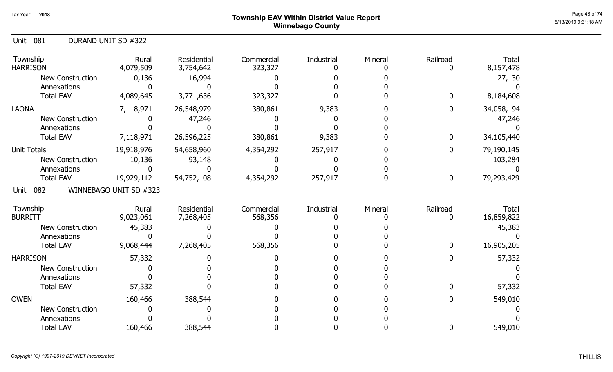## Page 48 of 74  $^{Page\ 48\ of\ 74}$  Township EAV Within District Value Report Winnebago County

| DURAND UNIT SD #322<br>Unit 081 |
|---------------------------------|
|---------------------------------|

| Township<br><b>HARRISON</b> | Rural<br>4,079,509     | Residential<br>3,754,642 | Commercial<br>323,327 | Industrial | Mineral | Railroad         | <b>Total</b><br>8,157,478 |
|-----------------------------|------------------------|--------------------------|-----------------------|------------|---------|------------------|---------------------------|
| <b>New Construction</b>     | 10,136                 | 16,994                   |                       |            |         |                  | 27,130                    |
| Annexations                 |                        |                          |                       |            |         |                  |                           |
| <b>Total EAV</b>            | 4,089,645              | 3,771,636                | 323,327               |            |         | $\bf{0}$         | 8,184,608                 |
| <b>LAONA</b>                | 7,118,971              | 26,548,979               | 380,861               | 9,383      |         | $\bf{0}$         | 34,058,194                |
| <b>New Construction</b>     |                        | 47,246                   |                       |            |         |                  | 47,246                    |
| Annexations                 |                        |                          |                       |            |         |                  |                           |
| <b>Total EAV</b>            | 7,118,971              | 26,596,225               | 380,861               | 9,383      |         | $\bf{0}$         | 34,105,440                |
| <b>Unit Totals</b>          | 19,918,976             | 54,658,960               | 4,354,292             | 257,917    |         | 0                | 79,190,145                |
| New Construction            | 10,136                 | 93,148                   |                       |            |         |                  | 103,284                   |
| Annexations                 |                        |                          |                       |            |         |                  |                           |
| <b>Total EAV</b>            | 19,929,112             | 54,752,108               | 4,354,292             | 257,917    |         | $\boldsymbol{0}$ | 79,293,429                |
| 082<br>Unit                 | WINNEBAGO UNIT SD #323 |                          |                       |            |         |                  |                           |
| Township                    | Rural                  | Residential              | Commercial            | Industrial | Mineral | Railroad         | <b>Total</b>              |
| <b>BURRITT</b>              | 9,023,061              | 7,268,405                | 568,356               |            |         | 0                | 16,859,822                |
| <b>New Construction</b>     | 45,383                 |                          |                       |            |         |                  | 45,383                    |
| Annexations                 |                        |                          |                       |            |         |                  |                           |
| <b>Total EAV</b>            | 9,068,444              | 7,268,405                | 568,356               |            |         | 0                | 16,905,205                |
| <b>HARRISON</b>             | 57,332                 |                          |                       |            |         | $\mathbf{0}$     | 57,332                    |
| <b>New Construction</b>     |                        |                          |                       |            |         |                  |                           |
| Annexations                 |                        |                          |                       |            |         |                  |                           |
| <b>Total EAV</b>            | 57,332                 |                          |                       |            |         | $\mathbf{0}$     | 57,332                    |
| <b>OWEN</b>                 | 160,466                | 388,544                  |                       |            |         | $\mathbf{0}$     | 549,010                   |
| <b>New Construction</b>     |                        |                          |                       |            |         |                  |                           |
| Annexations                 |                        |                          |                       |            |         |                  |                           |
| <b>Total EAV</b>            | 160,466                | 388,544                  |                       |            |         | 0                | 549,010                   |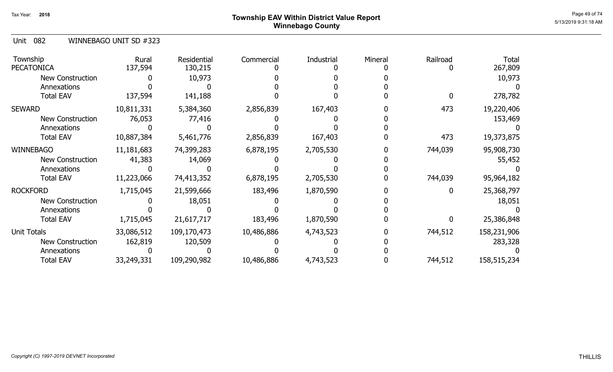## Page 49 of 74  $^{Page\ 49\ of\ 74}$   $^{Page\ 49\ of\ 74}$ Winnebago County

Unit 082 WINNEBAGO UNIT SD #323

| Township<br><b>PECATONICA</b> | Rural<br>137,594 | <b>Residential</b><br>130,215 | Commercial | Industrial | Mineral | Railroad | <b>Total</b><br>267,809 |
|-------------------------------|------------------|-------------------------------|------------|------------|---------|----------|-------------------------|
| <b>New Construction</b>       |                  | 10,973                        |            |            |         |          | 10,973                  |
| Annexations                   |                  |                               |            |            |         |          |                         |
| <b>Total EAV</b>              | 137,594          | 141,188                       |            |            |         |          | 278,782                 |
| SEWARD                        | 10,811,331       | 5,384,360                     | 2,856,839  | 167,403    |         | 473      | 19,220,406              |
| <b>New Construction</b>       | 76,053           | 77,416                        |            |            |         |          | 153,469                 |
| Annexations                   |                  |                               |            |            |         |          |                         |
| <b>Total EAV</b>              | 10,887,384       | 5,461,776                     | 2,856,839  | 167,403    |         | 473      | 19,373,875              |
| WINNEBAGO                     | 11,181,683       | 74,399,283                    | 6,878,195  | 2,705,530  |         | 744,039  | 95,908,730              |
| New Construction              | 41,383           | 14,069                        |            |            |         |          | 55,452                  |
| Annexations                   |                  |                               |            |            |         |          |                         |
| <b>Total EAV</b>              | 11,223,066       | 74,413,352                    | 6,878,195  | 2,705,530  |         | 744,039  | 95,964,182              |
| <b>ROCKFORD</b>               | 1,715,045        | 21,599,666                    | 183,496    | 1,870,590  |         |          | 25,368,797              |
| <b>New Construction</b>       |                  | 18,051                        |            |            |         |          | 18,051                  |
| Annexations                   |                  |                               |            |            |         |          |                         |
| <b>Total EAV</b>              | 1,715,045        | 21,617,717                    | 183,496    | 1,870,590  |         |          | 25,386,848              |
| <b>Unit Totals</b>            | 33,086,512       | 109,170,473                   | 10,486,886 | 4,743,523  |         | 744,512  | 158,231,906             |
| New Construction              | 162,819          | 120,509                       |            |            |         |          | 283,328                 |
| Annexations                   |                  |                               |            |            |         |          |                         |
| <b>Total EAV</b>              | 33,249,331       | 109,290,982                   | 10,486,886 | 4,743,523  |         | 744,512  | 158,515,234             |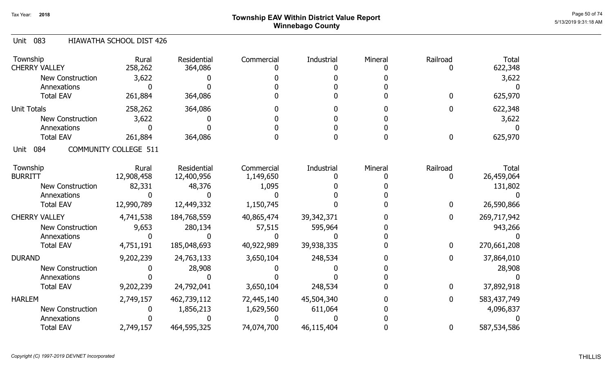## Page 50 of 74  $^{P_1}$ Page 50 of 74  $^{P_2}$  Township EAV Within District Value Report Winnebago County

### Unit 083 HIAWATHA SCHOOL DIST 426

| Township<br><b>CHERRY VALLEY</b> | Rural<br>258,262             | <b>Residential</b><br>364,086 | Commercial | Industrial   | Mineral | Railroad     | <b>Total</b><br>622,348 |
|----------------------------------|------------------------------|-------------------------------|------------|--------------|---------|--------------|-------------------------|
| <b>New Construction</b>          | 3,622                        |                               |            |              |         |              | 3,622                   |
| Annexations                      |                              |                               |            |              |         |              |                         |
| <b>Total EAV</b>                 | 261,884                      | 364,086                       |            |              |         | 0            | 625,970                 |
| <b>Unit Totals</b>               | 258,262                      | 364,086                       |            |              |         | 0            | 622,348                 |
| New Construction                 | 3,622                        |                               |            |              |         |              | 3,622                   |
| Annexations                      |                              |                               |            |              |         |              |                         |
| <b>Total EAV</b>                 | 261,884                      | 364,086                       |            |              |         | $\mathbf{0}$ | 625,970                 |
| 084<br>Unit                      | <b>COMMUNITY COLLEGE 511</b> |                               |            |              |         |              |                         |
| Township                         | Rural                        | Residential                   | Commercial | Industrial   | Mineral | Railroad     | <b>Total</b>            |
| <b>BURRITT</b>                   | 12,908,458                   | 12,400,956                    | 1,149,650  |              |         | 0            | 26,459,064              |
| New Construction                 | 82,331                       | 48,376                        | 1,095      |              |         |              | 131,802                 |
| Annexations                      |                              |                               |            |              |         |              |                         |
| <b>Total EAV</b>                 | 12,990,789                   | 12,449,332                    | 1,150,745  |              |         | $\mathbf{0}$ | 26,590,866              |
| <b>CHERRY VALLEY</b>             | 4,741,538                    | 184,768,559                   | 40,865,474 | 39, 342, 371 |         | $\mathbf{0}$ | 269,717,942             |
| <b>New Construction</b>          | 9,653                        | 280,134                       | 57,515     | 595,964      |         |              | 943,266                 |
| Annexations                      |                              |                               |            |              |         |              |                         |
| <b>Total EAV</b>                 | 4,751,191                    | 185,048,693                   | 40,922,989 | 39,938,335   |         | 0            | 270,661,208             |
| <b>DURAND</b>                    | 9,202,239                    | 24,763,133                    | 3,650,104  | 248,534      |         | $\mathbf{0}$ | 37,864,010              |
| <b>New Construction</b>          |                              | 28,908                        |            |              |         |              | 28,908                  |
| Annexations                      |                              |                               |            |              |         |              |                         |
| <b>Total EAV</b>                 | 9,202,239                    | 24,792,041                    | 3,650,104  | 248,534      |         | 0            | 37,892,918              |
| <b>HARLEM</b>                    | 2,749,157                    | 462,739,112                   | 72,445,140 | 45,504,340   |         | 0            | 583,437,749             |
| <b>New Construction</b>          |                              | 1,856,213                     | 1,629,560  | 611,064      |         |              | 4,096,837               |
| Annexations                      |                              |                               |            |              |         |              |                         |
| <b>Total EAV</b>                 | 2,749,157                    | 464,595,325                   | 74,074,700 | 46,115,404   |         | 0            | 587,534,586             |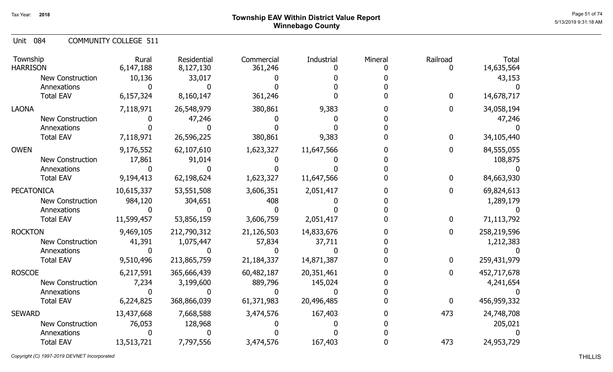Unit 084 COMMUNITY COLLEGE 511

| Township<br><b>HARRISON</b>            | Rural<br>6,147,188 | Residential<br>8,127,130 | Commercial<br>361,246 | Industrial | Mineral | Railroad<br>0 | <b>Total</b><br>14,635,564 |
|----------------------------------------|--------------------|--------------------------|-----------------------|------------|---------|---------------|----------------------------|
| <b>New Construction</b><br>Annexations | 10,136             | 33,017                   |                       |            |         |               | 43,153                     |
| <b>Total EAV</b>                       | 6,157,324          | 8,160,147                | 361,246               |            |         | $\mathbf 0$   | 14,678,717                 |
| <b>LAONA</b>                           | 7,118,971          | 26,548,979               | 380,861               | 9,383      |         | 0             | 34,058,194                 |
| <b>New Construction</b>                |                    | 47,246                   |                       |            |         |               | 47,246                     |
| Annexations                            |                    |                          |                       |            |         |               |                            |
| <b>Total EAV</b>                       | 7,118,971          | 26,596,225               | 380,861               | 9,383      |         | $\mathbf{0}$  | 34,105,440                 |
| <b>OWEN</b>                            | 9,176,552          | 62,107,610               | 1,623,327             | 11,647,566 |         | 0             | 84,555,055                 |
| <b>New Construction</b>                | 17,861             | 91,014                   |                       |            |         |               | 108,875                    |
| Annexations                            |                    |                          |                       |            |         |               |                            |
| <b>Total EAV</b>                       | 9,194,413          | 62,198,624               | 1,623,327             | 11,647,566 |         | $\mathbf{0}$  | 84,663,930                 |
| <b>PECATONICA</b>                      | 10,615,337         | 53,551,508               | 3,606,351             | 2,051,417  |         | 0             | 69,824,613                 |
| New Construction                       | 984,120            | 304,651                  | 408                   |            |         |               | 1,289,179                  |
| Annexations                            |                    |                          |                       |            |         |               |                            |
| <b>Total EAV</b>                       | 11,599,457         | 53,856,159               | 3,606,759             | 2,051,417  |         | $\mathbf 0$   | 71,113,792                 |
| <b>ROCKTON</b>                         | 9,469,105          | 212,790,312              | 21,126,503            | 14,833,676 |         | $\mathbf 0$   | 258,219,596                |
| New Construction                       | 41,391             | 1,075,447                | 57,834                | 37,711     |         |               | 1,212,383                  |
| Annexations                            |                    |                          |                       |            |         |               |                            |
| <b>Total EAV</b>                       | 9,510,496          | 213,865,759              | 21,184,337            | 14,871,387 |         | $\mathbf 0$   | 259,431,979                |
| <b>ROSCOE</b>                          | 6,217,591          | 365,666,439              | 60,482,187            | 20,351,461 |         | 0             | 452,717,678                |
| <b>New Construction</b>                | 7,234              | 3,199,600                | 889,796               | 145,024    |         |               | 4,241,654                  |
| Annexations                            | 0                  |                          |                       |            |         |               |                            |
| <b>Total EAV</b>                       | 6,224,825          | 368,866,039              | 61,371,983            | 20,496,485 |         | $\mathbf 0$   | 456,959,332                |
| <b>SEWARD</b>                          | 13,437,668         | 7,668,588                | 3,474,576             | 167,403    |         | 473           | 24,748,708                 |
| <b>New Construction</b>                | 76,053             | 128,968                  |                       |            |         |               | 205,021                    |
| Annexations                            |                    |                          |                       |            |         |               |                            |
| <b>Total EAV</b>                       | 13,513,721         | 7,797,556                | 3,474,576             | 167,403    |         | 473           | 24,953,729                 |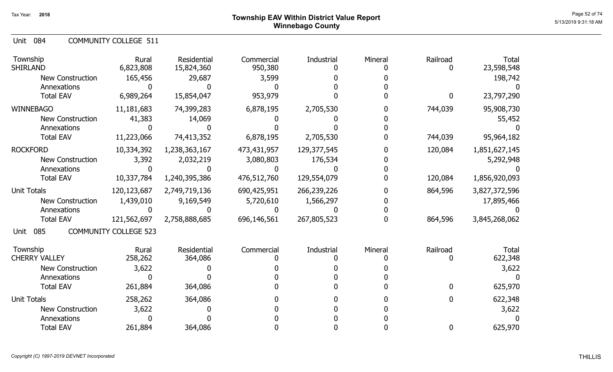Unit 084 COMMUNITY COLLEGE 511

| Township<br><b>SHIRLAND</b> | Rural<br>6,823,808           | <b>Residential</b><br>15,824,360 | Commercial<br>950,380 | Industrial  | Mineral | Railroad | <b>Total</b><br>23,598,548 |
|-----------------------------|------------------------------|----------------------------------|-----------------------|-------------|---------|----------|----------------------------|
| <b>New Construction</b>     | 165,456                      | 29,687                           | 3,599                 |             |         |          | 198,742                    |
| Annexations                 |                              |                                  |                       |             |         |          |                            |
| <b>Total EAV</b>            | 6,989,264                    | 15,854,047                       | 953,979               |             |         | 0        | 23,797,290                 |
| <b>WINNEBAGO</b>            | 11,181,683                   | 74,399,283                       | 6,878,195             | 2,705,530   |         | 744,039  | 95,908,730                 |
| <b>New Construction</b>     | 41,383                       | 14,069                           |                       |             |         |          | 55,452                     |
| Annexations                 |                              |                                  |                       |             |         |          |                            |
| <b>Total EAV</b>            | 11,223,066                   | 74,413,352                       | 6,878,195             | 2,705,530   |         | 744,039  | 95,964,182                 |
| <b>ROCKFORD</b>             | 10,334,392                   | 1,238,363,167                    | 473,431,957           | 129,377,545 |         | 120,084  | 1,851,627,145              |
| <b>New Construction</b>     | 3,392                        | 2,032,219                        | 3,080,803             | 176,534     |         |          | 5,292,948                  |
| Annexations                 |                              |                                  |                       |             |         |          |                            |
| <b>Total EAV</b>            | 10,337,784                   | 1,240,395,386                    | 476,512,760           | 129,554,079 |         | 120,084  | 1,856,920,093              |
| <b>Unit Totals</b>          | 120,123,687                  | 2,749,719,136                    | 690,425,951           | 266,239,226 |         | 864,596  | 3,827,372,596              |
| <b>New Construction</b>     | 1,439,010                    | 9,169,549                        | 5,720,610             | 1,566,297   |         |          | 17,895,466                 |
| Annexations                 |                              |                                  |                       |             |         |          |                            |
| <b>Total EAV</b>            | 121,562,697                  | 2,758,888,685                    | 696,146,561           | 267,805,523 |         | 864,596  | 3,845,268,062              |
| 085<br>Unit                 | <b>COMMUNITY COLLEGE 523</b> |                                  |                       |             |         |          |                            |
| Township                    | Rural                        | <b>Residential</b>               | Commercial            | Industrial  | Mineral | Railroad | <b>Total</b>               |
| <b>CHERRY VALLEY</b>        | 258,262                      | 364,086                          |                       |             |         |          | 622,348                    |
| <b>New Construction</b>     | 3,622                        |                                  |                       |             |         |          | 3,622                      |
| Annexations                 |                              |                                  |                       |             |         |          |                            |
| <b>Total EAV</b>            | 261,884                      | 364,086                          |                       |             |         | 0        | 625,970                    |
| <b>Unit Totals</b>          | 258,262                      | 364,086                          |                       |             |         | 0        | 622,348                    |
| <b>New Construction</b>     | 3,622                        |                                  |                       |             |         |          | 3,622                      |
| Annexations                 |                              |                                  |                       |             |         |          |                            |
| <b>Total EAV</b>            | 261,884                      | 364,086                          |                       |             |         | 0        | 625,970                    |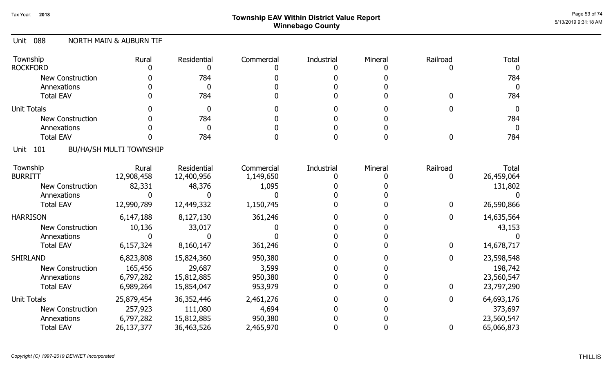## Page 53 of 74  $^{P_1}$ Page 53 of 74  $^{P_2}$ Winnebago County

### 088 Unit NORTH MAIN & AUBURN TIF

| Township<br><b>ROCKFORD</b> | Rural                          | Residential<br>O   | Commercial | Industrial | Mineral | Railroad       | <b>Total</b> |
|-----------------------------|--------------------------------|--------------------|------------|------------|---------|----------------|--------------|
| <b>New Construction</b>     |                                | 784                |            |            |         |                | 784          |
| Annexations                 |                                | $\Omega$           |            |            |         |                | 0            |
| <b>Total EAV</b>            |                                | 784                |            |            |         | 0              | 784          |
|                             |                                |                    |            |            |         |                |              |
| <b>Unit Totals</b>          |                                | $\bf{0}$           |            |            |         | 0              | 0            |
| <b>New Construction</b>     |                                | 784                |            |            |         |                | 784          |
| Annexations                 |                                | $\Omega$           |            |            |         |                | 0            |
| <b>Total EAV</b>            |                                | 784                |            |            |         | 0              | 784          |
| 101<br>Unit                 | <b>BU/HA/SH MULTI TOWNSHIP</b> |                    |            |            |         |                |              |
| Township                    | Rural                          | <b>Residential</b> | Commercial | Industrial | Mineral | Railroad       | <b>Total</b> |
| <b>BURRITT</b>              | 12,908,458                     | 12,400,956         | 1,149,650  |            |         |                | 26,459,064   |
| <b>New Construction</b>     | 82,331                         | 48,376             | 1,095      |            |         |                | 131,802      |
| Annexations                 |                                |                    |            |            |         |                |              |
| <b>Total EAV</b>            | 12,990,789                     | 12,449,332         | 1,150,745  |            |         | $\mathbf{0}$   | 26,590,866   |
| <b>HARRISON</b>             | 6,147,188                      | 8,127,130          | 361,246    |            |         | $\overline{0}$ | 14,635,564   |
| <b>New Construction</b>     | 10,136                         | 33,017             |            |            |         |                | 43,153       |
| Annexations                 |                                |                    |            |            |         |                |              |
| <b>Total EAV</b>            | 6,157,324                      | 8,160,147          | 361,246    |            |         | $\mathbf 0$    | 14,678,717   |
| <b>SHIRLAND</b>             | 6,823,808                      | 15,824,360         | 950,380    |            |         | $\mathbf{0}$   | 23,598,548   |
| <b>New Construction</b>     | 165,456                        | 29,687             | 3,599      |            |         |                | 198,742      |
| Annexations                 | 6,797,282                      | 15,812,885         | 950,380    |            |         |                | 23,560,547   |
| <b>Total EAV</b>            | 6,989,264                      | 15,854,047         | 953,979    |            |         | $\mathbf{0}$   | 23,797,290   |
| <b>Unit Totals</b>          | 25,879,454                     | 36,352,446         | 2,461,276  |            |         | $\mathbf{0}$   | 64,693,176   |
| <b>New Construction</b>     | 257,923                        | 111,080            | 4,694      |            |         |                | 373,697      |
| Annexations                 | 6,797,282                      | 15,812,885         | 950,380    |            |         |                | 23,560,547   |
| <b>Total EAV</b>            | 26,137,377                     | 36,463,526         | 2,465,970  |            |         | 0              | 65,066,873   |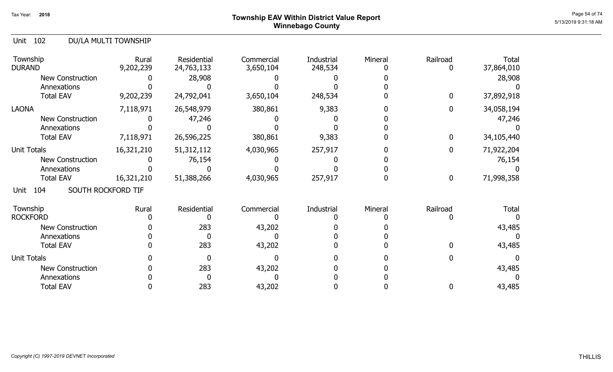## Page 54 of 74  $^{P_2}$   $^{P_3}$   $^{P_4}$   $^{P_5}$   $^{P_6}$   $^{54}$  of  $^{74}$   $^{P_6}$   $^{54}$  of  $^{74}$   $^{74}$   $^{74}$   $^{74}$   $^{74}$   $^{74}$   $^{74}$   $^{74}$   $^{74}$   $^{74}$   $^{74}$   $^{74}$   $^{74}$   $^{74}$   $^{74}$   $^{74}$   $^{74}$   $^{74}$   $^{74}$  Winnebago County

### Unit 102 DU/LA MULTI TOWNSHIP

| Township<br><b>DURAND</b>         | Rural<br>9,202,239 | Residential<br>24,763,133 | Commercial<br>3,650,104 | <b>Industrial</b><br>248,534 | Mineral | Railroad<br>O | <b>Total</b><br>37,864,010 |
|-----------------------------------|--------------------|---------------------------|-------------------------|------------------------------|---------|---------------|----------------------------|
| <b>New Construction</b>           |                    | 28,908                    |                         |                              |         |               | 28,908                     |
| Annexations                       |                    |                           |                         |                              |         |               |                            |
| <b>Total EAV</b>                  | 9,202,239          | 24,792,041                | 3,650,104               | 248,534                      |         | 0             | 37,892,918                 |
| <b>LAONA</b>                      | 7,118,971          | 26,548,979                | 380,861                 | 9,383                        |         | 0             | 34,058,194                 |
| <b>New Construction</b>           |                    | 47,246                    |                         |                              |         |               | 47,246                     |
| Annexations                       |                    |                           |                         |                              |         |               |                            |
| <b>Total EAV</b>                  | 7,118,971          | 26,596,225                | 380,861                 | 9,383                        |         | 0             | 34,105,440                 |
| <b>Unit Totals</b>                | 16,321,210         | 51, 312, 112              | 4,030,965               | 257,917                      |         | 0             | 71,922,204                 |
| <b>New Construction</b>           |                    | 76,154                    |                         |                              |         |               | 76,154                     |
| Annexations                       |                    |                           |                         |                              |         |               |                            |
| <b>Total EAV</b>                  | 16,321,210         | 51,388,266                | 4,030,965               | 257,917                      |         | 0             | 71,998,358                 |
| SOUTH ROCKFORD TIF<br>104<br>Unit |                    |                           |                         |                              |         |               |                            |
| Township                          | Rural              | Residential               | Commercial              | Industrial                   | Mineral | Railroad      | <b>Total</b>               |
| <b>ROCKFORD</b>                   |                    |                           |                         |                              |         |               |                            |
| <b>New Construction</b>           |                    | 283                       | 43,202                  |                              |         |               | 43,485                     |
| Annexations                       |                    |                           |                         |                              |         |               |                            |
| <b>Total EAV</b>                  |                    | 283                       | 43,202                  |                              |         |               | 43,485                     |
| <b>Unit Totals</b>                |                    |                           |                         |                              |         |               |                            |
| New Construction                  |                    | 283                       | 43,202                  |                              |         |               | 43,485                     |
| Annexations                       |                    |                           |                         |                              |         |               |                            |
| <b>Total EAV</b>                  |                    | 283                       | 43,202                  |                              |         | 0             | 43,485                     |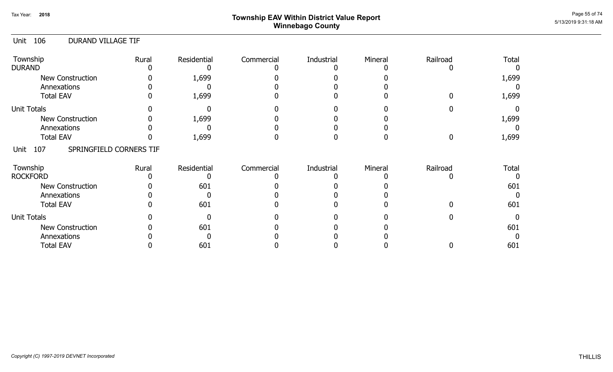## ${\sf Township~EAV~Within~District~Value~Report} \nonumber \hspace{5em} \begin{array}{c} {\sf Page~55~of~74} \nonumber \end{array}$ Winnebago County

### Unit 106 DURAND VILLAGE TIF

| Township<br><b>DURAND</b>              | Rural | Residential | Commercial | Industrial | Mineral | Railroad | <b>Total</b> |
|----------------------------------------|-------|-------------|------------|------------|---------|----------|--------------|
| New Construction                       |       | 1,699       |            |            |         |          | 1,699        |
| Annexations                            |       |             |            |            |         |          |              |
| <b>Total EAV</b>                       |       | 1,699       |            |            |         |          | 1,699        |
| <b>Unit Totals</b>                     |       |             |            |            |         |          |              |
| <b>New Construction</b>                |       | 1,699       |            |            |         |          | 1,699        |
| Annexations                            |       |             |            |            |         |          |              |
| <b>Total EAV</b>                       |       | 1,699       |            |            |         |          | 1,699        |
| SPRINGFIELD CORNERS TIF<br>107<br>Unit |       |             |            |            |         |          |              |
| Township                               | Rural | Residential | Commercial | Industrial | Mineral | Railroad | <b>Total</b> |
| <b>ROCKFORD</b>                        |       |             |            |            |         |          |              |
| <b>New Construction</b>                |       | 601         |            |            |         |          | 601          |
| Annexations                            |       |             |            |            |         |          |              |
| <b>Total EAV</b>                       |       | 601         |            |            |         |          | 601          |
| <b>Unit Totals</b>                     |       |             |            |            |         |          |              |
| <b>New Construction</b>                |       | 601         |            |            |         |          | 601          |
| Annexations                            |       |             |            |            |         |          |              |
| <b>Total EAV</b>                       |       | 601         |            |            |         |          | 601          |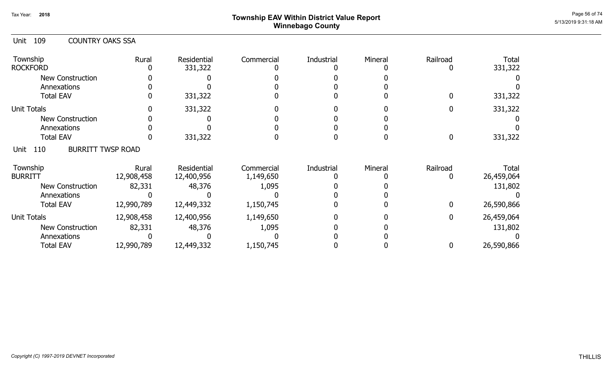## ${\sf Township~EAV~Within~District~Value~Report} \nonumber \hspace{5mm} \begin{array}{c} {\sf Page~56~of~74} \ {\small \textbf{C17}} \end{array}$ Winnebago County

| Unit 109 | <b>COUNTRY OAKS SSA</b> |  |
|----------|-------------------------|--|
|          |                         |  |

| Township<br><b>ROCKFORD</b>             | Rural      | Residential<br>331,322 | Commercial | Industrial | Mineral | Railroad | <b>Total</b><br>331,322 |
|-----------------------------------------|------------|------------------------|------------|------------|---------|----------|-------------------------|
| <b>New Construction</b>                 |            |                        |            |            |         |          |                         |
| Annexations                             |            |                        |            |            |         |          |                         |
| <b>Total EAV</b>                        |            | 331,322                |            |            |         |          | 331,322                 |
| <b>Unit Totals</b>                      |            | 331,322                |            |            |         |          | 331,322                 |
| <b>New Construction</b>                 |            |                        |            |            |         |          |                         |
| Annexations                             |            |                        |            |            |         |          |                         |
| <b>Total EAV</b>                        |            | 331,322                |            |            |         | 0        | 331,322                 |
| <b>BURRITT TWSP ROAD</b><br>110<br>Unit |            |                        |            |            |         |          |                         |
| Township                                | Rural      | Residential            | Commercial | Industrial | Mineral | Railroad | Total                   |
| <b>BURRITT</b>                          | 12,908,458 | 12,400,956             | 1,149,650  |            |         |          | 26,459,064              |
| <b>New Construction</b>                 | 82,331     | 48,376                 | 1,095      |            |         |          | 131,802                 |
| Annexations                             |            |                        |            |            |         |          |                         |
| <b>Total EAV</b>                        | 12,990,789 | 12,449,332             | 1,150,745  |            |         | 0        | 26,590,866              |
| <b>Unit Totals</b>                      | 12,908,458 | 12,400,956             | 1,149,650  |            |         | 0        | 26,459,064              |
| <b>New Construction</b>                 | 82,331     | 48,376                 | 1,095      |            |         |          | 131,802                 |
| Annexations                             |            |                        |            |            |         |          |                         |
| <b>Total EAV</b>                        | 12,990,789 | 12,449,332             | 1,150,745  |            |         | 0        | 26,590,866              |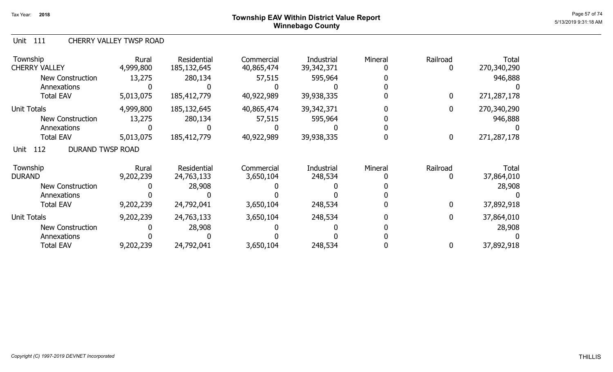## Page 57 of 74  $^{P_1}$ Page 57 of 74  $^{P_2}$  Township EAV Within District Value Report Winnebago County

#### Unit 111 CHERRY VALLEY TWSP ROAD

| Township<br><b>CHERRY VALLEY</b>       | Rural<br>4,999,800 | Residential<br>185, 132, 645 | Commercial<br>40,865,474 | <b>Industrial</b><br>39, 342, 371 | Mineral | Railroad<br>0    | <b>Total</b><br>270,340,290 |
|----------------------------------------|--------------------|------------------------------|--------------------------|-----------------------------------|---------|------------------|-----------------------------|
| <b>New Construction</b>                | 13,275             | 280,134                      | 57,515                   | 595,964                           |         |                  | 946,888                     |
| Annexations                            |                    |                              |                          |                                   |         |                  |                             |
| <b>Total EAV</b>                       | 5,013,075          | 185,412,779                  | 40,922,989               | 39,938,335                        |         | 0                | 271,287,178                 |
| <b>Unit Totals</b>                     | 4,999,800          | 185,132,645                  | 40,865,474               | 39, 342, 371                      |         | 0                | 270,340,290                 |
| <b>New Construction</b>                | 13,275             | 280,134                      | 57,515                   | 595,964                           |         |                  | 946,888                     |
| Annexations                            |                    |                              |                          |                                   |         |                  |                             |
| <b>Total EAV</b>                       | 5,013,075          | 185,412,779                  | 40,922,989               | 39,938,335                        |         | $\boldsymbol{0}$ | 271,287,178                 |
| <b>DURAND TWSP ROAD</b><br>112<br>Unit |                    |                              |                          |                                   |         |                  |                             |
| Township<br><b>DURAND</b>              | Rural<br>9,202,239 | Residential<br>24,763,133    | Commercial<br>3,650,104  | Industrial<br>248,534             | Mineral | Railroad         | Total<br>37,864,010         |
| <b>New Construction</b>                |                    | 28,908                       |                          |                                   |         |                  | 28,908                      |
| Annexations                            |                    |                              |                          |                                   |         |                  |                             |
| <b>Total EAV</b>                       | 9,202,239          | 24,792,041                   | 3,650,104                | 248,534                           |         | $\mathbf 0$      | 37,892,918                  |
| <b>Unit Totals</b>                     | 9,202,239          | 24,763,133                   | 3,650,104                | 248,534                           |         | $\mathbf{0}$     | 37,864,010                  |
| <b>New Construction</b>                |                    | 28,908                       |                          |                                   |         |                  | 28,908                      |
| Annexations                            |                    |                              |                          |                                   |         |                  |                             |
| <b>Total EAV</b>                       | 9,202,239          | 24,792,041                   | 3,650,104                | 248,534                           |         | 0                | 37,892,918                  |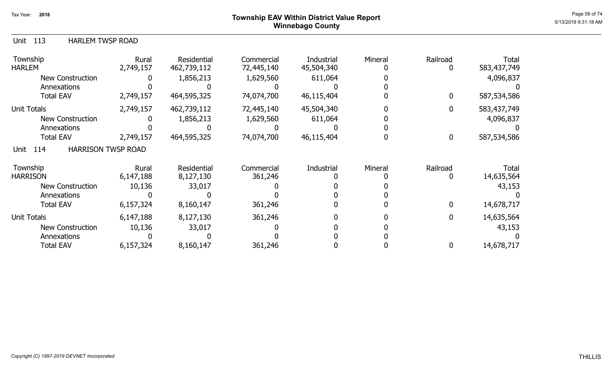### ${\sf Township~EAV~Within~District~Value~Report} \nonumber \hspace{5.5cm} \textcolor{red}{\sf Page~58~of~74} \nonumber$ Winnebago County

| <b>HARLEM TWSP ROAD</b><br>Unit 113 |
|-------------------------------------|
|-------------------------------------|

| Township<br><b>HARLEM</b>                | Rural<br>2,749,157 | Residential<br>462,739,112 | Commercial<br>72,445,140 | Industrial<br>45,504,340 | Mineral | Railroad | <b>Total</b><br>583,437,749 |
|------------------------------------------|--------------------|----------------------------|--------------------------|--------------------------|---------|----------|-----------------------------|
| New Construction                         |                    | 1,856,213                  | 1,629,560                | 611,064                  |         |          | 4,096,837                   |
| Annexations                              |                    |                            |                          |                          |         |          |                             |
| <b>Total EAV</b>                         | 2,749,157          | 464,595,325                | 74,074,700               | 46,115,404               |         | 0        | 587,534,586                 |
| <b>Unit Totals</b>                       | 2,749,157          | 462,739,112                | 72,445,140               | 45,504,340               |         |          | 583,437,749                 |
| <b>New Construction</b>                  |                    | 1,856,213                  | 1,629,560                | 611,064                  |         |          | 4,096,837                   |
| Annexations                              |                    |                            |                          |                          |         |          |                             |
| <b>Total EAV</b>                         | 2,749,157          | 464,595,325                | 74,074,700               | 46,115,404               |         | $\bf{0}$ | 587,534,586                 |
| <b>HARRISON TWSP ROAD</b><br>114<br>Unit |                    |                            |                          |                          |         |          |                             |
| Township                                 | Rural              | Residential                | Commercial               | Industrial               | Mineral | Railroad | Total                       |
| <b>HARRISON</b>                          | 6,147,188          | 8,127,130                  | 361,246                  |                          |         |          | 14,635,564                  |
| <b>New Construction</b>                  | 10,136             | 33,017                     |                          |                          |         |          | 43,153                      |
| Annexations                              |                    |                            |                          |                          |         |          |                             |
| <b>Total EAV</b>                         | 6,157,324          | 8,160,147                  | 361,246                  |                          |         | 0        | 14,678,717                  |
| <b>Unit Totals</b>                       | 6,147,188          | 8,127,130                  | 361,246                  |                          |         | 0        | 14,635,564                  |
| <b>New Construction</b>                  | 10,136             | 33,017                     |                          |                          |         |          | 43,153                      |
| Annexations                              |                    |                            |                          |                          |         |          |                             |
| <b>Total EAV</b>                         | 6,157,324          | 8,160,147                  | 361,246                  |                          |         | 0        | 14,678,717                  |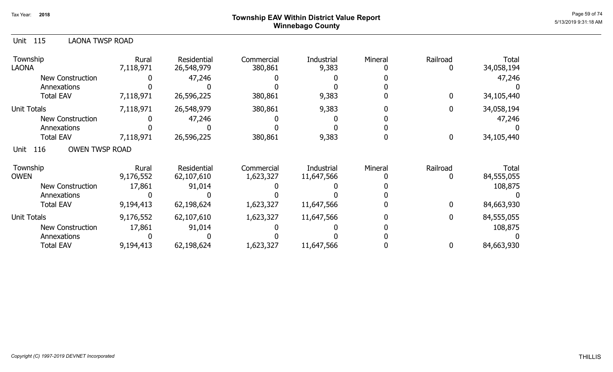## Page 59 of 74  $^{P}$   $P_{\text{edge 59 of 74}}$   $P_{\text{edge 59 of 74}}$ Winnebago County

| <b>LAONA TWSP ROAD</b><br>Unit 115   |                    |                                  |                         |                          |         |               |                     |
|--------------------------------------|--------------------|----------------------------------|-------------------------|--------------------------|---------|---------------|---------------------|
| Township<br><b>LAONA</b>             | Rural<br>7,118,971 | <b>Residential</b><br>26,548,979 | Commercial<br>380,861   | Industrial<br>9,383      | Mineral | Railroad      | Total<br>34,058,194 |
| <b>New Construction</b>              |                    | 47,246                           |                         |                          |         |               | 47,246              |
| Annexations                          |                    |                                  |                         |                          |         |               |                     |
| <b>Total EAV</b>                     | 7,118,971          | 26,596,225                       | 380,861                 | 9,383                    |         | $\Omega$      | 34,105,440          |
| <b>Unit Totals</b>                   | 7,118,971          | 26,548,979                       | 380,861                 | 9,383                    |         | 0             | 34,058,194          |
| <b>New Construction</b>              |                    | 47,246                           |                         |                          |         |               | 47,246              |
| Annexations                          |                    |                                  |                         |                          |         |               |                     |
| <b>Total EAV</b>                     | 7,118,971          | 26,596,225                       | 380,861                 | 9,383                    |         | 0             | 34,105,440          |
| <b>OWEN TWSP ROAD</b><br>Unit<br>116 |                    |                                  |                         |                          |         |               |                     |
| Township<br><b>OWEN</b>              | Rural<br>9,176,552 | <b>Residential</b><br>62,107,610 | Commercial<br>1,623,327 | Industrial<br>11,647,566 | Mineral | Railroad<br>0 | Total<br>84,555,055 |
| New Construction                     |                    |                                  |                         |                          |         |               | 108,875             |
| Annexations                          | 17,861             | 91,014                           |                         |                          |         |               |                     |
| <b>Total EAV</b>                     | 9,194,413          | 62,198,624                       | 1,623,327               | 11,647,566               |         | $\Omega$      | 84,663,930          |
| <b>Unit Totals</b>                   | 9,176,552          | 62,107,610                       | 1,623,327               | 11,647,566               |         | $\mathbf{0}$  | 84,555,055          |
| <b>New Construction</b>              | 17,861             | 91,014                           |                         |                          |         |               | 108,875             |
| Annexations                          |                    |                                  |                         |                          |         |               |                     |
| <b>Total EAV</b>                     | 9,194,413          | 62,198,624                       | 1,623,327               | 11,647,566               |         |               | 84,663,930          |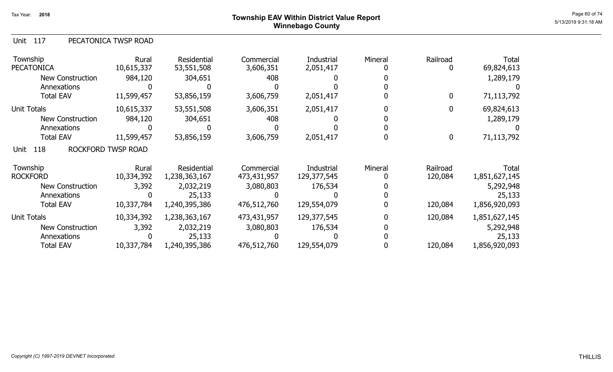### Page 60 of 74  $^{P_2}$   $P_3$   $P_4$   $P_5$   $P_6$   $P_6$   $P_7$   $P_8$   $P_6$   $P_7$   $P_8$   $P_6$   $P_7$   $P_8$   $P_6$   $P_7$   $P_8$   $P_8$   $P_9$   $P_8$   $P_9$   $P_9$   $P_8$   $P_9$   $P_9$   $P_9$   $P_9$   $P_9$   $P_9$   $P_9$   $P_9$   $P_9$   $P_9$   $P_9$   $P$ Winnebago County

### Unit 117 PECATONICA TWSP ROAD

| Township<br><b>PECATONICA</b> | Rural<br>10,615,337 | Residential<br>53,551,508 | Commercial<br>3,606,351 | Industrial<br>2,051,417 | Mineral | Railroad<br>$\mathbf 0$ | <b>Total</b><br>69,824,613 |
|-------------------------------|---------------------|---------------------------|-------------------------|-------------------------|---------|-------------------------|----------------------------|
| <b>New Construction</b>       | 984,120             | 304,651                   | 408                     |                         |         |                         | 1,289,179                  |
| Annexations                   |                     |                           |                         |                         |         |                         |                            |
| <b>Total EAV</b>              | 11,599,457          | 53,856,159                | 3,606,759               | 2,051,417               |         | $\bf{0}$                | 71,113,792                 |
| <b>Unit Totals</b>            | 10,615,337          | 53,551,508                | 3,606,351               | 2,051,417               |         | $\bf{0}$                | 69,824,613                 |
| New Construction              | 984,120             | 304,651                   | 408                     |                         |         |                         | 1,289,179                  |
| Annexations                   |                     |                           |                         |                         |         |                         |                            |
| <b>Total EAV</b>              | 11,599,457          | 53,856,159                | 3,606,759               | 2,051,417               |         | $\boldsymbol{0}$        | 71,113,792                 |
| 118<br>Unit                   | ROCKFORD TWSP ROAD  |                           |                         |                         |         |                         |                            |
| Township                      | Rural               | Residential               | Commercial              | Industrial              | Mineral | Railroad                | Total                      |
| <b>ROCKFORD</b>               | 10,334,392          | 1,238,363,167             | 473,431,957             | 129,377,545             |         | 120,084                 | 1,851,627,145              |
| <b>New Construction</b>       | 3,392               | 2,032,219                 | 3,080,803               | 176,534                 |         |                         | 5,292,948                  |
| Annexations                   | $\Omega$            | 25,133                    |                         |                         |         |                         | 25,133                     |
| <b>Total EAV</b>              | 10,337,784          | 1,240,395,386             | 476,512,760             | 129,554,079             |         | 120,084                 | 1,856,920,093              |
| <b>Unit Totals</b>            | 10,334,392          | 1,238,363,167             | 473,431,957             | 129,377,545             |         | 120,084                 | 1,851,627,145              |
| <b>New Construction</b>       | 3,392               | 2,032,219                 | 3,080,803               | 176,534                 |         |                         | 5,292,948                  |
| Annexations                   |                     | 25,133                    |                         |                         |         |                         | 25,133                     |
| <b>Total EAV</b>              | 10,337,784          | 1,240,395,386             | 476,512,760             | 129,554,079             |         | 120,084                 | 1,856,920,093              |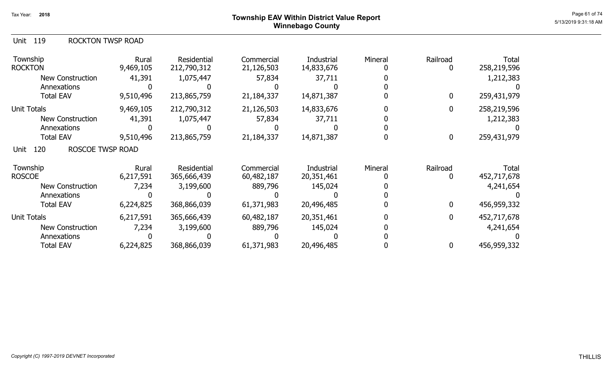### Page 61 of 74  $^{P_1}$ Page 61 of 74  $^{P_2}$ Winnebago County

| Unit 119 | <b>ROCKTON TWSP ROAD</b> |  |
|----------|--------------------------|--|
|          |                          |  |

| Township<br><b>ROCKTON</b>             | Rural<br>9,469,105 | <b>Residential</b><br>212,790,312 | Commercial<br>21,126,503 | <b>Industrial</b><br>14,833,676 | Mineral | Railroad | <b>Total</b><br>258,219,596 |
|----------------------------------------|--------------------|-----------------------------------|--------------------------|---------------------------------|---------|----------|-----------------------------|
| <b>New Construction</b>                | 41,391             | 1,075,447                         | 57,834                   | 37,711                          |         |          | 1,212,383                   |
| Annexations                            |                    |                                   |                          |                                 |         |          |                             |
| <b>Total EAV</b>                       | 9,510,496          | 213,865,759                       | 21,184,337               | 14,871,387                      |         | 0        | 259,431,979                 |
| <b>Unit Totals</b>                     | 9,469,105          | 212,790,312                       | 21,126,503               | 14,833,676                      |         |          | 258,219,596                 |
| <b>New Construction</b>                | 41,391             | 1,075,447                         | 57,834                   | 37,711                          |         |          | 1,212,383                   |
| Annexations                            |                    |                                   |                          |                                 |         |          |                             |
| <b>Total EAV</b>                       | 9,510,496          | 213,865,759                       | 21,184,337               | 14,871,387                      |         | 0        | 259,431,979                 |
| 120<br><b>ROSCOE TWSP ROAD</b><br>Unit |                    |                                   |                          |                                 |         |          |                             |
| Township                               | Rural              | Residential                       | Commercial               | Industrial                      | Mineral | Railroad | Total                       |
| <b>ROSCOE</b>                          | 6,217,591          | 365,666,439                       | 60,482,187               | 20,351,461                      |         |          | 452,717,678                 |
| <b>New Construction</b>                | 7,234              | 3,199,600                         | 889,796                  | 145,024                         |         |          | 4,241,654                   |
| Annexations                            |                    |                                   |                          |                                 |         |          |                             |
| <b>Total EAV</b>                       | 6,224,825          | 368,866,039                       | 61,371,983               | 20,496,485                      |         | 0        | 456,959,332                 |
| <b>Unit Totals</b>                     | 6,217,591          | 365,666,439                       | 60,482,187               | 20,351,461                      |         | 0        | 452,717,678                 |
| <b>New Construction</b>                | 7,234              | 3,199,600                         | 889,796                  | 145,024                         |         |          | 4,241,654                   |
| Annexations                            |                    |                                   |                          |                                 |         |          |                             |
| <b>Total EAV</b>                       | 6,224,825          | 368,866,039                       | 61,371,983               | 20,496,485                      |         |          | 456,959,332                 |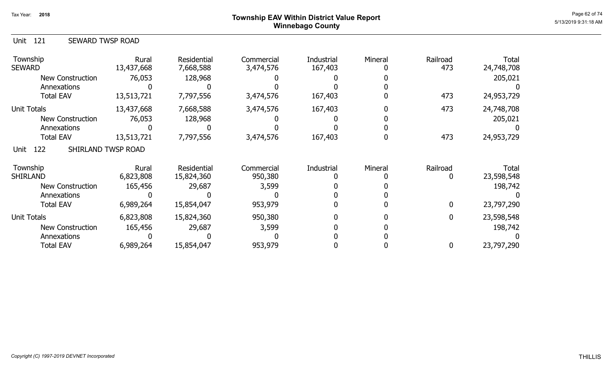### Page 62 of 74  $^{P_1}$ Page 62 of 74  $^{P_2}$  of 74  $^{P_3}$   $\blacksquare$ Winnebago County

| Unit 121 | SEWARD TWSP ROAD |  |
|----------|------------------|--|
|----------|------------------|--|

| Township<br><b>SEWARD</b>         | Rural<br>13,437,668 | <b>Residential</b><br>7,668,588 | Commercial<br>3,474,576 | Industrial<br>167,403 | Mineral | Railroad<br>473 | Total<br>24,748,708 |
|-----------------------------------|---------------------|---------------------------------|-------------------------|-----------------------|---------|-----------------|---------------------|
| <b>New Construction</b>           | 76,053              | 128,968                         |                         |                       |         |                 | 205,021             |
| Annexations                       |                     |                                 |                         |                       |         |                 |                     |
| <b>Total EAV</b>                  | 13,513,721          | 7,797,556                       | 3,474,576               | 167,403               |         | 473             | 24,953,729          |
| <b>Unit Totals</b>                | 13,437,668          | 7,668,588                       | 3,474,576               | 167,403               |         | 473             | 24,748,708          |
| <b>New Construction</b>           | 76,053              | 128,968                         |                         |                       |         |                 | 205,021             |
| Annexations                       |                     |                                 |                         |                       |         |                 |                     |
| <b>Total EAV</b>                  | 13,513,721          | 7,797,556                       | 3,474,576               | 167,403               |         | 473             | 24,953,729          |
| 122<br>SHIRLAND TWSP ROAD<br>Unit |                     |                                 |                         |                       |         |                 |                     |
| Township                          | Rural               | Residential                     | Commercial              | Industrial            | Mineral | Railroad        | Total               |
| <b>SHIRLAND</b>                   | 6,823,808           | 15,824,360                      | 950,380                 |                       |         |                 | 23,598,548          |
| <b>New Construction</b>           | 165,456             | 29,687                          | 3,599                   |                       |         |                 | 198,742             |
| Annexations                       |                     |                                 |                         |                       |         |                 |                     |
| <b>Total EAV</b>                  | 6,989,264           | 15,854,047                      | 953,979                 |                       |         | 0               | 23,797,290          |
| <b>Unit Totals</b>                | 6,823,808           | 15,824,360                      | 950,380                 |                       |         |                 | 23,598,548          |
| <b>New Construction</b>           | 165,456             | 29,687                          | 3,599                   |                       |         |                 | 198,742             |
| Annexations                       |                     |                                 |                         |                       |         |                 |                     |
| <b>Total EAV</b>                  | 6,989,264           | 15,854,047                      | 953,979                 |                       |         |                 | 23,797,290          |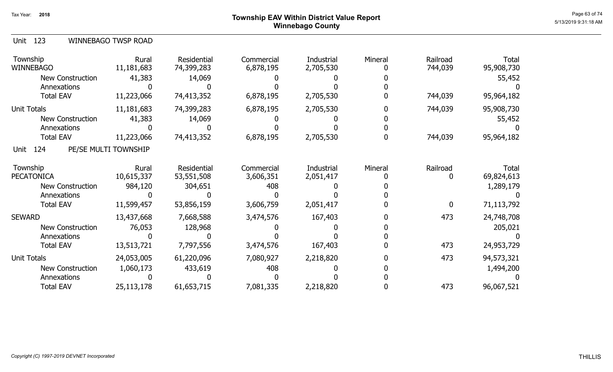### ${\sf Township~EAV~Within~District~Value~Report} \nonumber \hspace{5.5cm} \overset{\text{Page 63 of 74}}{\sim} \hspace{5.5cm} \overset{\text{Page 63 of 74}}{\sim} \hspace{5.5cm} \overset{\text{Page 63 of 74}}{\sim} \hspace{5.5cm} \overset{\text{Page 63 of 74}}{\sim} \hspace{5.5cm} \overset{\text{Page 63 of 74}}{\sim} \hspace{5.5cm} \overset{\text{Page 63 of 74}}{\sim} \hspace{5.5cm} \overset{\text{Page 63 of 74}}{\sim} \hspace{5.5cm} \$ Winnebago County

|  | Unit 123 |  | WINNEBAGO TWSP ROAD |
|--|----------|--|---------------------|
|--|----------|--|---------------------|

| Township<br><b>WINNEBAGO</b> | Rural<br>11,181,683  | Residential<br>74,399,283 | Commercial<br>6,878,195 | Industrial<br>2,705,530 | Mineral | Railroad<br>744,039 | <b>Total</b><br>95,908,730 |
|------------------------------|----------------------|---------------------------|-------------------------|-------------------------|---------|---------------------|----------------------------|
| New Construction             | 41,383               | 14,069                    |                         |                         |         |                     | 55,452                     |
| Annexations                  |                      |                           |                         |                         |         |                     |                            |
| <b>Total EAV</b>             | 11,223,066           | 74,413,352                | 6,878,195               | 2,705,530               |         | 744,039             | 95,964,182                 |
| <b>Unit Totals</b>           | 11,181,683           | 74,399,283                | 6,878,195               | 2,705,530               |         | 744,039             | 95,908,730                 |
| New Construction             | 41,383               | 14,069                    |                         |                         |         |                     | 55,452                     |
| Annexations                  |                      |                           |                         |                         |         |                     |                            |
| <b>Total EAV</b>             | 11,223,066           | 74,413,352                | 6,878,195               | 2,705,530               |         | 744,039             | 95,964,182                 |
| 124<br>Unit                  | PE/SE MULTI TOWNSHIP |                           |                         |                         |         |                     |                            |
| Township                     | Rural                | Residential               | Commercial              | Industrial              | Mineral | Railroad            | Total                      |
| <b>PECATONICA</b>            | 10,615,337           | 53,551,508                | 3,606,351               | 2,051,417               |         | 0                   | 69,824,613                 |
| New Construction             | 984,120              | 304,651                   | 408                     |                         |         |                     | 1,289,179                  |
| Annexations                  |                      |                           |                         |                         |         |                     |                            |
| <b>Total EAV</b>             | 11,599,457           | 53,856,159                | 3,606,759               | 2,051,417               |         | $\mathbf 0$         | 71,113,792                 |
| <b>SEWARD</b>                | 13,437,668           | 7,668,588                 | 3,474,576               | 167,403                 |         | 473                 | 24,748,708                 |
| New Construction             | 76,053               | 128,968                   |                         |                         |         |                     | 205,021                    |
| Annexations                  |                      |                           |                         |                         |         |                     |                            |
| <b>Total EAV</b>             | 13,513,721           | 7,797,556                 | 3,474,576               | 167,403                 |         | 473                 | 24,953,729                 |
| Unit Totals                  | 24,053,005           | 61,220,096                | 7,080,927               | 2,218,820               |         | 473                 | 94,573,321                 |
| New Construction             | 1,060,173            | 433,619                   | 408                     |                         |         |                     | 1,494,200                  |
| Annexations                  |                      |                           |                         |                         |         |                     |                            |
| <b>Total EAV</b>             | 25, 113, 178         | 61,653,715                | 7,081,335               | 2,218,820               |         | 473                 | 96,067,521                 |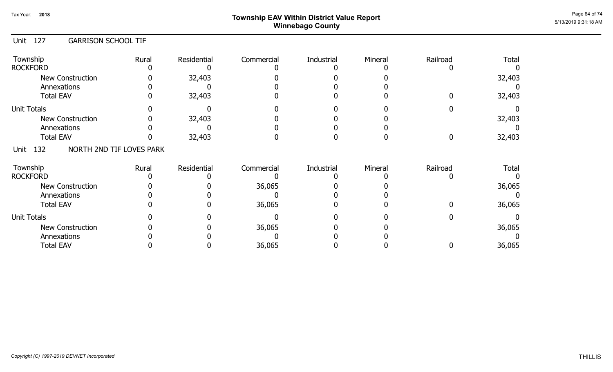## Page 64 of 74  $^{P_2}$ Page 64 of 74  $^{P_3}$ Winnebago County

### Unit 127 GARRISON SCHOOL TIF

| Township<br><b>ROCKFORD</b>             | Rural | Residential | Commercial | Industrial | Mineral | Railroad | <b>Total</b> |
|-----------------------------------------|-------|-------------|------------|------------|---------|----------|--------------|
| <b>New Construction</b><br>Annexations  |       | 32,403      |            |            |         |          | 32,403       |
| <b>Total EAV</b>                        |       | 32,403      |            |            |         |          | 32,403       |
| <b>Unit Totals</b>                      |       |             |            |            |         |          |              |
| <b>New Construction</b>                 |       | 32,403      |            |            |         |          | 32,403       |
| Annexations                             |       |             |            |            |         |          |              |
| <b>Total EAV</b>                        |       | 32,403      |            |            |         |          | 32,403       |
| NORTH 2ND TIF LOVES PARK<br>132<br>Unit |       |             |            |            |         |          |              |
| Township                                | Rural | Residential | Commercial | Industrial | Mineral | Railroad | <b>Total</b> |
| <b>ROCKFORD</b>                         |       |             |            |            |         |          |              |
| New Construction                        |       |             | 36,065     |            |         |          | 36,065       |
| Annexations                             |       |             |            |            |         |          |              |
| <b>Total EAV</b>                        |       |             | 36,065     |            |         |          | 36,065       |
| <b>Unit Totals</b>                      |       |             |            |            |         |          |              |
| <b>New Construction</b>                 |       |             | 36,065     |            |         |          | 36,065       |
| Annexations                             |       |             |            |            |         |          |              |
| <b>Total EAV</b>                        |       |             | 36,065     |            |         |          | 36,065       |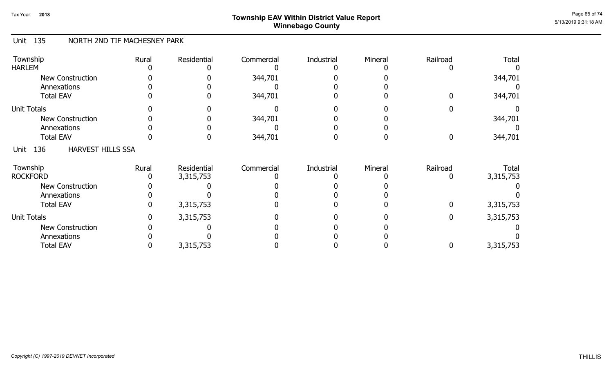## Page 65 of 74  $^{P_1}$ Page 65 of 74  $^{P_2}$ Winnebago County

#### Unit 135 NORTH 2ND TIF MACHESNEY PARK

| Township<br><b>HARLEM</b>               | Rural | Residential | Commercial | Industrial | Mineral | Railroad         | <b>Total</b> |
|-----------------------------------------|-------|-------------|------------|------------|---------|------------------|--------------|
| <b>New Construction</b>                 |       |             | 344,701    |            |         |                  | 344,701      |
| Annexations                             |       |             |            |            |         |                  |              |
| <b>Total EAV</b>                        |       |             | 344,701    |            |         |                  | 344,701      |
| <b>Unit Totals</b>                      |       |             |            |            |         |                  |              |
| <b>New Construction</b>                 |       |             | 344,701    |            |         |                  | 344,701      |
| Annexations                             |       |             |            |            |         |                  |              |
| <b>Total EAV</b>                        |       |             | 344,701    |            |         | $\boldsymbol{0}$ | 344,701      |
| <b>HARVEST HILLS SSA</b><br>136<br>Unit |       |             |            |            |         |                  |              |
| Township                                | Rural | Residential | Commercial | Industrial | Mineral | Railroad         | Total        |
| <b>ROCKFORD</b>                         |       | 3,315,753   |            |            |         |                  | 3,315,753    |
| <b>New Construction</b>                 |       |             |            |            |         |                  |              |
| Annexations                             |       |             |            |            |         |                  |              |
| <b>Total EAV</b>                        |       | 3,315,753   |            |            |         | 0                | 3,315,753    |
| <b>Unit Totals</b>                      |       | 3,315,753   |            |            |         | $\boldsymbol{0}$ | 3,315,753    |
| <b>New Construction</b>                 |       |             |            |            |         |                  |              |
| Annexations                             |       |             |            |            |         |                  |              |
| <b>Total EAV</b>                        |       | 3,315,753   |            |            |         | 0                | 3,315,753    |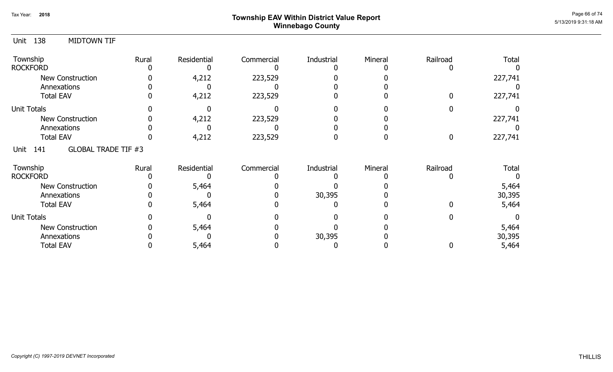## ${\sf Township~EAV~Within~District~Value~ Report}$   ${\sf Poport}$ Winnebago County

| Unit               | 138                | <b>MIDTOWN TIF</b>         |       |             |            |            |          |          |              |
|--------------------|--------------------|----------------------------|-------|-------------|------------|------------|----------|----------|--------------|
| Township           |                    |                            | Rural | Residential | Commercial | Industrial | Mineral  | Railroad | <b>Total</b> |
|                    | <b>ROCKFORD</b>    |                            |       |             |            |            |          |          |              |
|                    |                    | New Construction           |       | 4,212       | 223,529    |            |          |          | 227,741      |
|                    |                    | Annexations                |       |             |            |            |          |          |              |
|                    |                    | <b>Total EAV</b>           |       | 4,212       | 223,529    |            |          |          | 227,741      |
| <b>Unit Totals</b> |                    |                            |       |             |            |            |          |          |              |
|                    |                    | New Construction           |       | 4,212       | 223,529    |            |          |          | 227,741      |
|                    |                    | Annexations                |       |             |            |            |          |          |              |
| <b>Total EAV</b>   |                    |                            | 4,212 | 223,529     |            |            | $\bf{0}$ | 227,741  |              |
| Unit               | 141                | <b>GLOBAL TRADE TIF #3</b> |       |             |            |            |          |          |              |
| Township           |                    |                            | Rural | Residential | Commercial | Industrial | Mineral  | Railroad | <b>Total</b> |
|                    | <b>ROCKFORD</b>    |                            |       |             |            |            |          |          |              |
|                    |                    | New Construction           |       | 5,464       |            |            |          |          | 5,464        |
|                    |                    | Annexations                |       |             |            | 30,395     |          |          | 30,395       |
|                    |                    | <b>Total EAV</b>           |       | 5,464       |            |            |          |          | 5,464        |
|                    | <b>Unit Totals</b> |                            |       |             |            |            |          |          |              |
| New Construction   |                    |                            |       | 5,464       |            |            |          |          | 5,464        |
|                    |                    | Annexations                |       |             |            | 30,395     |          |          | 30,395       |
|                    |                    | <b>Total EAV</b>           |       | 5,464       |            |            |          | 0        | 5,464        |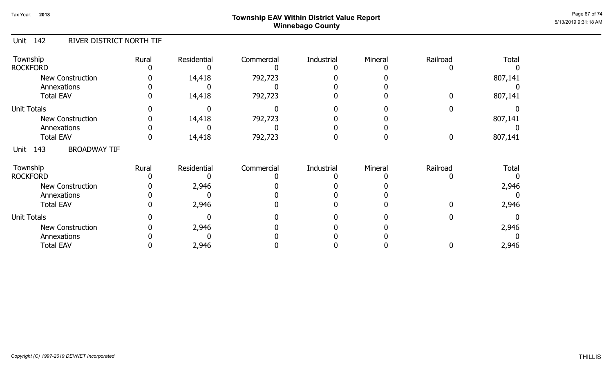## Page 67 of 74  $^{P_1}$ Page 67 of 74  $^{P_2}$  Township EAV Within District Value Report Winnebago County

### Unit 142 RIVER DISTRICT NORTH TIF

| Township<br><b>ROCKFORD</b>            | Rural | Residential | Commercial | Industrial | Mineral | Railroad | <b>Total</b> |
|----------------------------------------|-------|-------------|------------|------------|---------|----------|--------------|
| <b>New Construction</b><br>Annexations |       | 14,418      | 792,723    |            |         |          | 807,141      |
| <b>Total EAV</b>                       |       | 14,418      | 792,723    |            |         |          | 807,141      |
| <b>Unit Totals</b>                     |       |             |            |            |         |          |              |
| New Construction                       |       | 14,418      | 792,723    |            |         |          | 807,141      |
| Annexations                            |       |             |            |            |         |          |              |
| <b>Total EAV</b>                       |       | 14,418      | 792,723    |            |         |          | 807,141      |
| <b>BROADWAY TIF</b><br>143<br>Unit     |       |             |            |            |         |          |              |
| Township<br><b>ROCKFORD</b>            | Rural | Residential | Commercial | Industrial | Mineral | Railroad | <b>Total</b> |
| <b>New Construction</b>                |       | 2,946       |            |            |         |          | 2,946        |
| Annexations                            |       |             |            |            |         |          |              |
| <b>Total EAV</b>                       |       | 2,946       |            |            |         |          | 2,946        |
| <b>Unit Totals</b>                     |       |             |            |            |         |          |              |
| <b>New Construction</b>                |       | 2,946       |            |            |         |          | 2,946        |
| Annexations                            |       |             |            |            |         |          |              |
| <b>Total EAV</b>                       |       | 2,946       |            |            |         |          | 2,946        |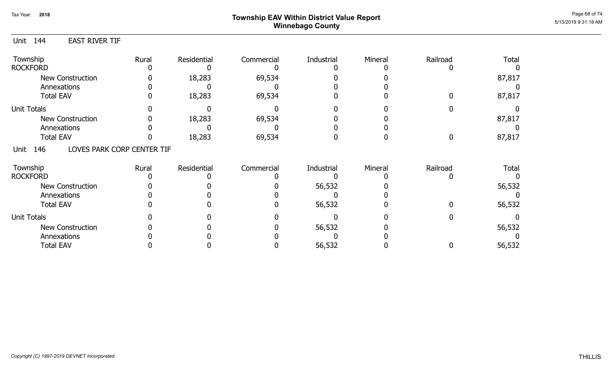# Page 68 of 74<br> **Page 68 of 74** Page 68 of 74 **Page 68 of 74** Winnebago County

0

0

#### Unit 144 Township **Rural** Residential Commercial Industrial Mineral Railroad Total EAST RIVER TIF 0 18,283 69,534 0 0 0 87,817 87,817 ROCKFORD 0 0 0 18,283 0 69,534 0 0 0 0 0 New Construction Annexations Total EAV 0 0 0 0 0 0 Unit Totals Annexations Total EAV New Construction 0 18,283 69,534 0 0 0 87,817 0 0 0 0 0 0 18,283 69,534 0 87,817 69,534 0 0 0 0 0 0 0 0 0 0 0 Unit 146 Township **Rural** Residential Commercial Industrial Mineral Railroad Total LOVES PARK CORP CENTER TIF 0 0 0 56,532 0 0 56,532 56,532 ROCKFORD 0 0 0 0 0 0 0 56,532 0 0 0 New Construction Annexations Total EAV 0 0 0 0 0 0 Unit Totals Annexations Total EAV New Construction 0 0 0 56,532 0 0 56,532 0 0 0 0 0 0 0 0 0 56,532 0 0 56,532 56,532 0 0 0 0 0 0 0 0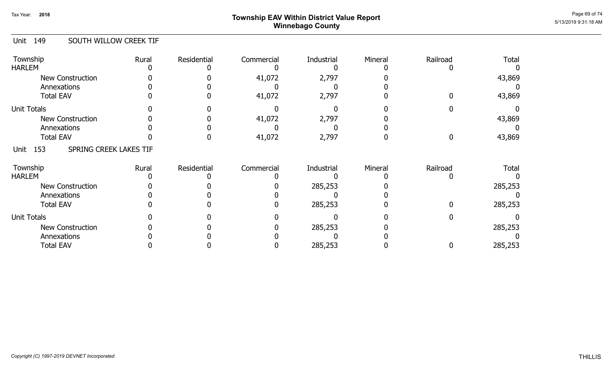## Page 69 of 74  $^{P_1}$ Page 69 of 74  $^{P_2}$ Winnebago County

#### Unit 149 SOUTH WILLOW CREEK TIF

| Township<br><b>HARLEM</b>              | Rural | Residential | Commercial | Industrial | Mineral | Railroad | <b>Total</b> |
|----------------------------------------|-------|-------------|------------|------------|---------|----------|--------------|
| <b>New Construction</b><br>Annexations |       |             | 41,072     | 2,797      |         |          | 43,869       |
| <b>Total EAV</b>                       |       |             | 41,072     | 2,797      |         |          | 43,869       |
| <b>Unit Totals</b>                     |       |             |            |            |         |          |              |
| <b>New Construction</b>                |       |             | 41,072     | 2,797      |         |          | 43,869       |
| Annexations                            |       |             |            |            |         |          |              |
| <b>Total EAV</b>                       |       |             | 41,072     | 2,797      |         |          | 43,869       |
| SPRING CREEK LAKES TIF<br>153<br>Unit  |       |             |            |            |         |          |              |
| Township                               | Rural | Residential | Commercial | Industrial | Mineral | Railroad | <b>Total</b> |
| <b>HARLEM</b>                          |       |             |            |            |         |          |              |
| <b>New Construction</b>                |       |             |            | 285,253    |         |          | 285,253      |
| Annexations                            |       |             |            |            |         |          |              |
| <b>Total EAV</b>                       |       |             |            | 285,253    |         |          | 285,253      |
| <b>Unit Totals</b>                     |       |             |            |            |         |          |              |
| <b>New Construction</b>                |       |             |            | 285,253    |         |          | 285,253      |
| Annexations                            |       |             |            |            |         |          |              |
| <b>Total EAV</b>                       |       |             |            | 285,253    |         |          | 285,253      |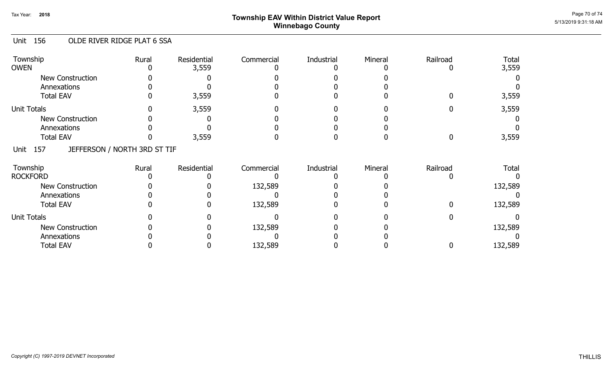## Page 70 of 74  $^{P_1}$ Page 70 of 74  $^{P_2}$  Township EAV Within District Value Report Winnebago County

### Unit 156 OLDE RIVER RIDGE PLAT 6 SSA

| Township<br><b>OWEN</b>                     | Rural | Residential<br>3,559 | Commercial | Industrial | Mineral | Railroad | <b>Total</b><br>3,559 |
|---------------------------------------------|-------|----------------------|------------|------------|---------|----------|-----------------------|
| <b>New Construction</b>                     |       |                      |            |            |         |          |                       |
| Annexations                                 |       |                      |            |            |         |          |                       |
| <b>Total EAV</b>                            |       | 3,559                |            |            |         |          | 3,559                 |
| <b>Unit Totals</b>                          |       | 3,559                |            |            |         |          | 3,559                 |
| New Construction                            |       |                      |            |            |         |          |                       |
| Annexations                                 |       |                      |            |            |         |          |                       |
| <b>Total EAV</b>                            |       | 3,559                |            |            |         |          | 3,559                 |
| JEFFERSON / NORTH 3RD ST TIF<br>157<br>Unit |       |                      |            |            |         |          |                       |
| Township                                    | Rural | Residential          | Commercial | Industrial | Mineral | Railroad | <b>Total</b>          |
| <b>ROCKFORD</b>                             |       |                      |            |            |         |          |                       |
| <b>New Construction</b>                     |       |                      | 132,589    |            |         |          | 132,589               |
| Annexations                                 |       |                      |            |            |         |          |                       |
| <b>Total EAV</b>                            |       |                      | 132,589    |            |         |          | 132,589               |
| <b>Unit Totals</b>                          |       |                      |            |            |         |          |                       |
| <b>New Construction</b>                     |       |                      | 132,589    |            |         |          | 132,589               |
| Annexations                                 |       |                      |            |            |         |          |                       |
| <b>Total EAV</b>                            |       |                      | 132,589    |            |         |          | 132,589               |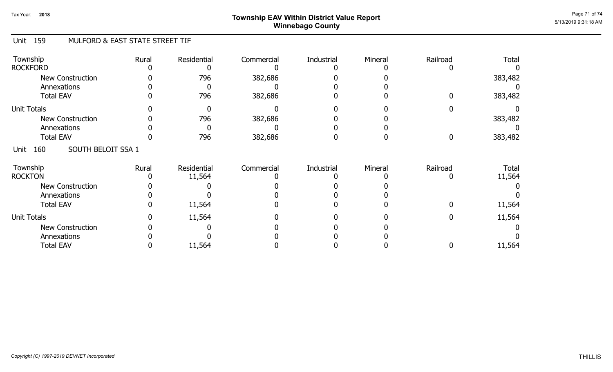## Page 71 of 74  $^{P_1}$ Page 71 of 74  $^{P_2}$ Winnebago County

### Unit 159 MULFORD & EAST STATE STREET TIF

| Township<br><b>ROCKFORD</b>       | Rural | Residential | Commercial | Industrial | Mineral | Railroad | Total   |
|-----------------------------------|-------|-------------|------------|------------|---------|----------|---------|
| New Construction<br>Annexations   |       | 796         | 382,686    |            |         |          | 383,482 |
| <b>Total EAV</b>                  |       | 796         | 382,686    |            |         |          | 383,482 |
| <b>Unit Totals</b>                |       |             |            |            |         |          |         |
| <b>New Construction</b>           |       | 796         | 382,686    |            |         |          | 383,482 |
| Annexations                       |       |             |            |            |         |          |         |
| <b>Total EAV</b>                  |       | 796         | 382,686    |            |         | 0        | 383,482 |
| SOUTH BELOIT SSA 1<br>160<br>Unit |       |             |            |            |         |          |         |
| Township                          | Rural | Residential | Commercial | Industrial | Mineral | Railroad | Total   |
| <b>ROCKTON</b>                    |       | 11,564      |            |            |         |          | 11,564  |
| <b>New Construction</b>           |       |             |            |            |         |          |         |
| Annexations                       |       |             |            |            |         |          |         |
| <b>Total EAV</b>                  |       | 11,564      |            |            |         |          | 11,564  |
| <b>Unit Totals</b>                |       | 11,564      |            |            |         |          | 11,564  |
| New Construction                  |       |             |            |            |         |          |         |
| Annexations                       |       |             |            |            |         |          |         |
| <b>Total EAV</b>                  |       | 11,564      |            |            |         |          | 11,564  |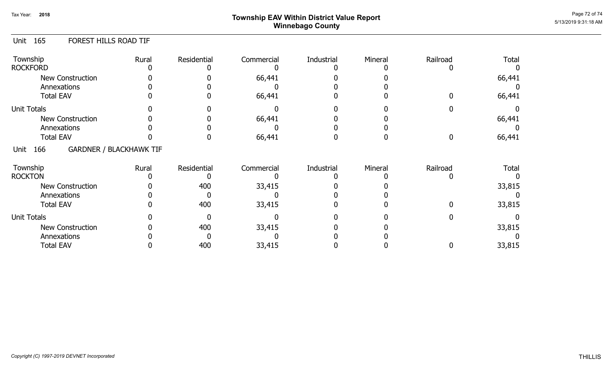## Page 72 of 74  $^{P_1}$ Page 72 of 74  $^{P_2}$  of 74  $^{P_3}$ Winnebago County

### Unit 165 FOREST HILLS ROAD TIF

| Township<br><b>ROCKFORD</b>                   | Rural | Residential | Commercial | Industrial | Mineral | Railroad | Total        |
|-----------------------------------------------|-------|-------------|------------|------------|---------|----------|--------------|
| <b>New Construction</b><br>Annexations        |       |             | 66,441     |            |         |          | 66,441       |
| <b>Total EAV</b>                              |       |             | 66,441     |            |         |          | 66,441       |
| <b>Unit Totals</b>                            |       |             |            |            |         |          |              |
| <b>New Construction</b>                       |       |             | 66,441     |            |         |          | 66,441       |
| Annexations                                   |       |             |            |            |         |          |              |
| <b>Total EAV</b>                              |       |             | 66,441     |            |         |          | 66,441       |
| <b>GARDNER / BLACKHAWK TIF</b><br>166<br>Unit |       |             |            |            |         |          |              |
| Township                                      | Rural | Residential | Commercial | Industrial | Mineral | Railroad | <b>Total</b> |
| <b>ROCKTON</b>                                |       |             |            |            |         |          |              |
| New Construction                              |       | 400         | 33,415     |            |         |          | 33,815       |
| Annexations                                   |       |             |            |            |         |          |              |
| <b>Total EAV</b>                              |       | 400         | 33,415     |            |         |          | 33,815       |
| <b>Unit Totals</b>                            |       |             |            |            |         |          |              |
| <b>New Construction</b>                       |       | 400         | 33,415     |            |         |          | 33,815       |
| Annexations                                   |       |             |            |            |         |          |              |
| <b>Total EAV</b>                              |       | 400         | 33,415     |            |         |          | 33,815       |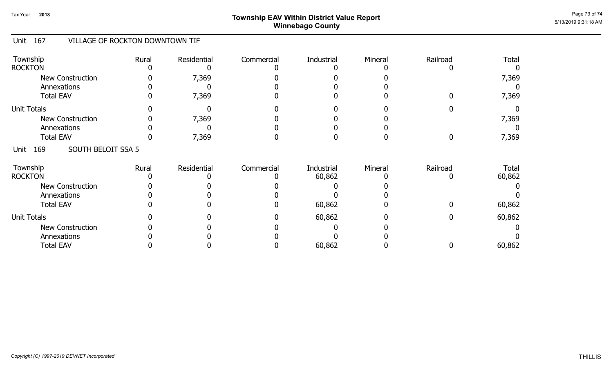## Page 73 of 74  $^{P_2}$   $^{P_3}$   $^{O_4}$   $^{O_4}$   $^{O_4}$   $^{O_4}$   $^{O_4}$   $^{O_4}$   $^{O_4}$   $^{O_4}$   $^{O_4}$   $^{O_4}$   $^{O_4}$   $^{O_4}$   $^{O_4}$   $^{O_4}$   $^{O_4}$   $^{O_4}$   $^{O_4}$   $^{O_4}$   $^{O_4}$   $^{O_4}$   $^{O_4}$   $^{O_4}$   $^{O_4}$   $^{O_4}$  Winnebago County

## Unit 167 VILLAGE OF ROCKTON DOWNTOWN TIF

| Township<br><b>ROCKTON</b>             | Rural | Residential | Commercial | Industrial           | Mineral | Railroad | Total           |
|----------------------------------------|-------|-------------|------------|----------------------|---------|----------|-----------------|
| <b>New Construction</b><br>Annexations |       | 7,369       |            |                      |         |          | 7,369           |
| <b>Total EAV</b>                       |       | 7,369       |            |                      |         |          | 7,369           |
| <b>Unit Totals</b>                     |       |             |            |                      |         |          |                 |
| New Construction                       |       | 7,369       |            |                      |         |          | 7,369           |
| Annexations                            |       |             |            |                      |         |          |                 |
| <b>Total EAV</b>                       |       | 7,369       |            |                      |         |          | 7,369           |
| SOUTH BELOIT SSA 5<br>169<br>Unit      |       |             |            |                      |         |          |                 |
| Township<br><b>ROCKTON</b>             | Rural | Residential | Commercial | Industrial<br>60,862 | Mineral | Railroad | Total<br>60,862 |
|                                        |       |             |            |                      |         |          |                 |
| <b>New Construction</b>                |       |             |            |                      |         |          |                 |
| Annexations                            |       |             |            |                      |         |          |                 |
| <b>Total EAV</b>                       |       |             |            | 60,862               |         |          | 60,862          |
| <b>Unit Totals</b>                     |       |             |            | 60,862               |         |          | 60,862          |
| <b>New Construction</b>                |       |             |            |                      |         |          |                 |
| Annexations                            |       |             |            |                      |         |          |                 |
| <b>Total EAV</b>                       |       |             |            | 60,862               |         |          | 60,862          |